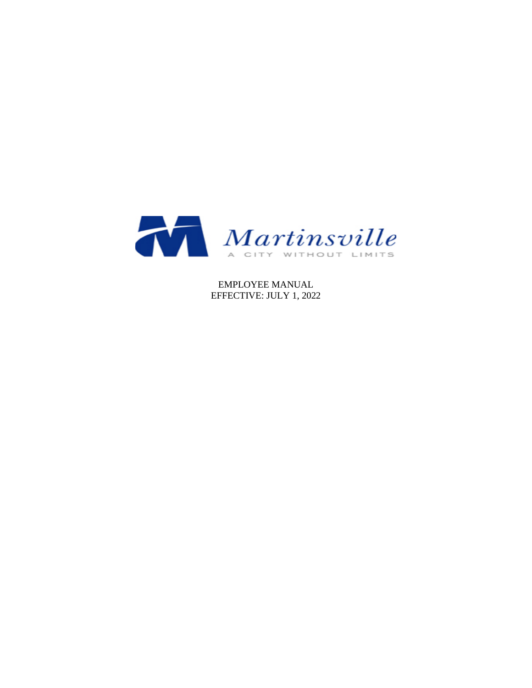

EMPLOYEE MANUAL EFFECTIVE: JULY 1, 2022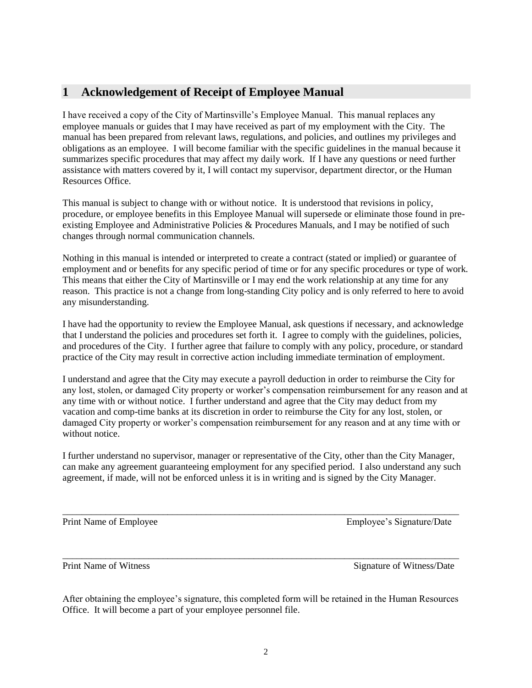# <span id="page-1-0"></span>**1 Acknowledgement of Receipt of Employee Manual**

I have received a copy of the City of Martinsville's Employee Manual. This manual replaces any employee manuals or guides that I may have received as part of my employment with the City. The manual has been prepared from relevant laws, regulations, and policies, and outlines my privileges and obligations as an employee. I will become familiar with the specific guidelines in the manual because it summarizes specific procedures that may affect my daily work. If I have any questions or need further assistance with matters covered by it, I will contact my supervisor, department director, or the Human Resources Office.

This manual is subject to change with or without notice. It is understood that revisions in policy, procedure, or employee benefits in this Employee Manual will supersede or eliminate those found in preexisting Employee and Administrative Policies & Procedures Manuals, and I may be notified of such changes through normal communication channels.

Nothing in this manual is intended or interpreted to create a contract (stated or implied) or guarantee of employment and or benefits for any specific period of time or for any specific procedures or type of work. This means that either the City of Martinsville or I may end the work relationship at any time for any reason. This practice is not a change from long-standing City policy and is only referred to here to avoid any misunderstanding.

I have had the opportunity to review the Employee Manual, ask questions if necessary, and acknowledge that I understand the policies and procedures set forth it. I agree to comply with the guidelines, policies, and procedures of the City. I further agree that failure to comply with any policy, procedure, or standard practice of the City may result in corrective action including immediate termination of employment.

I understand and agree that the City may execute a payroll deduction in order to reimburse the City for any lost, stolen, or damaged City property or worker's compensation reimbursement for any reason and at any time with or without notice. I further understand and agree that the City may deduct from my vacation and comp-time banks at its discretion in order to reimburse the City for any lost, stolen, or damaged City property or worker's compensation reimbursement for any reason and at any time with or without notice.

I further understand no supervisor, manager or representative of the City, other than the City Manager, can make any agreement guaranteeing employment for any specified period. I also understand any such agreement, if made, will not be enforced unless it is in writing and is signed by the City Manager.

\_\_\_\_\_\_\_\_\_\_\_\_\_\_\_\_\_\_\_\_\_\_\_\_\_\_\_\_\_\_\_\_\_\_\_\_\_\_\_\_\_\_\_\_\_\_\_\_\_\_\_\_\_\_\_\_\_\_\_\_\_\_\_\_\_\_\_\_\_\_\_\_\_\_\_\_\_\_\_\_\_\_\_

\_\_\_\_\_\_\_\_\_\_\_\_\_\_\_\_\_\_\_\_\_\_\_\_\_\_\_\_\_\_\_\_\_\_\_\_\_\_\_\_\_\_\_\_\_\_\_\_\_\_\_\_\_\_\_\_\_\_\_\_\_\_\_\_\_\_\_\_\_\_\_\_\_\_\_\_\_\_\_\_\_\_\_

Print Name of Employee Theorem Employee's Signature/Date

Print Name of Witness Signature of Witness Signature of Witness Signature of Witness Oate

After obtaining the employee's signature, this completed form will be retained in the Human Resources Office. It will become a part of your employee personnel file.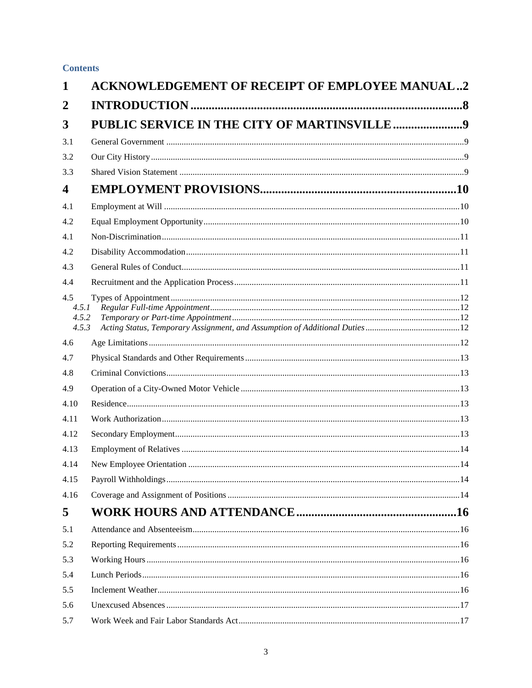# **Contents**

| 1                              | <b>ACKNOWLEDGEMENT OF RECEIPT OF EMPLOYEE MANUAL2</b> |  |
|--------------------------------|-------------------------------------------------------|--|
| $\overline{2}$                 |                                                       |  |
| 3                              | PUBLIC SERVICE IN THE CITY OF MARTINSVILLE9           |  |
| 3.1                            |                                                       |  |
| 3.2                            |                                                       |  |
| 3.3                            |                                                       |  |
| $\overline{\mathbf{4}}$        |                                                       |  |
| 4.1                            |                                                       |  |
| 4.2                            |                                                       |  |
| 4.1                            |                                                       |  |
| 4.2                            |                                                       |  |
| 4.3                            |                                                       |  |
| 4.4                            |                                                       |  |
| 4.5<br>4.5.1<br>4.5.2<br>4.5.3 |                                                       |  |
| 4.6                            |                                                       |  |
| 4.7                            |                                                       |  |
| 4.8                            |                                                       |  |
| 4.9                            |                                                       |  |
| 4.10                           |                                                       |  |
| 4.11                           |                                                       |  |
| 4.12                           |                                                       |  |
| 4.13                           |                                                       |  |
| 4.14                           |                                                       |  |
| 4.15                           |                                                       |  |
| 4.16                           |                                                       |  |
| 5                              |                                                       |  |
| 5.1                            |                                                       |  |
| 5.2                            |                                                       |  |
| 5.3                            |                                                       |  |
| 5.4                            |                                                       |  |
| 5.5                            |                                                       |  |
| 5.6                            |                                                       |  |
| 5.7                            |                                                       |  |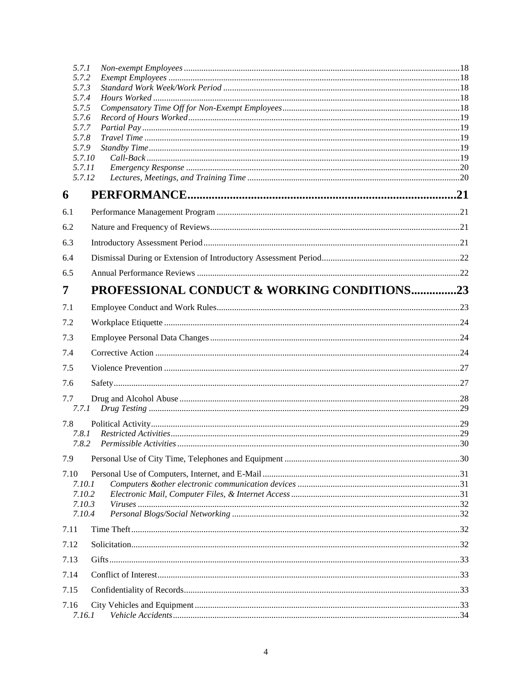| 5.7.1            |                                             |  |
|------------------|---------------------------------------------|--|
| 5.7.2            |                                             |  |
| 5.7.3<br>5.7.4   |                                             |  |
| 5.7.5            |                                             |  |
| 5.7.6            |                                             |  |
| 5.7.7            |                                             |  |
| 5.7.8            |                                             |  |
| 5.7.9<br>5.7.10  |                                             |  |
| 5.7.11           |                                             |  |
| 5.7.12           |                                             |  |
| 6                |                                             |  |
| 6.1              |                                             |  |
| 6.2              |                                             |  |
| 6.3              |                                             |  |
| 6.4              |                                             |  |
| 6.5              |                                             |  |
| 7                | PROFESSIONAL CONDUCT & WORKING CONDITIONS23 |  |
| 7.1              |                                             |  |
| 7.2              |                                             |  |
| 7.3              |                                             |  |
| 7.4              |                                             |  |
| 7.5              |                                             |  |
| 7.6              |                                             |  |
| 7.7              |                                             |  |
| 7.7.1            |                                             |  |
| 7.8              |                                             |  |
| 7.8.1            |                                             |  |
| 7.8.2            |                                             |  |
| 7.9              |                                             |  |
| 7.10             |                                             |  |
| 7.10.1<br>7.10.2 |                                             |  |
| 7.10.3           |                                             |  |
| 7.10.4           |                                             |  |
| 7.11             |                                             |  |
| 7.12             |                                             |  |
| 7.13             |                                             |  |
| 7.14             |                                             |  |
| 7.15             |                                             |  |
| 7.16<br>7.16.1   |                                             |  |
|                  |                                             |  |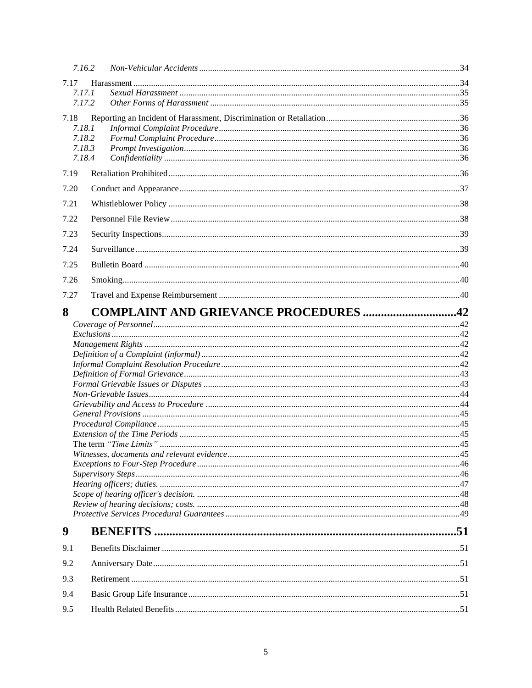|      | 7.16.2                                       |  |  |
|------|----------------------------------------------|--|--|
| 7.17 |                                              |  |  |
|      | 7.17.1                                       |  |  |
|      | 7.17.2                                       |  |  |
| 7.18 |                                              |  |  |
|      | 7.18.1<br>7.18.2                             |  |  |
|      | 7.18.3                                       |  |  |
|      | 7.18.4                                       |  |  |
| 7.19 |                                              |  |  |
| 7.20 |                                              |  |  |
| 7.21 |                                              |  |  |
| 7.22 |                                              |  |  |
| 7.23 |                                              |  |  |
| 7.24 |                                              |  |  |
| 7.25 |                                              |  |  |
| 7.26 |                                              |  |  |
| 7.27 |                                              |  |  |
| 8    | <b>COMPLAINT AND GRIEVANCE PROCEDURES 42</b> |  |  |
|      |                                              |  |  |
|      |                                              |  |  |
|      |                                              |  |  |
|      |                                              |  |  |
|      |                                              |  |  |
|      |                                              |  |  |
|      |                                              |  |  |
|      |                                              |  |  |
|      |                                              |  |  |
|      |                                              |  |  |
|      |                                              |  |  |
|      |                                              |  |  |
|      |                                              |  |  |
|      |                                              |  |  |
|      |                                              |  |  |
|      |                                              |  |  |
|      |                                              |  |  |
|      |                                              |  |  |
|      |                                              |  |  |
| 9    |                                              |  |  |
| 9.1  |                                              |  |  |
| 9.2  |                                              |  |  |
| 9.3  |                                              |  |  |
| 9.4  |                                              |  |  |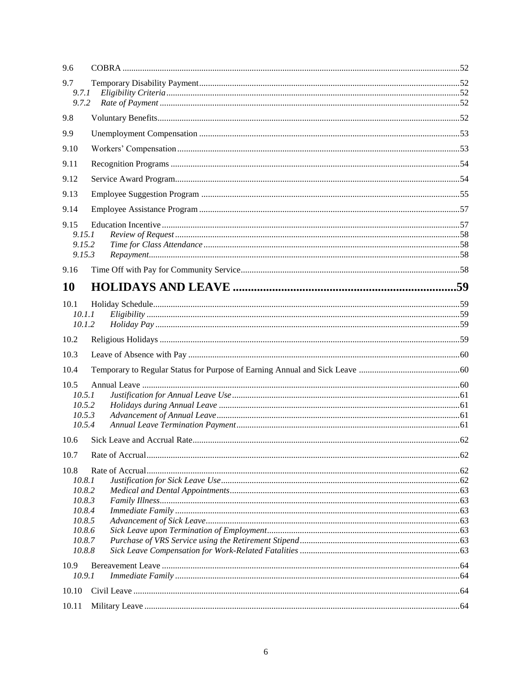| 9.6       |  |
|-----------|--|
| 9.7       |  |
| 9.7.1     |  |
| 9.7.2     |  |
| 9.8       |  |
| 9.9       |  |
| 9.10      |  |
| 9.11      |  |
| 9.12      |  |
| 9.13      |  |
| 9.14      |  |
| 9.15      |  |
| 9.15.1    |  |
| 9.15.2    |  |
| 9.15.3    |  |
| 9.16      |  |
| <b>10</b> |  |
| 10.1      |  |
| 10.1.1    |  |
| 10.1.2    |  |
| 10.2      |  |
| 10.3      |  |
| 10.4      |  |
| 10.5      |  |
| 10.5.1    |  |
| 10.5.2    |  |
| 10.5.3    |  |
| 10.5.4    |  |
| 10.6      |  |
| 10.7      |  |
| 10.8      |  |
| 10.8.1    |  |
| 10.8.2    |  |
| 10.8.3    |  |
| 10.8.4    |  |
| 10.8.5    |  |
| 10.8.6    |  |
| 10.8.7    |  |
| 10.8.8    |  |
| 10.9      |  |
| 10.9.1    |  |
| 10.10     |  |
| 10.11     |  |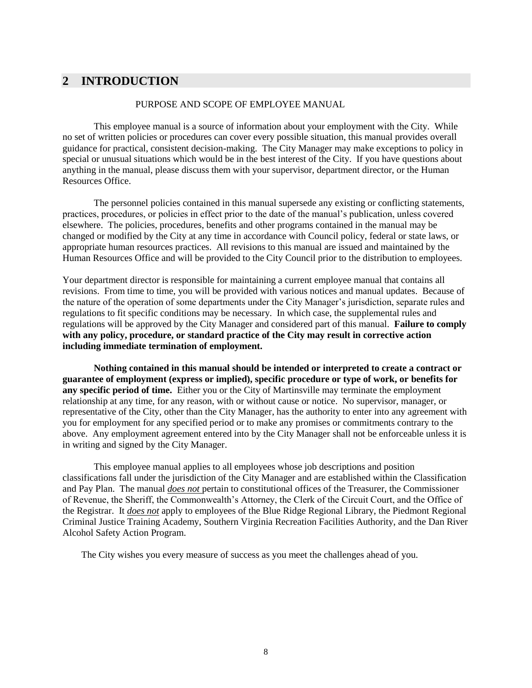# <span id="page-7-0"></span>**2 INTRODUCTION**

#### PURPOSE AND SCOPE OF EMPLOYEE MANUAL

This employee manual is a source of information about your employment with the City. While no set of written policies or procedures can cover every possible situation, this manual provides overall guidance for practical, consistent decision-making. The City Manager may make exceptions to policy in special or unusual situations which would be in the best interest of the City. If you have questions about anything in the manual, please discuss them with your supervisor, department director, or the Human Resources Office.

The personnel policies contained in this manual supersede any existing or conflicting statements, practices, procedures, or policies in effect prior to the date of the manual's publication, unless covered elsewhere. The policies, procedures, benefits and other programs contained in the manual may be changed or modified by the City at any time in accordance with Council policy, federal or state laws, or appropriate human resources practices. All revisions to this manual are issued and maintained by the Human Resources Office and will be provided to the City Council prior to the distribution to employees.

Your department director is responsible for maintaining a current employee manual that contains all revisions. From time to time, you will be provided with various notices and manual updates. Because of the nature of the operation of some departments under the City Manager's jurisdiction, separate rules and regulations to fit specific conditions may be necessary. In which case, the supplemental rules and regulations will be approved by the City Manager and considered part of this manual. **Failure to comply with any policy, procedure, or standard practice of the City may result in corrective action including immediate termination of employment.**

**Nothing contained in this manual should be intended or interpreted to create a contract or guarantee of employment (express or implied), specific procedure or type of work, or benefits for any specific period of time.** Either you or the City of Martinsville may terminate the employment relationship at any time, for any reason, with or without cause or notice. No supervisor, manager, or representative of the City, other than the City Manager, has the authority to enter into any agreement with you for employment for any specified period or to make any promises or commitments contrary to the above. Any employment agreement entered into by the City Manager shall not be enforceable unless it is in writing and signed by the City Manager.

This employee manual applies to all employees whose job descriptions and position classifications fall under the jurisdiction of the City Manager and are established within the Classification and Pay Plan. The manual *does not* pertain to constitutional offices of the Treasurer, the Commissioner of Revenue, the Sheriff, the Commonwealth's Attorney, the Clerk of the Circuit Court, and the Office of the Registrar. It *does not* apply to employees of the Blue Ridge Regional Library, the Piedmont Regional Criminal Justice Training Academy, Southern Virginia Recreation Facilities Authority, and the Dan River Alcohol Safety Action Program.

The City wishes you every measure of success as you meet the challenges ahead of you.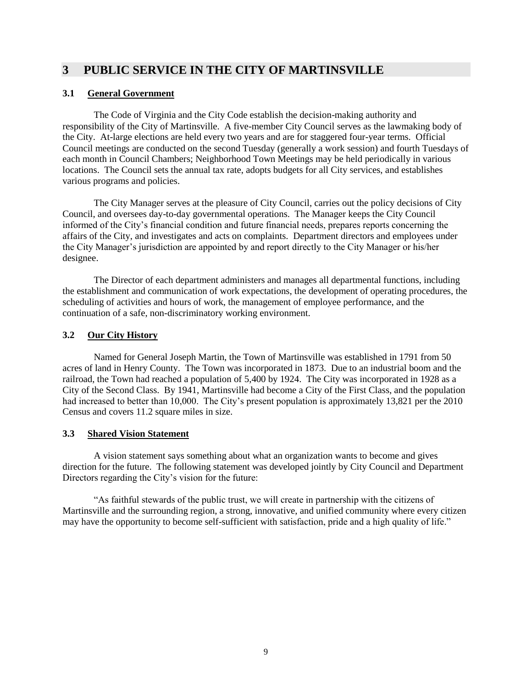# <span id="page-8-0"></span>**3 PUBLIC SERVICE IN THE CITY OF MARTINSVILLE**

# <span id="page-8-1"></span>**3.1 General Government**

The Code of Virginia and the City Code establish the decision-making authority and responsibility of the City of Martinsville. A five-member City Council serves as the lawmaking body of the City. At-large elections are held every two years and are for staggered four-year terms. Official Council meetings are conducted on the second Tuesday (generally a work session) and fourth Tuesdays of each month in Council Chambers; Neighborhood Town Meetings may be held periodically in various locations. The Council sets the annual tax rate, adopts budgets for all City services, and establishes various programs and policies.

The City Manager serves at the pleasure of City Council, carries out the policy decisions of City Council, and oversees day-to-day governmental operations. The Manager keeps the City Council informed of the City's financial condition and future financial needs, prepares reports concerning the affairs of the City, and investigates and acts on complaints. Department directors and employees under the City Manager's jurisdiction are appointed by and report directly to the City Manager or his/her designee.

The Director of each department administers and manages all departmental functions, including the establishment and communication of work expectations, the development of operating procedures, the scheduling of activities and hours of work, the management of employee performance, and the continuation of a safe, non-discriminatory working environment.

# <span id="page-8-2"></span>**3.2 Our City History**

Named for General Joseph Martin, the Town of Martinsville was established in 1791 from 50 acres of land in Henry County. The Town was incorporated in 1873. Due to an industrial boom and the railroad, the Town had reached a population of 5,400 by 1924. The City was incorporated in 1928 as a City of the Second Class. By 1941, Martinsville had become a City of the First Class, and the population had increased to better than 10,000. The City's present population is approximately 13,821 per the 2010 Census and covers 11.2 square miles in size.

### <span id="page-8-3"></span>**3.3 Shared Vision Statement**

A vision statement says something about what an organization wants to become and gives direction for the future. The following statement was developed jointly by City Council and Department Directors regarding the City's vision for the future:

"As faithful stewards of the public trust, we will create in partnership with the citizens of Martinsville and the surrounding region, a strong, innovative, and unified community where every citizen may have the opportunity to become self-sufficient with satisfaction, pride and a high quality of life."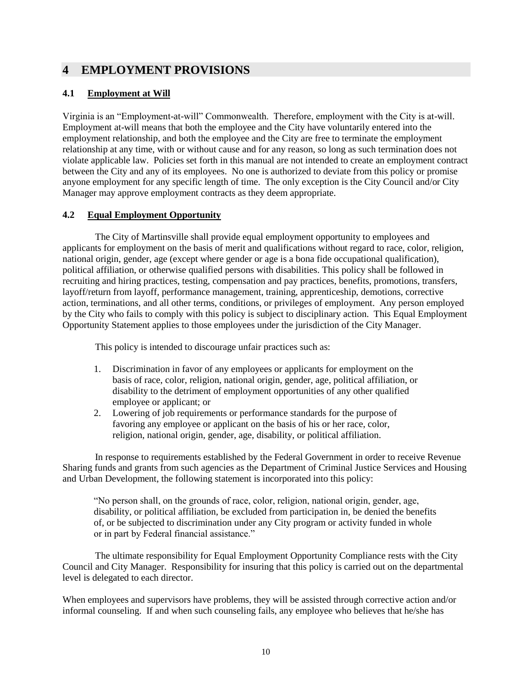# <span id="page-9-0"></span>**4 EMPLOYMENT PROVISIONS**

# <span id="page-9-1"></span>**4.1 Employment at Will**

Virginia is an "Employment-at-will" Commonwealth. Therefore, employment with the City is at-will. Employment at-will means that both the employee and the City have voluntarily entered into the employment relationship, and both the employee and the City are free to terminate the employment relationship at any time, with or without cause and for any reason, so long as such termination does not violate applicable law. Policies set forth in this manual are not intended to create an employment contract between the City and any of its employees. No one is authorized to deviate from this policy or promise anyone employment for any specific length of time. The only exception is the City Council and/or City Manager may approve employment contracts as they deem appropriate.

# <span id="page-9-2"></span>**4.2 Equal Employment Opportunity**

The City of Martinsville shall provide equal employment opportunity to employees and applicants for employment on the basis of merit and qualifications without regard to race, color, religion, national origin, gender, age (except where gender or age is a bona fide occupational qualification), political affiliation, or otherwise qualified persons with disabilities. This policy shall be followed in recruiting and hiring practices, testing, compensation and pay practices, benefits, promotions, transfers, layoff/return from layoff, performance management, training, apprenticeship, demotions, corrective action, terminations, and all other terms, conditions, or privileges of employment. Any person employed by the City who fails to comply with this policy is subject to disciplinary action. This Equal Employment Opportunity Statement applies to those employees under the jurisdiction of the City Manager.

This policy is intended to discourage unfair practices such as:

- 1. Discrimination in favor of any employees or applicants for employment on the basis of race, color, religion, national origin, gender, age, political affiliation, or disability to the detriment of employment opportunities of any other qualified employee or applicant; or
- 2. Lowering of job requirements or performance standards for the purpose of favoring any employee or applicant on the basis of his or her race, color, religion, national origin, gender, age, disability, or political affiliation.

In response to requirements established by the Federal Government in order to receive Revenue Sharing funds and grants from such agencies as the Department of Criminal Justice Services and Housing and Urban Development, the following statement is incorporated into this policy:

"No person shall, on the grounds of race, color, religion, national origin, gender, age, disability, or political affiliation, be excluded from participation in, be denied the benefits of, or be subjected to discrimination under any City program or activity funded in whole or in part by Federal financial assistance."

The ultimate responsibility for Equal Employment Opportunity Compliance rests with the City Council and City Manager. Responsibility for insuring that this policy is carried out on the departmental level is delegated to each director.

When employees and supervisors have problems, they will be assisted through corrective action and/or informal counseling. If and when such counseling fails, any employee who believes that he/she has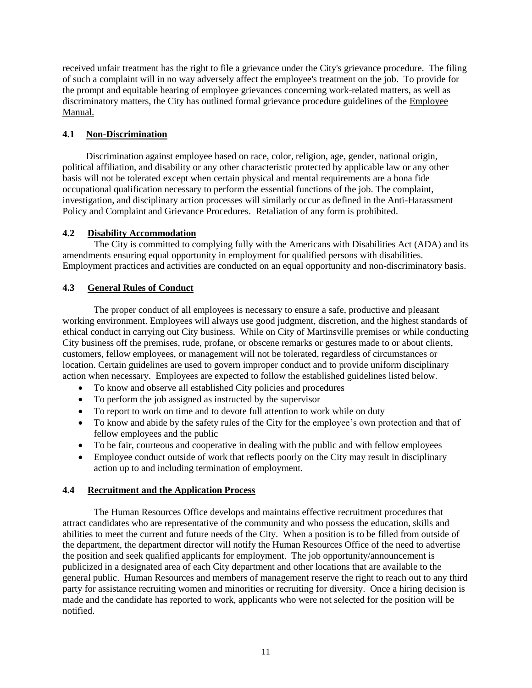received unfair treatment has the right to file a grievance under the City's grievance procedure. The filing of such a complaint will in no way adversely affect the employee's treatment on the job. To provide for the prompt and equitable hearing of employee grievances concerning work-related matters, as well as discriminatory matters, the City has outlined formal grievance procedure guidelines of the Employee Manual.

# <span id="page-10-0"></span>**4.1 Non-Discrimination**

Discrimination against employee based on race, color, religion, age, gender, national origin, political affiliation, and disability or any other characteristic protected by applicable law or any other basis will not be tolerated except when certain physical and mental requirements are a bona fide occupational qualification necessary to perform the essential functions of the job. The complaint, investigation, and disciplinary action processes will similarly occur as defined in the Anti-Harassment Policy and Complaint and Grievance Procedures. Retaliation of any form is prohibited.

# <span id="page-10-1"></span>**4.2 Disability Accommodation**

The City is committed to complying fully with the Americans with Disabilities Act (ADA) and its amendments ensuring equal opportunity in employment for qualified persons with disabilities. Employment practices and activities are conducted on an equal opportunity and non-discriminatory basis.

# <span id="page-10-2"></span>**4.3 General Rules of Conduct**

The proper conduct of all employees is necessary to ensure a safe, productive and pleasant working environment. Employees will always use good judgment, discretion, and the highest standards of ethical conduct in carrying out City business. While on City of Martinsville premises or while conducting City business off the premises, rude, profane, or obscene remarks or gestures made to or about clients, customers, fellow employees, or management will not be tolerated, regardless of circumstances or location. Certain guidelines are used to govern improper conduct and to provide uniform disciplinary action when necessary. Employees are expected to follow the established guidelines listed below.

- To know and observe all established City policies and procedures
- To perform the job assigned as instructed by the supervisor
- To report to work on time and to devote full attention to work while on duty
- To know and abide by the safety rules of the City for the employee's own protection and that of fellow employees and the public
- To be fair, courteous and cooperative in dealing with the public and with fellow employees
- Employee conduct outside of work that reflects poorly on the City may result in disciplinary action up to and including termination of employment.

# <span id="page-10-3"></span>**4.4 Recruitment and the Application Process**

The Human Resources Office develops and maintains effective recruitment procedures that attract candidates who are representative of the community and who possess the education, skills and abilities to meet the current and future needs of the City. When a position is to be filled from outside of the department, the department director will notify the Human Resources Office of the need to advertise the position and seek qualified applicants for employment. The job opportunity/announcement is publicized in a designated area of each City department and other locations that are available to the general public. Human Resources and members of management reserve the right to reach out to any third party for assistance recruiting women and minorities or recruiting for diversity. Once a hiring decision is made and the candidate has reported to work, applicants who were not selected for the position will be notified.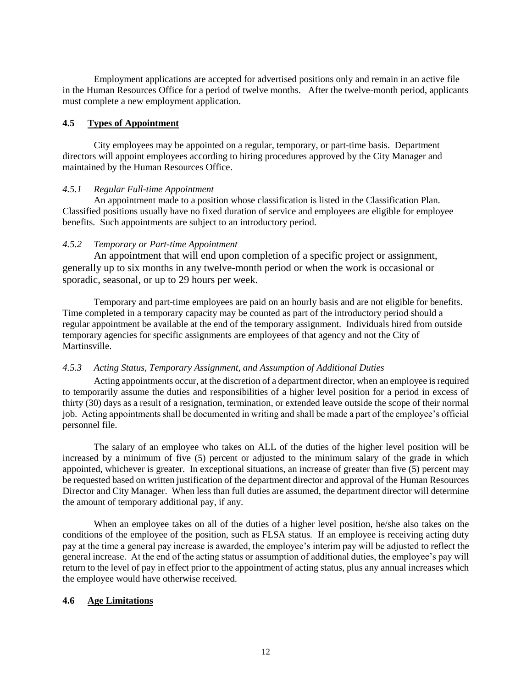Employment applications are accepted for advertised positions only and remain in an active file in the Human Resources Office for a period of twelve months. After the twelve-month period, applicants must complete a new employment application.

### <span id="page-11-0"></span>**4.5 Types of Appointment**

City employees may be appointed on a regular, temporary, or part-time basis. Department directors will appoint employees according to hiring procedures approved by the City Manager and maintained by the Human Resources Office.

#### <span id="page-11-1"></span>*4.5.1 Regular Full-time Appointment*

An appointment made to a position whose classification is listed in the Classification Plan. Classified positions usually have no fixed duration of service and employees are eligible for employee benefits. Such appointments are subject to an introductory period.

#### <span id="page-11-2"></span>*4.5.2 Temporary or Part-time Appointment*

An appointment that will end upon completion of a specific project or assignment, generally up to six months in any twelve-month period or when the work is occasional or sporadic, seasonal, or up to 29 hours per week.

Temporary and part-time employees are paid on an hourly basis and are not eligible for benefits. Time completed in a temporary capacity may be counted as part of the introductory period should a regular appointment be available at the end of the temporary assignment. Individuals hired from outside temporary agencies for specific assignments are employees of that agency and not the City of Martinsville.

### <span id="page-11-3"></span>*4.5.3 Acting Status, Temporary Assignment, and Assumption of Additional Duties*

Acting appointments occur, at the discretion of a department director, when an employee is required to temporarily assume the duties and responsibilities of a higher level position for a period in excess of thirty (30) days as a result of a resignation, termination, or extended leave outside the scope of their normal job. Acting appointments shall be documented in writing and shall be made a part of the employee's official personnel file.

The salary of an employee who takes on ALL of the duties of the higher level position will be increased by a minimum of five (5) percent or adjusted to the minimum salary of the grade in which appointed, whichever is greater. In exceptional situations, an increase of greater than five (5) percent may be requested based on written justification of the department director and approval of the Human Resources Director and City Manager. When less than full duties are assumed, the department director will determine the amount of temporary additional pay, if any.

When an employee takes on all of the duties of a higher level position, he/she also takes on the conditions of the employee of the position, such as FLSA status. If an employee is receiving acting duty pay at the time a general pay increase is awarded, the employee's interim pay will be adjusted to reflect the general increase. At the end of the acting status or assumption of additional duties, the employee's pay will return to the level of pay in effect prior to the appointment of acting status, plus any annual increases which the employee would have otherwise received.

### <span id="page-11-4"></span>**4.6 Age Limitations**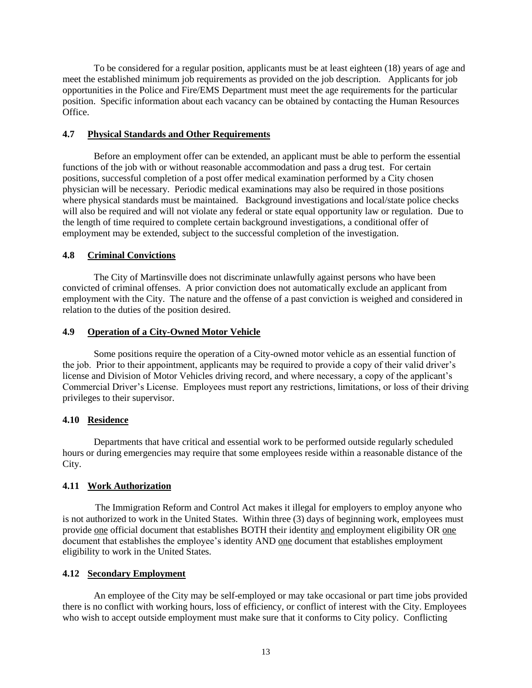To be considered for a regular position, applicants must be at least eighteen (18) years of age and meet the established minimum job requirements as provided on the job description. Applicants for job opportunities in the Police and Fire/EMS Department must meet the age requirements for the particular position. Specific information about each vacancy can be obtained by contacting the Human Resources Office.

#### <span id="page-12-0"></span>**4.7 Physical Standards and Other Requirements**

Before an employment offer can be extended, an applicant must be able to perform the essential functions of the job with or without reasonable accommodation and pass a drug test. For certain positions, successful completion of a post offer medical examination performed by a City chosen physician will be necessary. Periodic medical examinations may also be required in those positions where physical standards must be maintained. Background investigations and local/state police checks will also be required and will not violate any federal or state equal opportunity law or regulation. Due to the length of time required to complete certain background investigations, a conditional offer of employment may be extended, subject to the successful completion of the investigation.

#### <span id="page-12-1"></span>**4.8 Criminal Convictions**

The City of Martinsville does not discriminate unlawfully against persons who have been convicted of criminal offenses. A prior conviction does not automatically exclude an applicant from employment with the City. The nature and the offense of a past conviction is weighed and considered in relation to the duties of the position desired.

#### <span id="page-12-2"></span>**4.9 Operation of a City-Owned Motor Vehicle**

Some positions require the operation of a City-owned motor vehicle as an essential function of the job. Prior to their appointment, applicants may be required to provide a copy of their valid driver's license and Division of Motor Vehicles driving record, and where necessary, a copy of the applicant's Commercial Driver's License. Employees must report any restrictions, limitations, or loss of their driving privileges to their supervisor.

#### <span id="page-12-3"></span>**4.10 Residence**

Departments that have critical and essential work to be performed outside regularly scheduled hours or during emergencies may require that some employees reside within a reasonable distance of the City.

### <span id="page-12-4"></span>**4.11 Work Authorization**

The Immigration Reform and Control Act makes it illegal for employers to employ anyone who is not authorized to work in the United States. Within three (3) days of beginning work, employees must provide one official document that establishes BOTH their identity and employment eligibility OR one document that establishes the employee's identity AND one document that establishes employment eligibility to work in the United States.

### <span id="page-12-5"></span>**4.12 Secondary Employment**

An employee of the City may be self-employed or may take occasional or part time jobs provided there is no conflict with working hours, loss of efficiency, or conflict of interest with the City. Employees who wish to accept outside employment must make sure that it conforms to City policy. Conflicting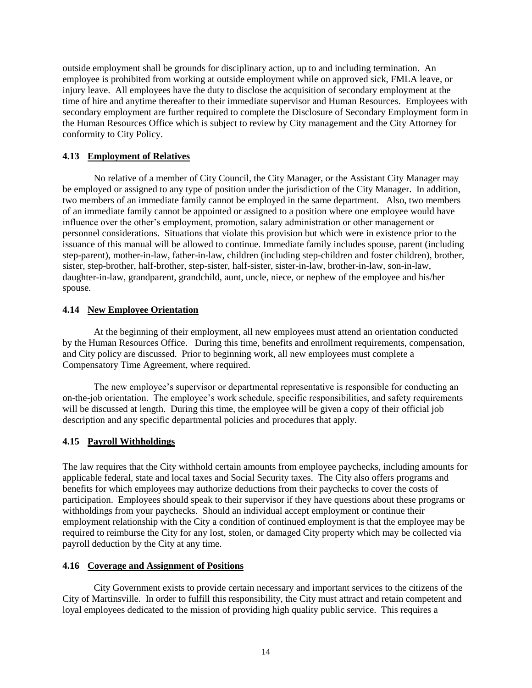outside employment shall be grounds for disciplinary action, up to and including termination. An employee is prohibited from working at outside employment while on approved sick, FMLA leave, or injury leave. All employees have the duty to disclose the acquisition of secondary employment at the time of hire and anytime thereafter to their immediate supervisor and Human Resources. Employees with secondary employment are further required to complete the Disclosure of Secondary Employment form in the Human Resources Office which is subject to review by City management and the City Attorney for conformity to City Policy.

## <span id="page-13-0"></span>**4.13 Employment of Relatives**

No relative of a member of City Council, the City Manager, or the Assistant City Manager may be employed or assigned to any type of position under the jurisdiction of the City Manager. In addition, two members of an immediate family cannot be employed in the same department. Also, two members of an immediate family cannot be appointed or assigned to a position where one employee would have influence over the other's employment, promotion, salary administration or other management or personnel considerations. Situations that violate this provision but which were in existence prior to the issuance of this manual will be allowed to continue. Immediate family includes spouse, parent (including step-parent), mother-in-law, father-in-law, children (including step-children and foster children), brother, sister, step-brother, half-brother, step-sister, half-sister, sister-in-law, brother-in-law, son-in-law, daughter-in-law, grandparent, grandchild, aunt, uncle, niece, or nephew of the employee and his/her spouse.

# <span id="page-13-1"></span>**4.14 New Employee Orientation**

At the beginning of their employment, all new employees must attend an orientation conducted by the Human Resources Office. During this time, benefits and enrollment requirements, compensation, and City policy are discussed. Prior to beginning work, all new employees must complete a Compensatory Time Agreement, where required.

The new employee's supervisor or departmental representative is responsible for conducting an on-the-job orientation. The employee's work schedule, specific responsibilities, and safety requirements will be discussed at length. During this time, the employee will be given a copy of their official job description and any specific departmental policies and procedures that apply.

# <span id="page-13-2"></span>**4.15 Payroll Withholdings**

The law requires that the City withhold certain amounts from employee paychecks, including amounts for applicable federal, state and local taxes and Social Security taxes. The City also offers programs and benefits for which employees may authorize deductions from their paychecks to cover the costs of participation. Employees should speak to their supervisor if they have questions about these programs or withholdings from your paychecks. Should an individual accept employment or continue their employment relationship with the City a condition of continued employment is that the employee may be required to reimburse the City for any lost, stolen, or damaged City property which may be collected via payroll deduction by the City at any time.

### <span id="page-13-3"></span>**4.16 Coverage and Assignment of Positions**

City Government exists to provide certain necessary and important services to the citizens of the City of Martinsville. In order to fulfill this responsibility, the City must attract and retain competent and loyal employees dedicated to the mission of providing high quality public service. This requires a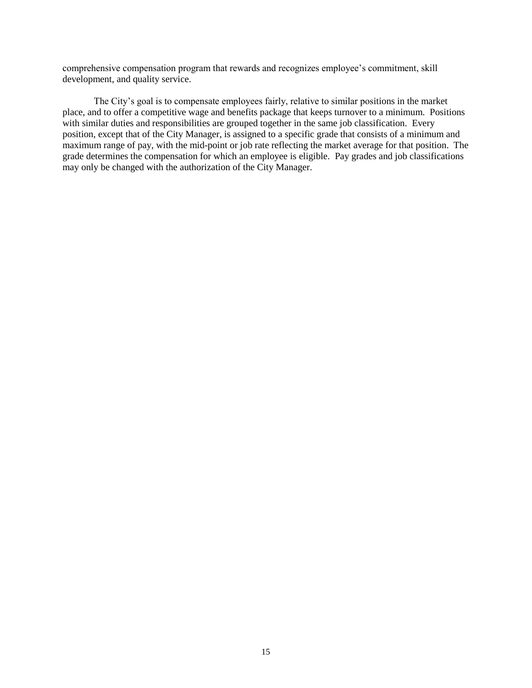comprehensive compensation program that rewards and recognizes employee's commitment, skill development, and quality service.

The City's goal is to compensate employees fairly, relative to similar positions in the market place, and to offer a competitive wage and benefits package that keeps turnover to a minimum. Positions with similar duties and responsibilities are grouped together in the same job classification. Every position, except that of the City Manager, is assigned to a specific grade that consists of a minimum and maximum range of pay, with the mid-point or job rate reflecting the market average for that position. The grade determines the compensation for which an employee is eligible. Pay grades and job classifications may only be changed with the authorization of the City Manager.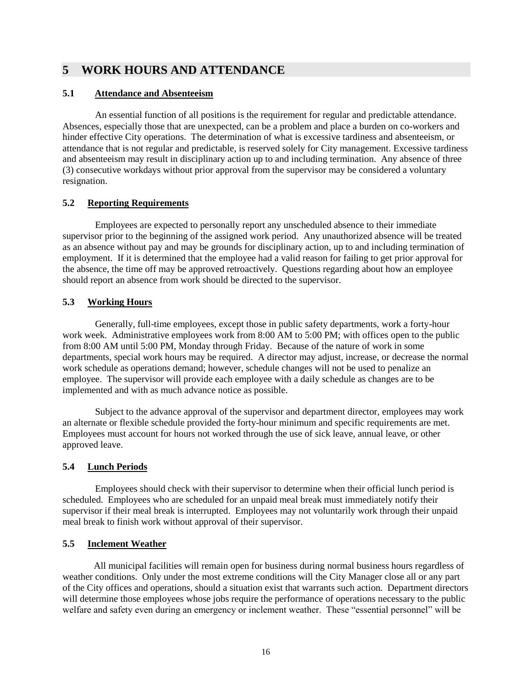# <span id="page-15-0"></span>**5 WORK HOURS AND ATTENDANCE**

# <span id="page-15-1"></span>**5.1****Attendance and Absenteeism**

An essential function of all positions is the requirement for regular and predictable attendance. Absences, especially those that are unexpected, can be a problem and place a burden on co-workers and hinder effective City operations. The determination of what is excessive tardiness and absenteeism, or attendance that is not regular and predictable, is reserved solely for City management. Excessive tardiness and absenteeism may result in disciplinary action up to and including termination. Any absence of three (3) consecutive workdays without prior approval from the supervisor may be considered a voluntary resignation.

# <span id="page-15-2"></span>**5.2 Reporting Requirements**

Employees are expected to personally report any unscheduled absence to their immediate supervisor prior to the beginning of the assigned work period. Any unauthorized absence will be treated as an absence without pay and may be grounds for disciplinary action, up to and including termination of employment. If it is determined that the employee had a valid reason for failing to get prior approval for the absence, the time off may be approved retroactively. Questions regarding about how an employee should report an absence from work should be directed to the supervisor.

# <span id="page-15-3"></span>**5.3 Working Hours**

Generally, full-time employees, except those in public safety departments, work a forty-hour work week. Administrative employees work from 8:00 AM to 5:00 PM; with offices open to the public from 8:00 AM until 5:00 PM, Monday through Friday. Because of the nature of work in some departments, special work hours may be required. A director may adjust, increase, or decrease the normal work schedule as operations demand; however, schedule changes will not be used to penalize an employee. The supervisor will provide each employee with a daily schedule as changes are to be implemented and with as much advance notice as possible.

Subject to the advance approval of the supervisor and department director, employees may work an alternate or flexible schedule provided the forty-hour minimum and specific requirements are met. Employees must account for hours not worked through the use of sick leave, annual leave, or other approved leave.

# <span id="page-15-4"></span>**5.4 Lunch Periods**

Employees should check with their supervisor to determine when their official lunch period is scheduled. Employees who are scheduled for an unpaid meal break must immediately notify their supervisor if their meal break is interrupted. Employees may not voluntarily work through their unpaid meal break to finish work without approval of their supervisor.

### <span id="page-15-5"></span>**5.5 Inclement Weather**

All municipal facilities will remain open for business during normal business hours regardless of weather conditions. Only under the most extreme conditions will the City Manager close all or any part of the City offices and operations, should a situation exist that warrants such action. Department directors will determine those employees whose jobs require the performance of operations necessary to the public welfare and safety even during an emergency or inclement weather. These "essential personnel" will be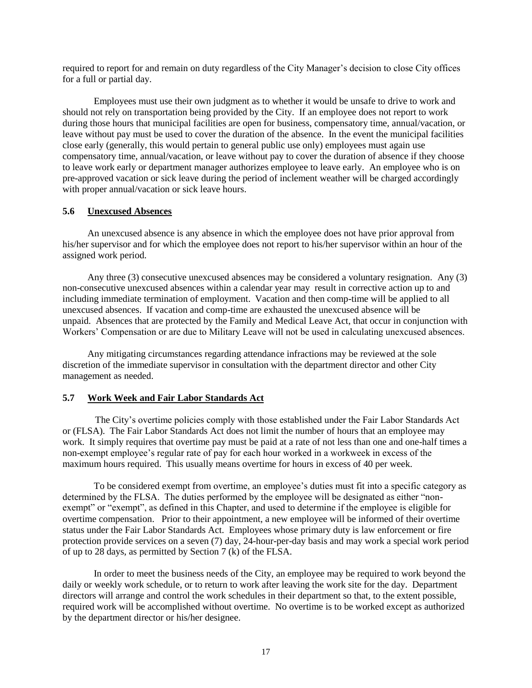required to report for and remain on duty regardless of the City Manager's decision to close City offices for a full or partial day.

Employees must use their own judgment as to whether it would be unsafe to drive to work and should not rely on transportation being provided by the City. If an employee does not report to work during those hours that municipal facilities are open for business, compensatory time, annual/vacation, or leave without pay must be used to cover the duration of the absence. In the event the municipal facilities close early (generally, this would pertain to general public use only) employees must again use compensatory time, annual/vacation, or leave without pay to cover the duration of absence if they choose to leave work early or department manager authorizes employee to leave early. An employee who is on pre-approved vacation or sick leave during the period of inclement weather will be charged accordingly with proper annual/vacation or sick leave hours.

#### <span id="page-16-0"></span>**5.6 Unexcused Absences**

An unexcused absence is any absence in which the employee does not have prior approval from his/her supervisor and for which the employee does not report to his/her supervisor within an hour of the assigned work period.

Any three (3) consecutive unexcused absences may be considered a voluntary resignation. Any (3) non-consecutive unexcused absences within a calendar year may result in corrective action up to and including immediate termination of employment. Vacation and then comp-time will be applied to all unexcused absences. If vacation and comp-time are exhausted the unexcused absence will be unpaid. Absences that are protected by the Family and Medical Leave Act, that occur in conjunction with Workers' Compensation or are due to Military Leave will not be used in calculating unexcused absences.

Any mitigating circumstances regarding attendance infractions may be reviewed at the sole discretion of the immediate supervisor in consultation with the department director and other City management as needed.

#### <span id="page-16-1"></span>**5.7 Work Week and Fair Labor Standards Act**

The City's overtime policies comply with those established under the Fair Labor Standards Act or (FLSA). The Fair Labor Standards Act does not limit the number of hours that an employee may work. It simply requires that overtime pay must be paid at a rate of not less than one and one-half times a non-exempt employee's regular rate of pay for each hour worked in a workweek in excess of the maximum hours required. This usually means overtime for hours in excess of 40 per week.

To be considered exempt from overtime, an employee's duties must fit into a specific category as determined by the FLSA. The duties performed by the employee will be designated as either "nonexempt" or "exempt", as defined in this Chapter, and used to determine if the employee is eligible for overtime compensation. Prior to their appointment, a new employee will be informed of their overtime status under the Fair Labor Standards Act. Employees whose primary duty is law enforcement or fire protection provide services on a seven (7) day, 24-hour-per-day basis and may work a special work period of up to 28 days, as permitted by Section 7 (k) of the FLSA.

In order to meet the business needs of the City, an employee may be required to work beyond the daily or weekly work schedule, or to return to work after leaving the work site for the day. Department directors will arrange and control the work schedules in their department so that, to the extent possible, required work will be accomplished without overtime. No overtime is to be worked except as authorized by the department director or his/her designee.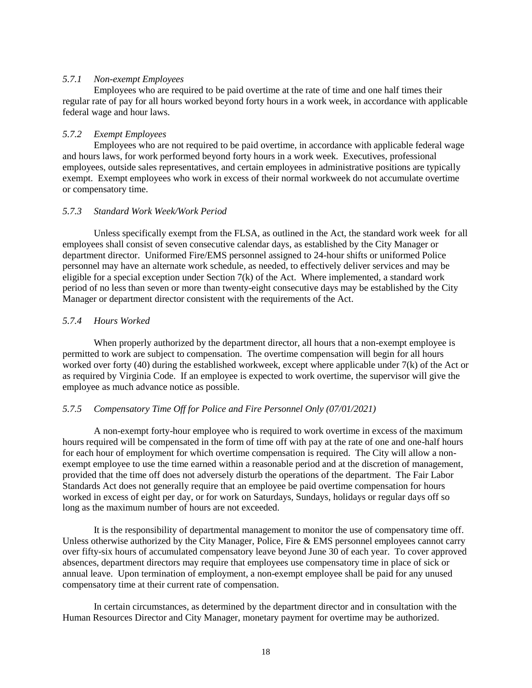#### <span id="page-17-0"></span>*5.7.1 Non-exempt Employees*

Employees who are required to be paid overtime at the rate of time and one half times their regular rate of pay for all hours worked beyond forty hours in a work week, in accordance with applicable federal wage and hour laws.

### <span id="page-17-1"></span>*5.7.2 Exempt Employees*

Employees who are not required to be paid overtime, in accordance with applicable federal wage and hours laws, for work performed beyond forty hours in a work week. Executives, professional employees, outside sales representatives, and certain employees in administrative positions are typically exempt. Exempt employees who work in excess of their normal workweek do not accumulate overtime or compensatory time.

#### <span id="page-17-2"></span>*5.7.3 Standard Work Week/Work Period*

Unless specifically exempt from the FLSA, as outlined in the Act, the standard work week for all employees shall consist of seven consecutive calendar days, as established by the City Manager or department director. Uniformed Fire/EMS personnel assigned to 24-hour shifts or uniformed Police personnel may have an alternate work schedule, as needed, to effectively deliver services and may be eligible for a special exception under Section  $7(k)$  of the Act. Where implemented, a standard work period of no less than seven or more than twenty-eight consecutive days may be established by the City Manager or department director consistent with the requirements of the Act.

### <span id="page-17-3"></span>*5.7.4 Hours Worked*

When properly authorized by the department director, all hours that a non-exempt employee is permitted to work are subject to compensation. The overtime compensation will begin for all hours worked over forty (40) during the established workweek, except where applicable under 7(k) of the Act or as required by Virginia Code. If an employee is expected to work overtime, the supervisor will give the employee as much advance notice as possible.

### <span id="page-17-4"></span>*5.7.5 Compensatory Time Off for Police and Fire Personnel Only (07/01/2021)*

A non-exempt forty-hour employee who is required to work overtime in excess of the maximum hours required will be compensated in the form of time off with pay at the rate of one and one-half hours for each hour of employment for which overtime compensation is required. The City will allow a nonexempt employee to use the time earned within a reasonable period and at the discretion of management, provided that the time off does not adversely disturb the operations of the department. The Fair Labor Standards Act does not generally require that an employee be paid overtime compensation for hours worked in excess of eight per day, or for work on Saturdays, Sundays, holidays or regular days off so long as the maximum number of hours are not exceeded.

It is the responsibility of departmental management to monitor the use of compensatory time off. Unless otherwise authorized by the City Manager, Police, Fire & EMS personnel employees cannot carry over fifty-six hours of accumulated compensatory leave beyond June 30 of each year. To cover approved absences, department directors may require that employees use compensatory time in place of sick or annual leave. Upon termination of employment, a non-exempt employee shall be paid for any unused compensatory time at their current rate of compensation.

In certain circumstances, as determined by the department director and in consultation with the Human Resources Director and City Manager, monetary payment for overtime may be authorized.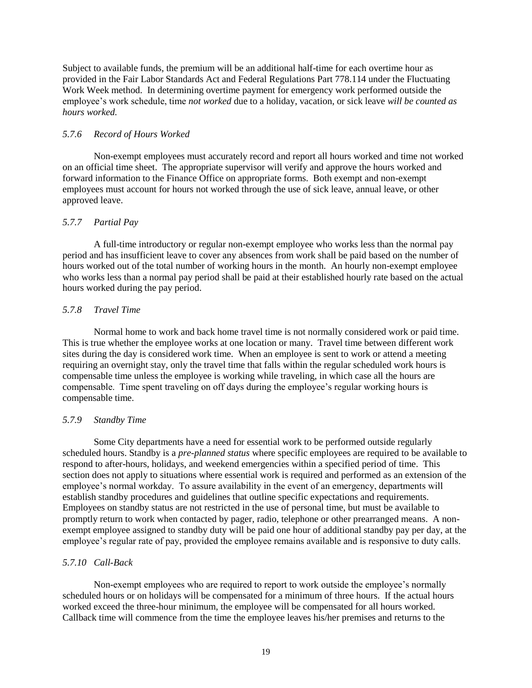Subject to available funds, the premium will be an additional half-time for each overtime hour as provided in the Fair Labor Standards Act and Federal Regulations Part 778.114 under the Fluctuating Work Week method. In determining overtime payment for emergency work performed outside the employee's work schedule, time *not worked* due to a holiday, vacation, or sick leave *will be counted as hours worked.*

### <span id="page-18-0"></span>*5.7.6 Record of Hours Worked*

Non-exempt employees must accurately record and report all hours worked and time not worked on an official time sheet. The appropriate supervisor will verify and approve the hours worked and forward information to the Finance Office on appropriate forms. Both exempt and non-exempt employees must account for hours not worked through the use of sick leave, annual leave, or other approved leave.

#### <span id="page-18-1"></span>*5.7.7 Partial Pay*

A full-time introductory or regular non-exempt employee who works less than the normal pay period and has insufficient leave to cover any absences from work shall be paid based on the number of hours worked out of the total number of working hours in the month. An hourly non-exempt employee who works less than a normal pay period shall be paid at their established hourly rate based on the actual hours worked during the pay period.

#### <span id="page-18-2"></span>*5.7.8 Travel Time*

Normal home to work and back home travel time is not normally considered work or paid time. This is true whether the employee works at one location or many. Travel time between different work sites during the day is considered work time. When an employee is sent to work or attend a meeting requiring an overnight stay, only the travel time that falls within the regular scheduled work hours is compensable time unless the employee is working while traveling, in which case all the hours are compensable. Time spent traveling on off days during the employee's regular working hours is compensable time.

#### <span id="page-18-3"></span>*5.7.9 Standby Time*

Some City departments have a need for essential work to be performed outside regularly scheduled hours. Standby is a *pre-planned status* where specific employees are required to be available to respond to after-hours, holidays, and weekend emergencies within a specified period of time. This section does not apply to situations where essential work is required and performed as an extension of the employee's normal workday. To assure availability in the event of an emergency, departments will establish standby procedures and guidelines that outline specific expectations and requirements. Employees on standby status are not restricted in the use of personal time, but must be available to promptly return to work when contacted by pager, radio, telephone or other prearranged means. A nonexempt employee assigned to standby duty will be paid one hour of additional standby pay per day, at the employee's regular rate of pay, provided the employee remains available and is responsive to duty calls.

#### <span id="page-18-4"></span>*5.7.10 Call-Back*

Non-exempt employees who are required to report to work outside the employee's normally scheduled hours or on holidays will be compensated for a minimum of three hours. If the actual hours worked exceed the three-hour minimum, the employee will be compensated for all hours worked. Callback time will commence from the time the employee leaves his/her premises and returns to the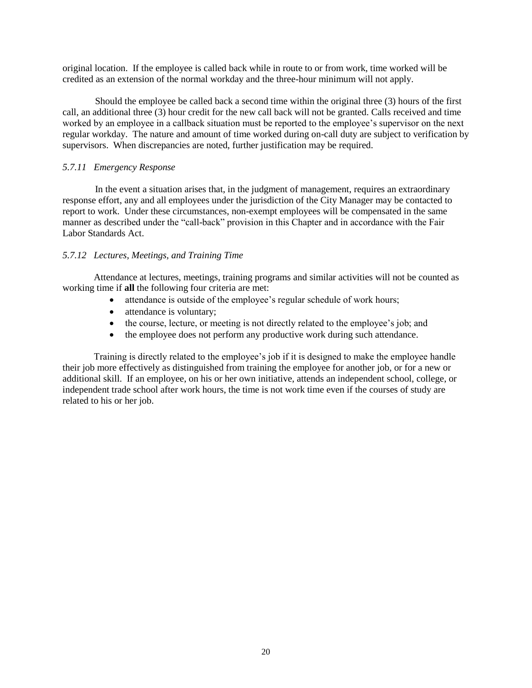original location. If the employee is called back while in route to or from work, time worked will be credited as an extension of the normal workday and the three-hour minimum will not apply.

Should the employee be called back a second time within the original three (3) hours of the first call, an additional three (3) hour credit for the new call back will not be granted. Calls received and time worked by an employee in a callback situation must be reported to the employee's supervisor on the next regular workday. The nature and amount of time worked during on-call duty are subject to verification by supervisors. When discrepancies are noted, further justification may be required.

### <span id="page-19-0"></span>*5.7.11 Emergency Response*

In the event a situation arises that, in the judgment of management, requires an extraordinary response effort, any and all employees under the jurisdiction of the City Manager may be contacted to report to work. Under these circumstances, non-exempt employees will be compensated in the same manner as described under the "call-back" provision in this Chapter and in accordance with the Fair Labor Standards Act.

#### <span id="page-19-1"></span>*5.7.12 Lectures, Meetings, and Training Time*

Attendance at lectures, meetings, training programs and similar activities will not be counted as working time if **all** the following four criteria are met:

- attendance is outside of the employee's regular schedule of work hours;
- attendance is voluntary;
- the course, lecture, or meeting is not directly related to the employee's job; and
- the employee does not perform any productive work during such attendance.

Training is directly related to the employee's job if it is designed to make the employee handle their job more effectively as distinguished from training the employee for another job, or for a new or additional skill. If an employee, on his or her own initiative, attends an independent school, college, or independent trade school after work hours, the time is not work time even if the courses of study are related to his or her job.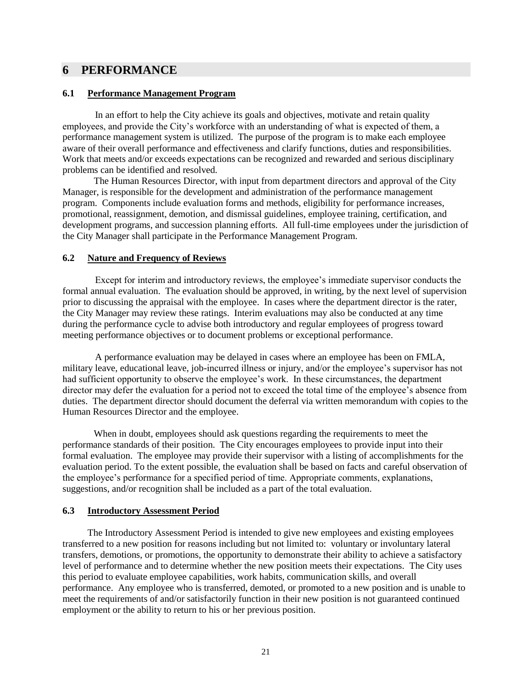# <span id="page-20-0"></span>**6 PERFORMANCE**

#### <span id="page-20-1"></span>**6.1 Performance Management Program**

In an effort to help the City achieve its goals and objectives, motivate and retain quality employees, and provide the City's workforce with an understanding of what is expected of them, a performance management system is utilized. The purpose of the program is to make each employee aware of their overall performance and effectiveness and clarify functions, duties and responsibilities. Work that meets and/or exceeds expectations can be recognized and rewarded and serious disciplinary problems can be identified and resolved.

The Human Resources Director, with input from department directors and approval of the City Manager, is responsible for the development and administration of the performance management program. Components include evaluation forms and methods, eligibility for performance increases, promotional, reassignment, demotion, and dismissal guidelines, employee training, certification, and development programs, and succession planning efforts. All full-time employees under the jurisdiction of the City Manager shall participate in the Performance Management Program.

### <span id="page-20-2"></span>**6.2 Nature and Frequency of Reviews**

Except for interim and introductory reviews, the employee's immediate supervisor conducts the formal annual evaluation. The evaluation should be approved, in writing, by the next level of supervision prior to discussing the appraisal with the employee. In cases where the department director is the rater, the City Manager may review these ratings. Interim evaluations may also be conducted at any time during the performance cycle to advise both introductory and regular employees of progress toward meeting performance objectives or to document problems or exceptional performance.

A performance evaluation may be delayed in cases where an employee has been on FMLA, military leave, educational leave, job-incurred illness or injury, and/or the employee's supervisor has not had sufficient opportunity to observe the employee's work. In these circumstances, the department director may defer the evaluation for a period not to exceed the total time of the employee's absence from duties. The department director should document the deferral via written memorandum with copies to the Human Resources Director and the employee.

When in doubt, employees should ask questions regarding the requirements to meet the performance standards of their position. The City encourages employees to provide input into their formal evaluation. The employee may provide their supervisor with a listing of accomplishments for the evaluation period. To the extent possible, the evaluation shall be based on facts and careful observation of the employee's performance for a specified period of time. Appropriate comments, explanations, suggestions, and/or recognition shall be included as a part of the total evaluation.

### <span id="page-20-3"></span>**6.3 Introductory Assessment Period**

The Introductory Assessment Period is intended to give new employees and existing employees transferred to a new position for reasons including but not limited to: voluntary or involuntary lateral transfers, demotions, or promotions, the opportunity to demonstrate their ability to achieve a satisfactory level of performance and to determine whether the new position meets their expectations. The City uses this period to evaluate employee capabilities, work habits, communication skills, and overall performance. Any employee who is transferred, demoted, or promoted to a new position and is unable to meet the requirements of and/or satisfactorily function in their new position is not guaranteed continued employment or the ability to return to his or her previous position.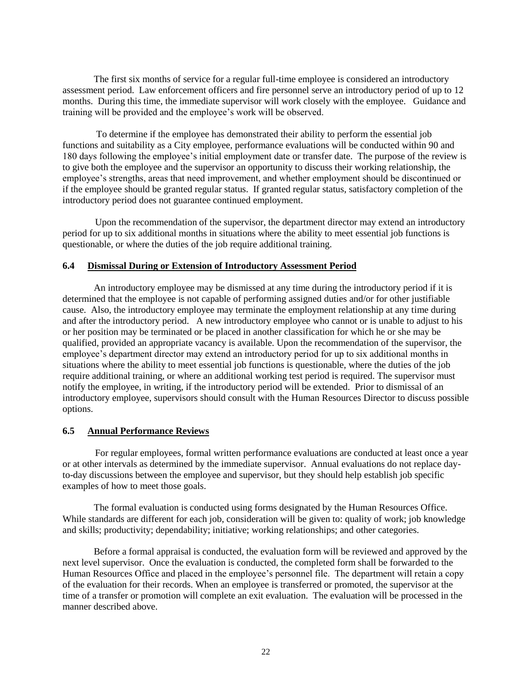The first six months of service for a regular full-time employee is considered an introductory assessment period. Law enforcement officers and fire personnel serve an introductory period of up to 12 months. During this time, the immediate supervisor will work closely with the employee. Guidance and training will be provided and the employee's work will be observed.

To determine if the employee has demonstrated their ability to perform the essential job functions and suitability as a City employee, performance evaluations will be conducted within 90 and 180 days following the employee's initial employment date or transfer date. The purpose of the review is to give both the employee and the supervisor an opportunity to discuss their working relationship, the employee's strengths, areas that need improvement, and whether employment should be discontinued or if the employee should be granted regular status. If granted regular status, satisfactory completion of the introductory period does not guarantee continued employment.

Upon the recommendation of the supervisor, the department director may extend an introductory period for up to six additional months in situations where the ability to meet essential job functions is questionable, or where the duties of the job require additional training.

#### <span id="page-21-0"></span>**6.4 Dismissal During or Extension of Introductory Assessment Period**

An introductory employee may be dismissed at any time during the introductory period if it is determined that the employee is not capable of performing assigned duties and/or for other justifiable cause. Also, the introductory employee may terminate the employment relationship at any time during and after the introductory period. A new introductory employee who cannot or is unable to adjust to his or her position may be terminated or be placed in another classification for which he or she may be qualified, provided an appropriate vacancy is available. Upon the recommendation of the supervisor, the employee's department director may extend an introductory period for up to six additional months in situations where the ability to meet essential job functions is questionable, where the duties of the job require additional training, or where an additional working test period is required. The supervisor must notify the employee, in writing, if the introductory period will be extended. Prior to dismissal of an introductory employee, supervisors should consult with the Human Resources Director to discuss possible options.

#### <span id="page-21-1"></span>**6.5 Annual Performance Reviews**

For regular employees, formal written performance evaluations are conducted at least once a year or at other intervals as determined by the immediate supervisor. Annual evaluations do not replace dayto-day discussions between the employee and supervisor, but they should help establish job specific examples of how to meet those goals.

The formal evaluation is conducted using forms designated by the Human Resources Office. While standards are different for each job, consideration will be given to: quality of work; job knowledge and skills; productivity; dependability; initiative; working relationships; and other categories.

Before a formal appraisal is conducted, the evaluation form will be reviewed and approved by the next level supervisor. Once the evaluation is conducted, the completed form shall be forwarded to the Human Resources Office and placed in the employee's personnel file. The department will retain a copy of the evaluation for their records. When an employee is transferred or promoted, the supervisor at the time of a transfer or promotion will complete an exit evaluation. The evaluation will be processed in the manner described above.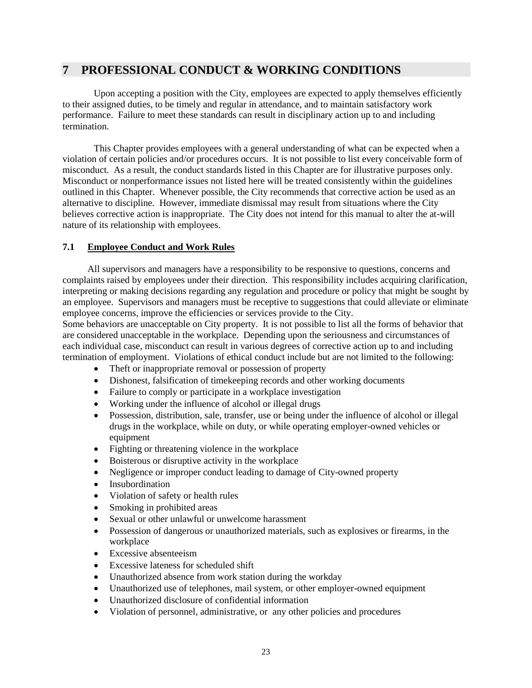# <span id="page-22-0"></span>**7 PROFESSIONAL CONDUCT & WORKING CONDITIONS**

Upon accepting a position with the City, employees are expected to apply themselves efficiently to their assigned duties, to be timely and regular in attendance, and to maintain satisfactory work performance. Failure to meet these standards can result in disciplinary action up to and including termination.

This Chapter provides employees with a general understanding of what can be expected when a violation of certain policies and/or procedures occurs. It is not possible to list every conceivable form of misconduct. As a result, the conduct standards listed in this Chapter are for illustrative purposes only. Misconduct or nonperformance issues not listed here will be treated consistently within the guidelines outlined in this Chapter. Whenever possible, the City recommends that corrective action be used as an alternative to discipline. However, immediate dismissal may result from situations where the City believes corrective action is inappropriate. The City does not intend for this manual to alter the at-will nature of its relationship with employees.

# <span id="page-22-1"></span>**7.1 Employee Conduct and Work Rules**

All supervisors and managers have a responsibility to be responsive to questions, concerns and complaints raised by employees under their direction. This responsibility includes acquiring clarification, interpreting or making decisions regarding any regulation and procedure or policy that might be sought by an employee. Supervisors and managers must be receptive to suggestions that could alleviate or eliminate employee concerns, improve the efficiencies or services provide to the City.

Some behaviors are unacceptable on City property. It is not possible to list all the forms of behavior that are considered unacceptable in the workplace. Depending upon the seriousness and circumstances of each individual case, misconduct can result in various degrees of corrective action up to and including termination of employment. Violations of ethical conduct include but are not limited to the following:

- Theft or inappropriate removal or possession of property
- Dishonest, falsification of timekeeping records and other working documents
- Failure to comply or participate in a workplace investigation
- Working under the influence of alcohol or illegal drugs
- Possession, distribution, sale, transfer, use or being under the influence of alcohol or illegal drugs in the workplace, while on duty, or while operating employer-owned vehicles or equipment
- Fighting or threatening violence in the workplace
- Boisterous or disruptive activity in the workplace
- Negligence or improper conduct leading to damage of City-owned property
- Insubordination
- Violation of safety or health rules
- Smoking in prohibited areas
- Sexual or other unlawful or unwelcome harassment
- Possession of dangerous or unauthorized materials, such as explosives or firearms, in the workplace
- Excessive absenteeism
- Excessive lateness for scheduled shift
- Unauthorized absence from work station during the workday
- Unauthorized use of telephones, mail system, or other employer-owned equipment
- Unauthorized disclosure of confidential information
- Violation of personnel, administrative, or any other policies and procedures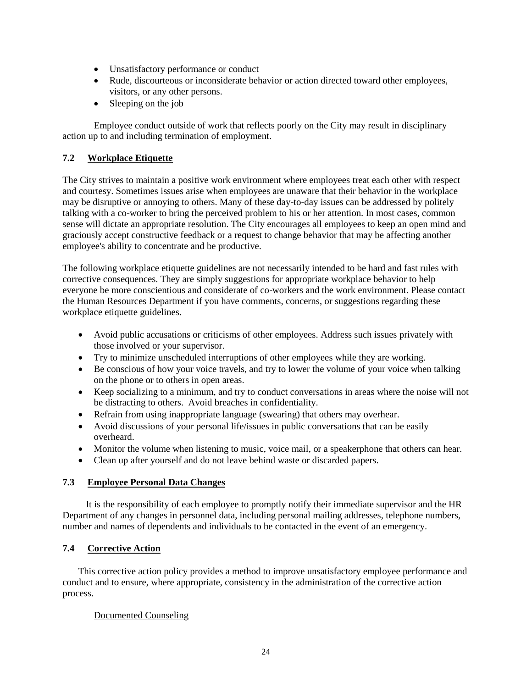- Unsatisfactory performance or conduct
- Rude, discourteous or inconsiderate behavior or action directed toward other employees, visitors, or any other persons.
- Sleeping on the job

Employee conduct outside of work that reflects poorly on the City may result in disciplinary action up to and including termination of employment.

# <span id="page-23-0"></span>**7.2 Workplace Etiquette**

The City strives to maintain a positive work environment where employees treat each other with respect and courtesy. Sometimes issues arise when employees are unaware that their behavior in the workplace may be disruptive or annoying to others. Many of these day-to-day issues can be addressed by politely talking with a co-worker to bring the perceived problem to his or her attention. In most cases, common sense will dictate an appropriate resolution. The City encourages all employees to keep an open mind and graciously accept constructive feedback or a request to change behavior that may be affecting another employee's ability to concentrate and be productive.

The following workplace etiquette guidelines are not necessarily intended to be hard and fast rules with corrective consequences. They are simply suggestions for appropriate workplace behavior to help everyone be more conscientious and considerate of co-workers and the work environment. Please contact the Human Resources Department if you have comments, concerns, or suggestions regarding these workplace etiquette guidelines.

- Avoid public accusations or criticisms of other employees. Address such issues privately with those involved or your supervisor.
- Try to minimize unscheduled interruptions of other employees while they are working.
- Be conscious of how your voice travels, and try to lower the volume of your voice when talking on the phone or to others in open areas.
- Keep socializing to a minimum, and try to conduct conversations in areas where the noise will not be distracting to others. Avoid breaches in confidentiality.
- Refrain from using inappropriate language (swearing) that others may overhear.
- Avoid discussions of your personal life/issues in public conversations that can be easily overheard.
- Monitor the volume when listening to music, voice mail, or a speakerphone that others can hear.
- Clean up after yourself and do not leave behind waste or discarded papers.

# <span id="page-23-1"></span>**7.3 Employee Personal Data Changes**

It is the responsibility of each employee to promptly notify their immediate supervisor and the HR Department of any changes in personnel data, including personal mailing addresses, telephone numbers, number and names of dependents and individuals to be contacted in the event of an emergency.

### <span id="page-23-2"></span>**7.4 Corrective Action**

This corrective action policy provides a method to improve unsatisfactory employee performance and conduct and to ensure, where appropriate, consistency in the administration of the corrective action process.

### Documented Counseling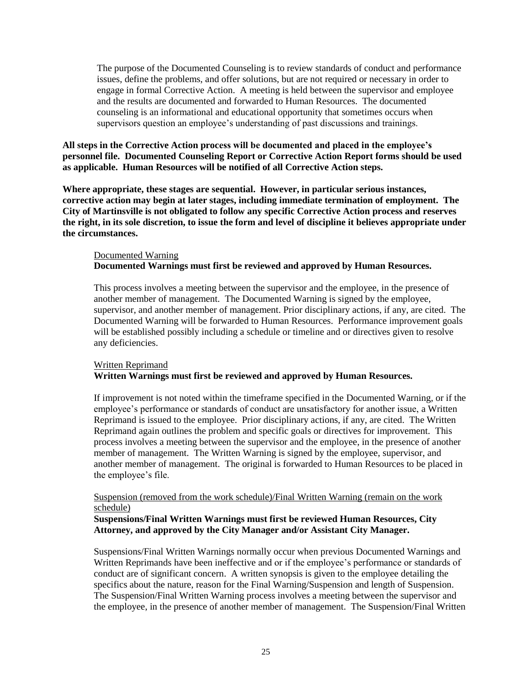The purpose of the Documented Counseling is to review standards of conduct and performance issues, define the problems, and offer solutions, but are not required or necessary in order to engage in formal Corrective Action. A meeting is held between the supervisor and employee and the results are documented and forwarded to Human Resources. The documented counseling is an informational and educational opportunity that sometimes occurs when supervisors question an employee's understanding of past discussions and trainings.

### **All steps in the Corrective Action process will be documented and placed in the employee's personnel file. Documented Counseling Report or Corrective Action Report forms should be used as applicable. Human Resources will be notified of all Corrective Action steps.**

**Where appropriate, these stages are sequential. However, in particular serious instances, corrective action may begin at later stages, including immediate termination of employment. The City of Martinsville is not obligated to follow any specific Corrective Action process and reserves the right, in its sole discretion, to issue the form and level of discipline it believes appropriate under the circumstances.**

## Documented Warning **Documented Warnings must first be reviewed and approved by Human Resources.**

This process involves a meeting between the supervisor and the employee, in the presence of another member of management. The Documented Warning is signed by the employee, supervisor, and another member of management. Prior disciplinary actions, if any, are cited. The Documented Warning will be forwarded to Human Resources. Performance improvement goals will be established possibly including a schedule or timeline and or directives given to resolve any deficiencies.

# Written Reprimand **Written Warnings must first be reviewed and approved by Human Resources.**

If improvement is not noted within the timeframe specified in the Documented Warning, or if the employee's performance or standards of conduct are unsatisfactory for another issue, a Written Reprimand is issued to the employee. Prior disciplinary actions, if any, are cited. The Written Reprimand again outlines the problem and specific goals or directives for improvement. This process involves a meeting between the supervisor and the employee, in the presence of another member of management. The Written Warning is signed by the employee, supervisor, and another member of management. The original is forwarded to Human Resources to be placed in the employee's file.

#### Suspension (removed from the work schedule)/Final Written Warning (remain on the work schedule)

### **Suspensions/Final Written Warnings must first be reviewed Human Resources, City Attorney, and approved by the City Manager and/or Assistant City Manager.**

Suspensions/Final Written Warnings normally occur when previous Documented Warnings and Written Reprimands have been ineffective and or if the employee's performance or standards of conduct are of significant concern. A written synopsis is given to the employee detailing the specifics about the nature, reason for the Final Warning/Suspension and length of Suspension. The Suspension/Final Written Warning process involves a meeting between the supervisor and the employee, in the presence of another member of management. The Suspension/Final Written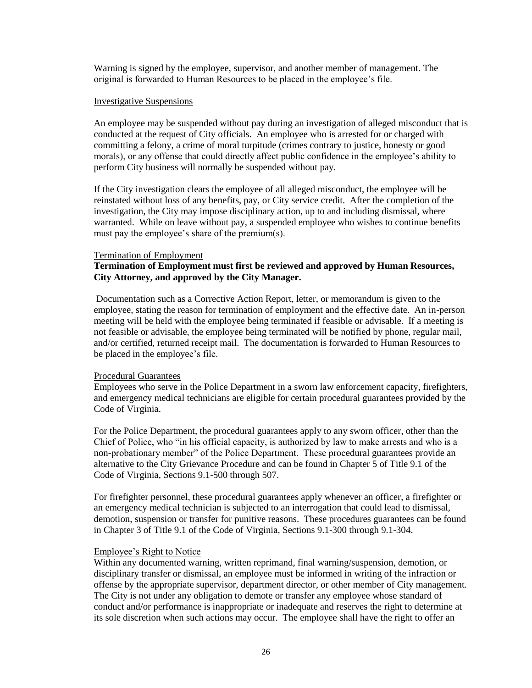Warning is signed by the employee, supervisor, and another member of management. The original is forwarded to Human Resources to be placed in the employee's file.

#### Investigative Suspensions

An employee may be suspended without pay during an investigation of alleged misconduct that is conducted at the request of City officials. An employee who is arrested for or charged with committing a felony, a crime of moral turpitude (crimes contrary to justice, honesty or good morals), or any offense that could directly affect public confidence in the employee's ability to perform City business will normally be suspended without pay.

If the City investigation clears the employee of all alleged misconduct, the employee will be reinstated without loss of any benefits, pay, or City service credit. After the completion of the investigation, the City may impose disciplinary action, up to and including dismissal, where warranted. While on leave without pay, a suspended employee who wishes to continue benefits must pay the employee's share of the premium(s).

#### Termination of Employment

### **Termination of Employment must first be reviewed and approved by Human Resources, City Attorney, and approved by the City Manager.**

Documentation such as a Corrective Action Report, letter, or memorandum is given to the employee, stating the reason for termination of employment and the effective date. An in-person meeting will be held with the employee being terminated if feasible or advisable. If a meeting is not feasible or advisable, the employee being terminated will be notified by phone, regular mail, and/or certified, returned receipt mail. The documentation is forwarded to Human Resources to be placed in the employee's file.

#### Procedural Guarantees

Employees who serve in the Police Department in a sworn law enforcement capacity, firefighters, and emergency medical technicians are eligible for certain procedural guarantees provided by the Code of Virginia.

For the Police Department, the procedural guarantees apply to any sworn officer, other than the Chief of Police, who "in his official capacity, is authorized by law to make arrests and who is a non-probationary member" of the Police Department. These procedural guarantees provide an alternative to the City Grievance Procedure and can be found in Chapter 5 of Title 9.1 of the Code of Virginia, Sections 9.1-500 through 507.

For firefighter personnel, these procedural guarantees apply whenever an officer, a firefighter or an emergency medical technician is subjected to an interrogation that could lead to dismissal, demotion, suspension or transfer for punitive reasons. These procedures guarantees can be found in Chapter 3 of Title 9.1 of the Code of Virginia, Sections 9.1-300 through 9.1-304.

#### Employee's Right to Notice

Within any documented warning, written reprimand, final warning/suspension, demotion, or disciplinary transfer or dismissal, an employee must be informed in writing of the infraction or offense by the appropriate supervisor, department director, or other member of City management. The City is not under any obligation to demote or transfer any employee whose standard of conduct and/or performance is inappropriate or inadequate and reserves the right to determine at its sole discretion when such actions may occur. The employee shall have the right to offer an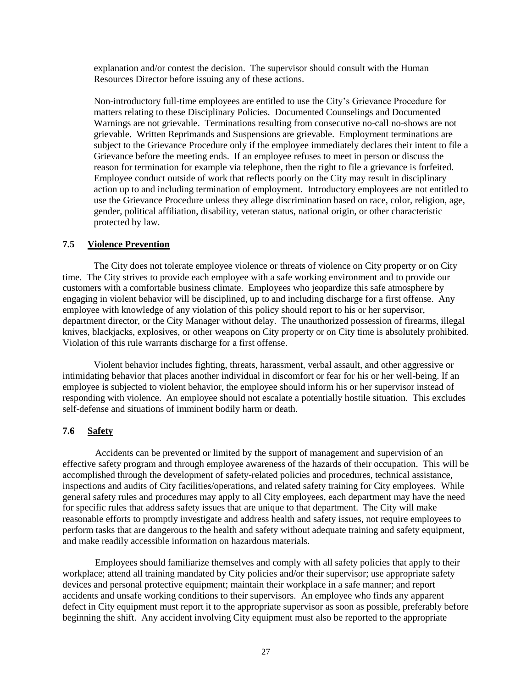explanation and/or contest the decision. The supervisor should consult with the Human Resources Director before issuing any of these actions.

Non-introductory full-time employees are entitled to use the City's Grievance Procedure for matters relating to these Disciplinary Policies. Documented Counselings and Documented Warnings are not grievable. Terminations resulting from consecutive no-call no-shows are not grievable. Written Reprimands and Suspensions are grievable. Employment terminations are subject to the Grievance Procedure only if the employee immediately declares their intent to file a Grievance before the meeting ends. If an employee refuses to meet in person or discuss the reason for termination for example via telephone, then the right to file a grievance is forfeited. Employee conduct outside of work that reflects poorly on the City may result in disciplinary action up to and including termination of employment. Introductory employees are not entitled to use the Grievance Procedure unless they allege discrimination based on race, color, religion, age, gender, political affiliation, disability, veteran status, national origin, or other characteristic protected by law.

#### <span id="page-26-0"></span>**7.5 Violence Prevention**

The City does not tolerate employee violence or threats of violence on City property or on City time. The City strives to provide each employee with a safe working environment and to provide our customers with a comfortable business climate. Employees who jeopardize this safe atmosphere by engaging in violent behavior will be disciplined, up to and including discharge for a first offense. Any employee with knowledge of any violation of this policy should report to his or her supervisor, department director, or the City Manager without delay. The unauthorized possession of firearms, illegal knives, blackjacks, explosives, or other weapons on City property or on City time is absolutely prohibited. Violation of this rule warrants discharge for a first offense.

Violent behavior includes fighting, threats, harassment, verbal assault, and other aggressive or intimidating behavior that places another individual in discomfort or fear for his or her well-being. If an employee is subjected to violent behavior, the employee should inform his or her supervisor instead of responding with violence. An employee should not escalate a potentially hostile situation. This excludes self-defense and situations of imminent bodily harm or death.

### <span id="page-26-1"></span>**7.6 Safety**

Accidents can be prevented or limited by the support of management and supervision of an effective safety program and through employee awareness of the hazards of their occupation. This will be accomplished through the development of safety-related policies and procedures, technical assistance, inspections and audits of City facilities/operations, and related safety training for City employees. While general safety rules and procedures may apply to all City employees, each department may have the need for specific rules that address safety issues that are unique to that department. The City will make reasonable efforts to promptly investigate and address health and safety issues, not require employees to perform tasks that are dangerous to the health and safety without adequate training and safety equipment, and make readily accessible information on hazardous materials.

Employees should familiarize themselves and comply with all safety policies that apply to their workplace; attend all training mandated by City policies and/or their supervisor; use appropriate safety devices and personal protective equipment; maintain their workplace in a safe manner; and report accidents and unsafe working conditions to their supervisors. An employee who finds any apparent defect in City equipment must report it to the appropriate supervisor as soon as possible, preferably before beginning the shift. Any accident involving City equipment must also be reported to the appropriate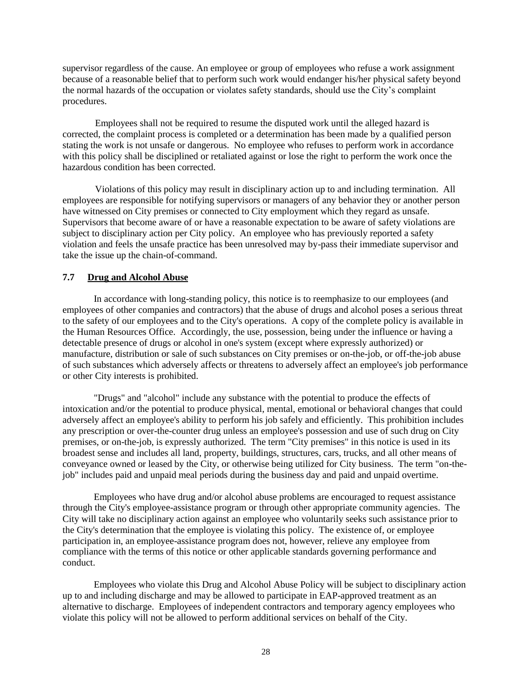supervisor regardless of the cause. An employee or group of employees who refuse a work assignment because of a reasonable belief that to perform such work would endanger his/her physical safety beyond the normal hazards of the occupation or violates safety standards, should use the City's complaint procedures.

Employees shall not be required to resume the disputed work until the alleged hazard is corrected, the complaint process is completed or a determination has been made by a qualified person stating the work is not unsafe or dangerous. No employee who refuses to perform work in accordance with this policy shall be disciplined or retaliated against or lose the right to perform the work once the hazardous condition has been corrected.

Violations of this policy may result in disciplinary action up to and including termination. All employees are responsible for notifying supervisors or managers of any behavior they or another person have witnessed on City premises or connected to City employment which they regard as unsafe. Supervisors that become aware of or have a reasonable expectation to be aware of safety violations are subject to disciplinary action per City policy. An employee who has previously reported a safety violation and feels the unsafe practice has been unresolved may by-pass their immediate supervisor and take the issue up the chain-of-command.

### <span id="page-27-0"></span>**7.7 Drug and Alcohol Abuse**

In accordance with long-standing policy, this notice is to reemphasize to our employees (and employees of other companies and contractors) that the abuse of drugs and alcohol poses a serious threat to the safety of our employees and to the City's operations. A copy of the complete policy is available in the Human Resources Office. Accordingly, the use, possession, being under the influence or having a detectable presence of drugs or alcohol in one's system (except where expressly authorized) or manufacture, distribution or sale of such substances on City premises or on-the-job, or off-the-job abuse of such substances which adversely affects or threatens to adversely affect an employee's job performance or other City interests is prohibited.

"Drugs" and "alcohol" include any substance with the potential to produce the effects of intoxication and/or the potential to produce physical, mental, emotional or behavioral changes that could adversely affect an employee's ability to perform his job safely and efficiently. This prohibition includes any prescription or over-the-counter drug unless an employee's possession and use of such drug on City premises, or on-the-job, is expressly authorized. The term "City premises" in this notice is used in its broadest sense and includes all land, property, buildings, structures, cars, trucks, and all other means of conveyance owned or leased by the City, or otherwise being utilized for City business. The term "on-thejob" includes paid and unpaid meal periods during the business day and paid and unpaid overtime.

Employees who have drug and/or alcohol abuse problems are encouraged to request assistance through the City's employee-assistance program or through other appropriate community agencies. The City will take no disciplinary action against an employee who voluntarily seeks such assistance prior to the City's determination that the employee is violating this policy. The existence of, or employee participation in, an employee-assistance program does not, however, relieve any employee from compliance with the terms of this notice or other applicable standards governing performance and conduct.

Employees who violate this Drug and Alcohol Abuse Policy will be subject to disciplinary action up to and including discharge and may be allowed to participate in EAP-approved treatment as an alternative to discharge. Employees of independent contractors and temporary agency employees who violate this policy will not be allowed to perform additional services on behalf of the City.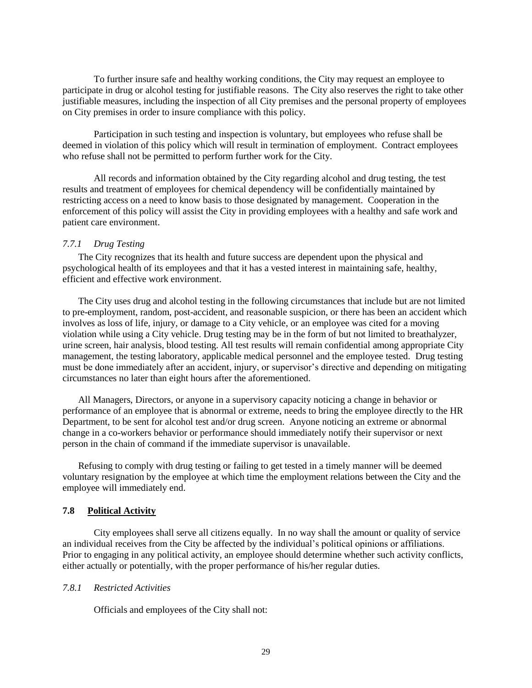To further insure safe and healthy working conditions, the City may request an employee to participate in drug or alcohol testing for justifiable reasons. The City also reserves the right to take other justifiable measures, including the inspection of all City premises and the personal property of employees on City premises in order to insure compliance with this policy.

 Participation in such testing and inspection is voluntary, but employees who refuse shall be deemed in violation of this policy which will result in termination of employment. Contract employees who refuse shall not be permitted to perform further work for the City.

All records and information obtained by the City regarding alcohol and drug testing, the test results and treatment of employees for chemical dependency will be confidentially maintained by restricting access on a need to know basis to those designated by management. Cooperation in the enforcement of this policy will assist the City in providing employees with a healthy and safe work and patient care environment.

#### <span id="page-28-0"></span>*7.7.1 Drug Testing*

The City recognizes that its health and future success are dependent upon the physical and psychological health of its employees and that it has a vested interest in maintaining safe, healthy, efficient and effective work environment.

The City uses drug and alcohol testing in the following circumstances that include but are not limited to pre-employment, random, post-accident, and reasonable suspicion, or there has been an accident which involves as loss of life, injury, or damage to a City vehicle, or an employee was cited for a moving violation while using a City vehicle. Drug testing may be in the form of but not limited to breathalyzer, urine screen, hair analysis, blood testing. All test results will remain confidential among appropriate City management, the testing laboratory, applicable medical personnel and the employee tested. Drug testing must be done immediately after an accident, injury, or supervisor's directive and depending on mitigating circumstances no later than eight hours after the aforementioned.

All Managers, Directors, or anyone in a supervisory capacity noticing a change in behavior or performance of an employee that is abnormal or extreme, needs to bring the employee directly to the HR Department, to be sent for alcohol test and/or drug screen. Anyone noticing an extreme or abnormal change in a co-workers behavior or performance should immediately notify their supervisor or next person in the chain of command if the immediate supervisor is unavailable.

Refusing to comply with drug testing or failing to get tested in a timely manner will be deemed voluntary resignation by the employee at which time the employment relations between the City and the employee will immediately end.

#### <span id="page-28-1"></span>**7.8 Political Activity**

City employees shall serve all citizens equally. In no way shall the amount or quality of service an individual receives from the City be affected by the individual's political opinions or affiliations. Prior to engaging in any political activity, an employee should determine whether such activity conflicts, either actually or potentially, with the proper performance of his/her regular duties.

#### <span id="page-28-2"></span>*7.8.1 Restricted Activities*

Officials and employees of the City shall not: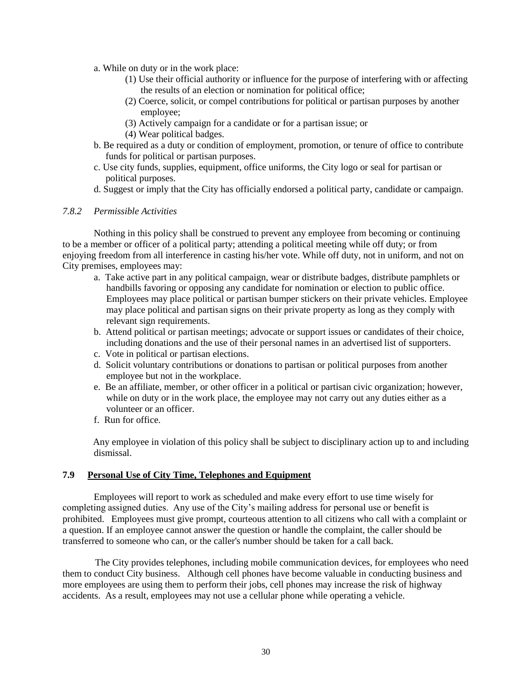- a. While on duty or in the work place:
	- (1) Use their official authority or influence for the purpose of interfering with or affecting the results of an election or nomination for political office;
	- (2) Coerce, solicit, or compel contributions for political or partisan purposes by another employee;
	- (3) Actively campaign for a candidate or for a partisan issue; or
	- (4) Wear political badges.
- b. Be required as a duty or condition of employment, promotion, or tenure of office to contribute funds for political or partisan purposes.
- c. Use city funds, supplies, equipment, office uniforms, the City logo or seal for partisan or political purposes.
- d. Suggest or imply that the City has officially endorsed a political party, candidate or campaign.

#### <span id="page-29-0"></span>*7.8.2 Permissible Activities*

Nothing in this policy shall be construed to prevent any employee from becoming or continuing to be a member or officer of a political party; attending a political meeting while off duty; or from enjoying freedom from all interference in casting his/her vote. While off duty, not in uniform, and not on City premises, employees may:

- a. Take active part in any political campaign, wear or distribute badges, distribute pamphlets or handbills favoring or opposing any candidate for nomination or election to public office. Employees may place political or partisan bumper stickers on their private vehicles. Employee may place political and partisan signs on their private property as long as they comply with relevant sign requirements.
- b. Attend political or partisan meetings; advocate or support issues or candidates of their choice, including donations and the use of their personal names in an advertised list of supporters.
- c. Vote in political or partisan elections.
- d. Solicit voluntary contributions or donations to partisan or political purposes from another employee but not in the workplace.
- e. Be an affiliate, member, or other officer in a political or partisan civic organization; however, while on duty or in the work place, the employee may not carry out any duties either as a volunteer or an officer.
- f. Run for office.

Any employee in violation of this policy shall be subject to disciplinary action up to and including dismissal.

### <span id="page-29-1"></span>**7.9 Personal Use of City Time, Telephones and Equipment**

Employees will report to work as scheduled and make every effort to use time wisely for completing assigned duties. Any use of the City's mailing address for personal use or benefit is prohibited. Employees must give prompt, courteous attention to all citizens who call with a complaint or a question. If an employee cannot answer the question or handle the complaint, the caller should be transferred to someone who can, or the caller's number should be taken for a call back.

The City provides telephones, including mobile communication devices, for employees who need them to conduct City business. Although cell phones have become valuable in conducting business and more employees are using them to perform their jobs, cell phones may increase the risk of highway accidents. As a result, employees may not use a cellular phone while operating a vehicle.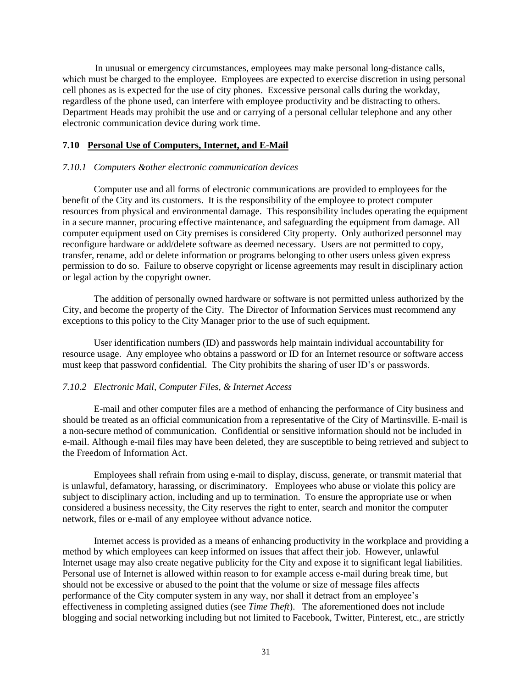In unusual or emergency circumstances, employees may make personal long-distance calls, which must be charged to the employee. Employees are expected to exercise discretion in using personal cell phones as is expected for the use of city phones. Excessive personal calls during the workday, regardless of the phone used, can interfere with employee productivity and be distracting to others. Department Heads may prohibit the use and or carrying of a personal cellular telephone and any other electronic communication device during work time.

### <span id="page-30-0"></span>**7.10 Personal Use of Computers, Internet, and E-Mail**

#### <span id="page-30-1"></span>*7.10.1 Computers &other electronic communication devices*

Computer use and all forms of electronic communications are provided to employees for the benefit of the City and its customers. It is the responsibility of the employee to protect computer resources from physical and environmental damage. This responsibility includes operating the equipment in a secure manner, procuring effective maintenance, and safeguarding the equipment from damage. All computer equipment used on City premises is considered City property. Only authorized personnel may reconfigure hardware or add/delete software as deemed necessary. Users are not permitted to copy, transfer, rename, add or delete information or programs belonging to other users unless given express permission to do so. Failure to observe copyright or license agreements may result in disciplinary action or legal action by the copyright owner.

The addition of personally owned hardware or software is not permitted unless authorized by the City, and become the property of the City. The Director of Information Services must recommend any exceptions to this policy to the City Manager prior to the use of such equipment.

User identification numbers (ID) and passwords help maintain individual accountability for resource usage. Any employee who obtains a password or ID for an Internet resource or software access must keep that password confidential. The City prohibits the sharing of user ID's or passwords.

#### <span id="page-30-2"></span>*7.10.2 Electronic Mail, Computer Files, & Internet Access*

E-mail and other computer files are a method of enhancing the performance of City business and should be treated as an official communication from a representative of the City of Martinsville. E-mail is a non-secure method of communication. Confidential or sensitive information should not be included in e-mail. Although e-mail files may have been deleted, they are susceptible to being retrieved and subject to the Freedom of Information Act.

Employees shall refrain from using e-mail to display, discuss, generate, or transmit material that is unlawful, defamatory, harassing, or discriminatory. Employees who abuse or violate this policy are subject to disciplinary action, including and up to termination. To ensure the appropriate use or when considered a business necessity, the City reserves the right to enter, search and monitor the computer network, files or e-mail of any employee without advance notice.

Internet access is provided as a means of enhancing productivity in the workplace and providing a method by which employees can keep informed on issues that affect their job. However, unlawful Internet usage may also create negative publicity for the City and expose it to significant legal liabilities. Personal use of Internet is allowed within reason to for example access e-mail during break time, but should not be excessive or abused to the point that the volume or size of message files affects performance of the City computer system in any way, nor shall it detract from an employee's effectiveness in completing assigned duties (see *Time Theft*). The aforementioned does not include blogging and social networking including but not limited to Facebook, Twitter, Pinterest, etc., are strictly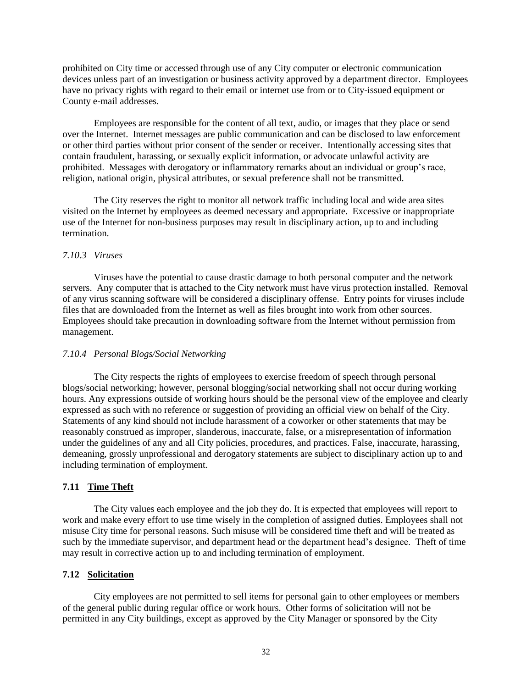prohibited on City time or accessed through use of any City computer or electronic communication devices unless part of an investigation or business activity approved by a department director. Employees have no privacy rights with regard to their email or internet use from or to City-issued equipment or County e-mail addresses.

Employees are responsible for the content of all text, audio, or images that they place or send over the Internet. Internet messages are public communication and can be disclosed to law enforcement or other third parties without prior consent of the sender or receiver. Intentionally accessing sites that contain fraudulent, harassing, or sexually explicit information, or advocate unlawful activity are prohibited. Messages with derogatory or inflammatory remarks about an individual or group's race, religion, national origin, physical attributes, or sexual preference shall not be transmitted.

The City reserves the right to monitor all network traffic including local and wide area sites visited on the Internet by employees as deemed necessary and appropriate. Excessive or inappropriate use of the Internet for non-business purposes may result in disciplinary action, up to and including termination.

#### <span id="page-31-0"></span>*7.10.3 Viruses*

Viruses have the potential to cause drastic damage to both personal computer and the network servers. Any computer that is attached to the City network must have virus protection installed. Removal of any virus scanning software will be considered a disciplinary offense. Entry points for viruses include files that are downloaded from the Internet as well as files brought into work from other sources. Employees should take precaution in downloading software from the Internet without permission from management.

#### <span id="page-31-1"></span>*7.10.4 Personal Blogs/Social Networking*

The City respects the rights of employees to exercise freedom of speech through personal blogs/social networking; however, personal blogging/social networking shall not occur during working hours. Any expressions outside of working hours should be the personal view of the employee and clearly expressed as such with no reference or suggestion of providing an official view on behalf of the City. Statements of any kind should not include harassment of a coworker or other statements that may be reasonably construed as improper, slanderous, inaccurate, false, or a misrepresentation of information under the guidelines of any and all City policies, procedures, and practices. False, inaccurate, harassing, demeaning, grossly unprofessional and derogatory statements are subject to disciplinary action up to and including termination of employment.

# <span id="page-31-2"></span>**7.11 Time Theft**

The City values each employee and the job they do. It is expected that employees will report to work and make every effort to use time wisely in the completion of assigned duties. Employees shall not misuse City time for personal reasons. Such misuse will be considered time theft and will be treated as such by the immediate supervisor, and department head or the department head's designee. Theft of time may result in corrective action up to and including termination of employment.

#### <span id="page-31-3"></span>**7.12 Solicitation**

City employees are not permitted to sell items for personal gain to other employees or members of the general public during regular office or work hours. Other forms of solicitation will not be permitted in any City buildings, except as approved by the City Manager or sponsored by the City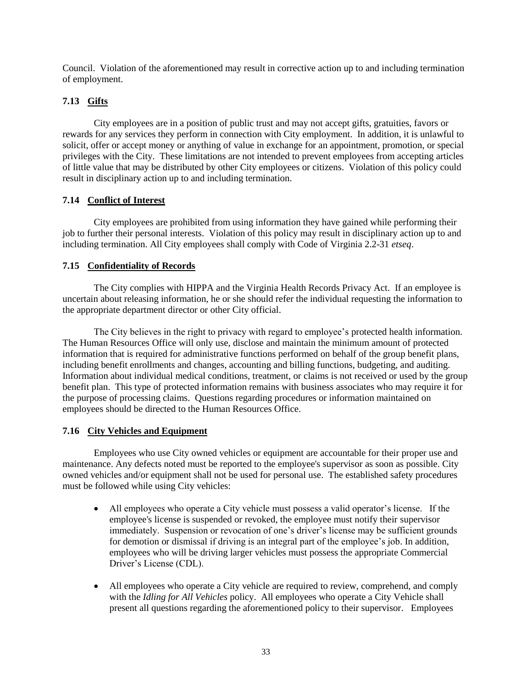Council. Violation of the aforementioned may result in corrective action up to and including termination of employment.

# <span id="page-32-0"></span>**7.13 Gifts**

City employees are in a position of public trust and may not accept gifts, gratuities, favors or rewards for any services they perform in connection with City employment. In addition, it is unlawful to solicit, offer or accept money or anything of value in exchange for an appointment, promotion, or special privileges with the City. These limitations are not intended to prevent employees from accepting articles of little value that may be distributed by other City employees or citizens. Violation of this policy could result in disciplinary action up to and including termination.

### <span id="page-32-1"></span>**7.14 Conflict of Interest**

City employees are prohibited from using information they have gained while performing their job to further their personal interests. Violation of this policy may result in disciplinary action up to and including termination. All City employees shall comply with Code of Virginia 2.2-31 *etseq*.

# <span id="page-32-2"></span>**7.15 Confidentiality of Records**

The City complies with HIPPA and the Virginia Health Records Privacy Act. If an employee is uncertain about releasing information, he or she should refer the individual requesting the information to the appropriate department director or other City official.

The City believes in the right to privacy with regard to employee's protected health information. The Human Resources Office will only use, disclose and maintain the minimum amount of protected information that is required for administrative functions performed on behalf of the group benefit plans, including benefit enrollments and changes, accounting and billing functions, budgeting, and auditing. Information about individual medical conditions, treatment, or claims is not received or used by the group benefit plan. This type of protected information remains with business associates who may require it for the purpose of processing claims. Questions regarding procedures or information maintained on employees should be directed to the Human Resources Office.

### <span id="page-32-3"></span>**7.16 City Vehicles and Equipment**

Employees who use City owned vehicles or equipment are accountable for their proper use and maintenance. Any defects noted must be reported to the employee's supervisor as soon as possible. City owned vehicles and/or equipment shall not be used for personal use. The established safety procedures must be followed while using City vehicles:

- All employees who operate a City vehicle must possess a valid operator's license. If the employee's license is suspended or revoked, the employee must notify their supervisor immediately. Suspension or revocation of one's driver's license may be sufficient grounds for demotion or dismissal if driving is an integral part of the employee's job. In addition, employees who will be driving larger vehicles must possess the appropriate Commercial Driver's License (CDL).
- All employees who operate a City vehicle are required to review, comprehend, and comply with the *Idling for All Vehicles* policy. All employees who operate a City Vehicle shall present all questions regarding the aforementioned policy to their supervisor. Employees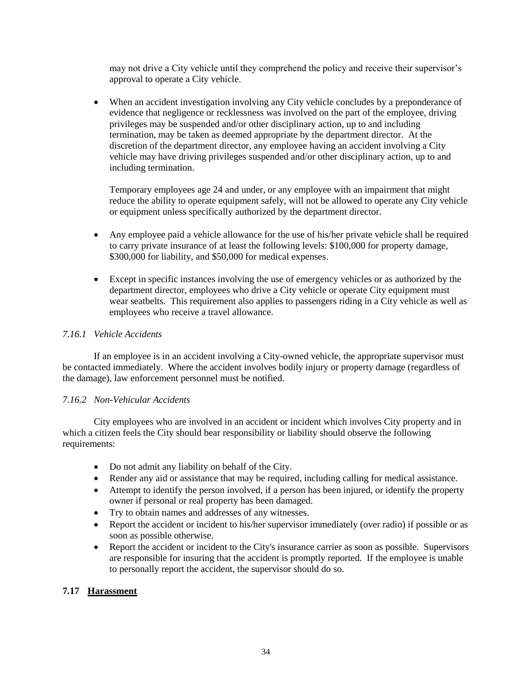may not drive a City vehicle until they comprehend the policy and receive their supervisor's approval to operate a City vehicle.

• When an accident investigation involving any City vehicle concludes by a preponderance of evidence that negligence or recklessness was involved on the part of the employee, driving privileges may be suspended and/or other disciplinary action, up to and including termination, may be taken as deemed appropriate by the department director. At the discretion of the department director, any employee having an accident involving a City vehicle may have driving privileges suspended and/or other disciplinary action, up to and including termination.

Temporary employees age 24 and under, or any employee with an impairment that might reduce the ability to operate equipment safely, will not be allowed to operate any City vehicle or equipment unless specifically authorized by the department director.

- Any employee paid a vehicle allowance for the use of his/her private vehicle shall be required to carry private insurance of at least the following levels: \$100,000 for property damage, \$300,000 for liability, and \$50,000 for medical expenses.
- Except in specific instances involving the use of emergency vehicles or as authorized by the department director, employees who drive a City vehicle or operate City equipment must wear seatbelts. This requirement also applies to passengers riding in a City vehicle as well as employees who receive a travel allowance.

# <span id="page-33-0"></span>*7.16.1 Vehicle Accidents*

If an employee is in an accident involving a City-owned vehicle, the appropriate supervisor must be contacted immediately. Where the accident involves bodily injury or property damage (regardless of the damage), law enforcement personnel must be notified.

### <span id="page-33-1"></span>*7.16.2 Non-Vehicular Accidents*

City employees who are involved in an accident or incident which involves City property and in which a citizen feels the City should bear responsibility or liability should observe the following requirements:

- Do not admit any liability on behalf of the City.
- Render any aid or assistance that may be required, including calling for medical assistance.
- Attempt to identify the person involved, if a person has been injured, or identify the property owner if personal or real property has been damaged.
- Try to obtain names and addresses of any witnesses.
- Report the accident or incident to his/her supervisor immediately (over radio) if possible or as soon as possible otherwise.
- Report the accident or incident to the City's insurance carrier as soon as possible. Supervisors are responsible for insuring that the accident is promptly reported. If the employee is unable to personally report the accident, the supervisor should do so.

### <span id="page-33-2"></span>**7.17 Harassment**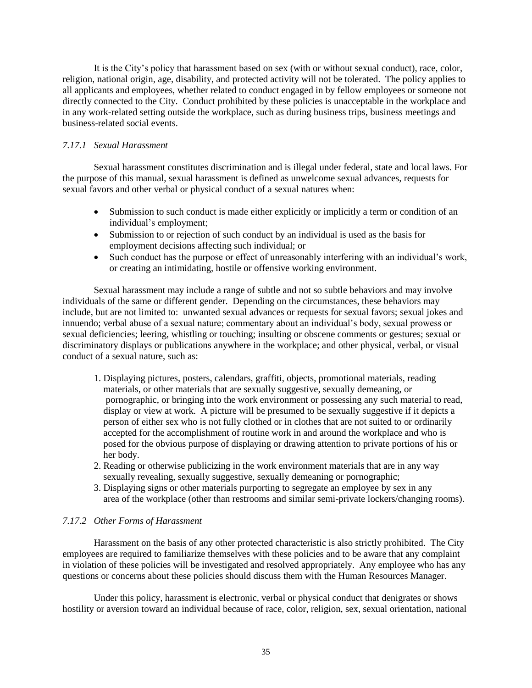It is the City's policy that harassment based on sex (with or without sexual conduct), race, color, religion, national origin, age, disability, and protected activity will not be tolerated. The policy applies to all applicants and employees, whether related to conduct engaged in by fellow employees or someone not directly connected to the City. Conduct prohibited by these policies is unacceptable in the workplace and in any work-related setting outside the workplace, such as during business trips, business meetings and business-related social events.

### <span id="page-34-0"></span>*7.17.1 Sexual Harassment*

Sexual harassment constitutes discrimination and is illegal under federal, state and local laws. For the purpose of this manual, sexual harassment is defined as unwelcome sexual advances, requests for sexual favors and other verbal or physical conduct of a sexual natures when:

- Submission to such conduct is made either explicitly or implicitly a term or condition of an individual's employment;
- Submission to or rejection of such conduct by an individual is used as the basis for employment decisions affecting such individual; or
- Such conduct has the purpose or effect of unreasonably interfering with an individual's work, or creating an intimidating, hostile or offensive working environment.

Sexual harassment may include a range of subtle and not so subtle behaviors and may involve individuals of the same or different gender. Depending on the circumstances, these behaviors may include, but are not limited to: unwanted sexual advances or requests for sexual favors; sexual jokes and innuendo; verbal abuse of a sexual nature; commentary about an individual's body, sexual prowess or sexual deficiencies; leering, whistling or touching; insulting or obscene comments or gestures; sexual or discriminatory displays or publications anywhere in the workplace; and other physical, verbal, or visual conduct of a sexual nature, such as:

- 1. Displaying pictures, posters, calendars, graffiti, objects, promotional materials, reading materials, or other materials that are sexually suggestive, sexually demeaning, or pornographic, or bringing into the work environment or possessing any such material to read, display or view at work. A picture will be presumed to be sexually suggestive if it depicts a person of either sex who is not fully clothed or in clothes that are not suited to or ordinarily accepted for the accomplishment of routine work in and around the workplace and who is posed for the obvious purpose of displaying or drawing attention to private portions of his or her body.
- 2. Reading or otherwise publicizing in the work environment materials that are in any way sexually revealing, sexually suggestive, sexually demeaning or pornographic;
- 3. Displaying signs or other materials purporting to segregate an employee by sex in any area of the workplace (other than restrooms and similar semi-private lockers/changing rooms).

#### <span id="page-34-1"></span>*7.17.2 Other Forms of Harassment*

Harassment on the basis of any other protected characteristic is also strictly prohibited. The City employees are required to familiarize themselves with these policies and to be aware that any complaint in violation of these policies will be investigated and resolved appropriately. Any employee who has any questions or concerns about these policies should discuss them with the Human Resources Manager.

Under this policy, harassment is electronic, verbal or physical conduct that denigrates or shows hostility or aversion toward an individual because of race, color, religion, sex, sexual orientation, national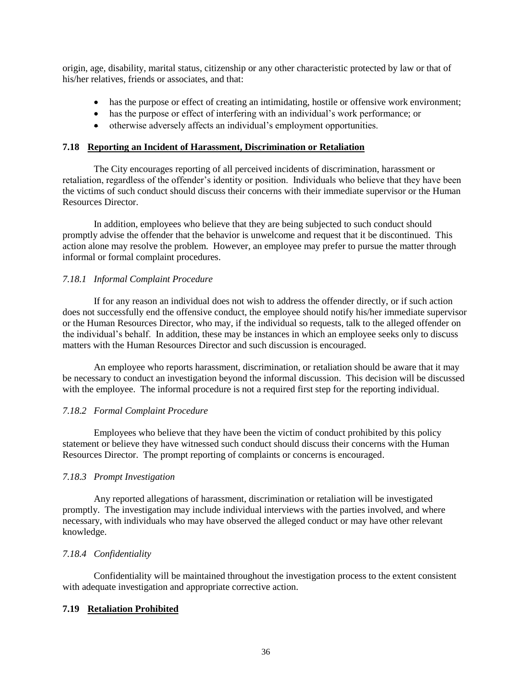origin, age, disability, marital status, citizenship or any other characteristic protected by law or that of his/her relatives, friends or associates, and that:

- has the purpose or effect of creating an intimidating, hostile or offensive work environment;
- has the purpose or effect of interfering with an individual's work performance; or
- otherwise adversely affects an individual's employment opportunities.

#### <span id="page-35-0"></span>**7.18 Reporting an Incident of Harassment, Discrimination or Retaliation**

The City encourages reporting of all perceived incidents of discrimination, harassment or retaliation, regardless of the offender's identity or position. Individuals who believe that they have been the victims of such conduct should discuss their concerns with their immediate supervisor or the Human Resources Director.

In addition, employees who believe that they are being subjected to such conduct should promptly advise the offender that the behavior is unwelcome and request that it be discontinued. This action alone may resolve the problem. However, an employee may prefer to pursue the matter through informal or formal complaint procedures.

#### <span id="page-35-1"></span>*7.18.1 Informal Complaint Procedure*

If for any reason an individual does not wish to address the offender directly, or if such action does not successfully end the offensive conduct, the employee should notify his/her immediate supervisor or the Human Resources Director, who may, if the individual so requests, talk to the alleged offender on the individual's behalf. In addition, these may be instances in which an employee seeks only to discuss matters with the Human Resources Director and such discussion is encouraged.

An employee who reports harassment, discrimination, or retaliation should be aware that it may be necessary to conduct an investigation beyond the informal discussion. This decision will be discussed with the employee. The informal procedure is not a required first step for the reporting individual.

#### <span id="page-35-2"></span>*7.18.2 Formal Complaint Procedure*

Employees who believe that they have been the victim of conduct prohibited by this policy statement or believe they have witnessed such conduct should discuss their concerns with the Human Resources Director. The prompt reporting of complaints or concerns is encouraged.

#### <span id="page-35-3"></span>*7.18.3 Prompt Investigation*

Any reported allegations of harassment, discrimination or retaliation will be investigated promptly. The investigation may include individual interviews with the parties involved, and where necessary, with individuals who may have observed the alleged conduct or may have other relevant knowledge.

### <span id="page-35-4"></span>*7.18.4 Confidentiality*

Confidentiality will be maintained throughout the investigation process to the extent consistent with adequate investigation and appropriate corrective action.

#### <span id="page-35-5"></span>**7.19 Retaliation Prohibited**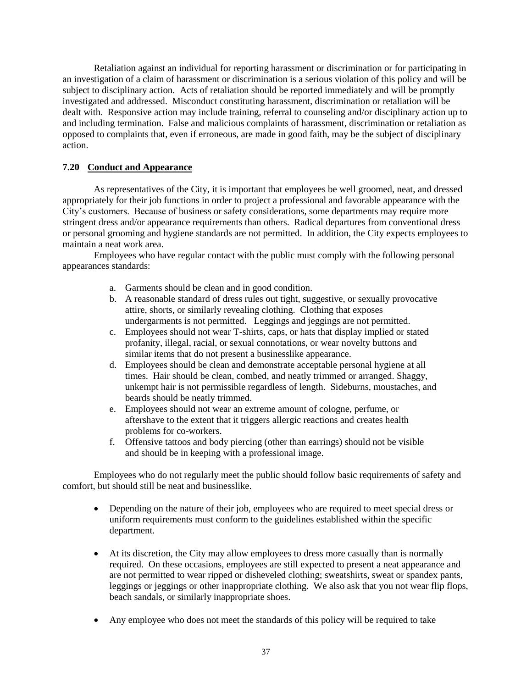Retaliation against an individual for reporting harassment or discrimination or for participating in an investigation of a claim of harassment or discrimination is a serious violation of this policy and will be subject to disciplinary action. Acts of retaliation should be reported immediately and will be promptly investigated and addressed. Misconduct constituting harassment, discrimination or retaliation will be dealt with. Responsive action may include training, referral to counseling and/or disciplinary action up to and including termination. False and malicious complaints of harassment, discrimination or retaliation as opposed to complaints that, even if erroneous, are made in good faith, may be the subject of disciplinary action.

# <span id="page-36-0"></span>**7.20 Conduct and Appearance**

As representatives of the City, it is important that employees be well groomed, neat, and dressed appropriately for their job functions in order to project a professional and favorable appearance with the City's customers. Because of business or safety considerations, some departments may require more stringent dress and/or appearance requirements than others. Radical departures from conventional dress or personal grooming and hygiene standards are not permitted. In addition, the City expects employees to maintain a neat work area.

Employees who have regular contact with the public must comply with the following personal appearances standards:

- a. Garments should be clean and in good condition.
- b. A reasonable standard of dress rules out tight, suggestive, or sexually provocative attire, shorts, or similarly revealing clothing. Clothing that exposes undergarments is not permitted. Leggings and jeggings are not permitted.
- c. Employees should not wear T-shirts, caps, or hats that display implied or stated profanity, illegal, racial, or sexual connotations, or wear novelty buttons and similar items that do not present a businesslike appearance.
- d. Employees should be clean and demonstrate acceptable personal hygiene at all times. Hair should be clean, combed, and neatly trimmed or arranged. Shaggy, unkempt hair is not permissible regardless of length. Sideburns, moustaches, and beards should be neatly trimmed.
- e. Employees should not wear an extreme amount of cologne, perfume, or aftershave to the extent that it triggers allergic reactions and creates health problems for co-workers.
- f. Offensive tattoos and body piercing (other than earrings) should not be visible and should be in keeping with a professional image.

Employees who do not regularly meet the public should follow basic requirements of safety and comfort, but should still be neat and businesslike.

- Depending on the nature of their job, employees who are required to meet special dress or uniform requirements must conform to the guidelines established within the specific department.
- At its discretion, the City may allow employees to dress more casually than is normally required. On these occasions, employees are still expected to present a neat appearance and are not permitted to wear ripped or disheveled clothing; sweatshirts, sweat or spandex pants, leggings or jeggings or other inappropriate clothing. We also ask that you not wear flip flops, beach sandals, or similarly inappropriate shoes.
- Any employee who does not meet the standards of this policy will be required to take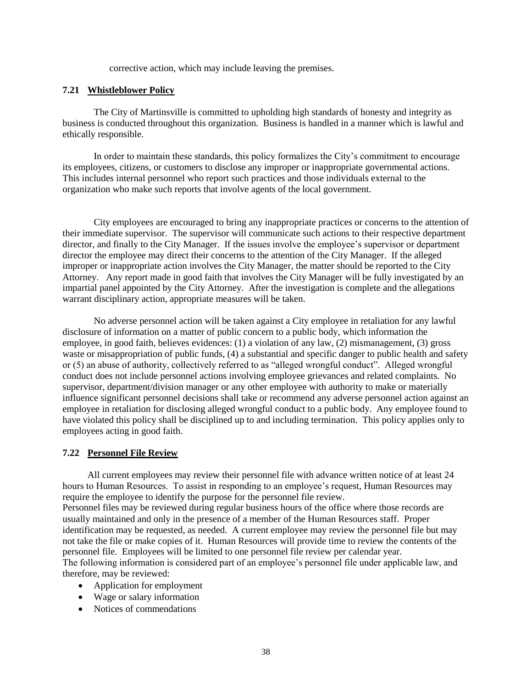corrective action, which may include leaving the premises.

#### <span id="page-37-0"></span>**7.21 Whistleblower Policy**

The City of Martinsville is committed to upholding high standards of honesty and integrity as business is conducted throughout this organization. Business is handled in a manner which is lawful and ethically responsible.

In order to maintain these standards, this policy formalizes the City's commitment to encourage its employees, citizens, or customers to disclose any improper or inappropriate governmental actions. This includes internal personnel who report such practices and those individuals external to the organization who make such reports that involve agents of the local government.

City employees are encouraged to bring any inappropriate practices or concerns to the attention of their immediate supervisor. The supervisor will communicate such actions to their respective department director, and finally to the City Manager. If the issues involve the employee's supervisor or department director the employee may direct their concerns to the attention of the City Manager. If the alleged improper or inappropriate action involves the City Manager, the matter should be reported to the City Attorney. Any report made in good faith that involves the City Manager will be fully investigated by an impartial panel appointed by the City Attorney. After the investigation is complete and the allegations warrant disciplinary action, appropriate measures will be taken.

No adverse personnel action will be taken against a City employee in retaliation for any lawful disclosure of information on a matter of public concern to a public body, which information the employee, in good faith, believes evidences: (1) a violation of any law, (2) mismanagement, (3) gross waste or misappropriation of public funds, (4) a substantial and specific danger to public health and safety or (5) an abuse of authority, collectively referred to as "alleged wrongful conduct". Alleged wrongful conduct does not include personnel actions involving employee grievances and related complaints. No supervisor, department/division manager or any other employee with authority to make or materially influence significant personnel decisions shall take or recommend any adverse personnel action against an employee in retaliation for disclosing alleged wrongful conduct to a public body. Any employee found to have violated this policy shall be disciplined up to and including termination. This policy applies only to employees acting in good faith.

#### <span id="page-37-1"></span>**7.22 Personnel File Review**

All current employees may review their personnel file with advance written notice of at least 24 hours to Human Resources. To assist in responding to an employee's request, Human Resources may require the employee to identify the purpose for the personnel file review. Personnel files may be reviewed during regular business hours of the office where those records are usually maintained and only in the presence of a member of the Human Resources staff. Proper

identification may be requested, as needed. A current employee may review the personnel file but may not take the file or make copies of it. Human Resources will provide time to review the contents of the personnel file. Employees will be limited to one personnel file review per calendar year.

The following information is considered part of an employee's personnel file under applicable law, and therefore, may be reviewed:

- Application for employment
- Wage or salary information
- Notices of commendations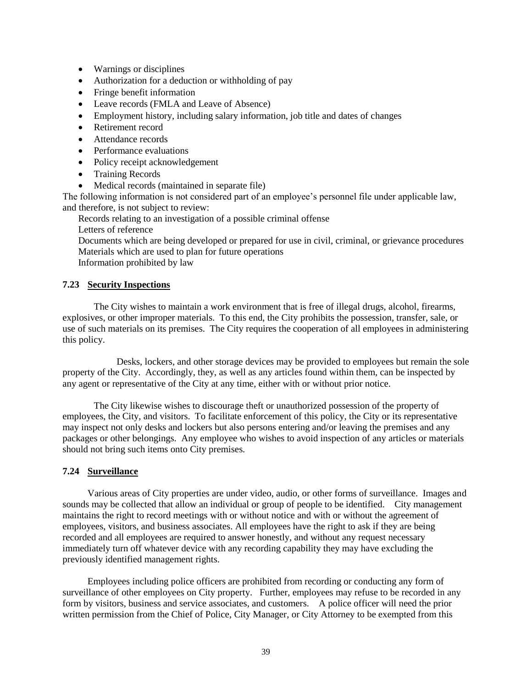- Warnings or disciplines
- Authorization for a deduction or withholding of pay
- Fringe benefit information
- Leave records (FMLA and Leave of Absence)
- Employment history, including salary information, job title and dates of changes
- Retirement record
- Attendance records
- Performance evaluations
- Policy receipt acknowledgement
- Training Records
- Medical records (maintained in separate file)

The following information is not considered part of an employee's personnel file under applicable law, and therefore, is not subject to review:

Records relating to an investigation of a possible criminal offense Letters of reference

Documents which are being developed or prepared for use in civil, criminal, or grievance procedures Materials which are used to plan for future operations

Information prohibited by law

### <span id="page-38-0"></span>**7.23 Security Inspections**

The City wishes to maintain a work environment that is free of illegal drugs, alcohol, firearms, explosives, or other improper materials. To this end, the City prohibits the possession, transfer, sale, or use of such materials on its premises. The City requires the cooperation of all employees in administering this policy.

Desks, lockers, and other storage devices may be provided to employees but remain the sole property of the City. Accordingly, they, as well as any articles found within them, can be inspected by any agent or representative of the City at any time, either with or without prior notice.

The City likewise wishes to discourage theft or unauthorized possession of the property of employees, the City, and visitors. To facilitate enforcement of this policy, the City or its representative may inspect not only desks and lockers but also persons entering and/or leaving the premises and any packages or other belongings. Any employee who wishes to avoid inspection of any articles or materials should not bring such items onto City premises.

### <span id="page-38-1"></span>**7.24 Surveillance**

Various areas of City properties are under video, audio, or other forms of surveillance. Images and sounds may be collected that allow an individual or group of people to be identified. City management maintains the right to record meetings with or without notice and with or without the agreement of employees, visitors, and business associates. All employees have the right to ask if they are being recorded and all employees are required to answer honestly, and without any request necessary immediately turn off whatever device with any recording capability they may have excluding the previously identified management rights.

Employees including police officers are prohibited from recording or conducting any form of surveillance of other employees on City property. Further, employees may refuse to be recorded in any form by visitors, business and service associates, and customers. A police officer will need the prior written permission from the Chief of Police, City Manager, or City Attorney to be exempted from this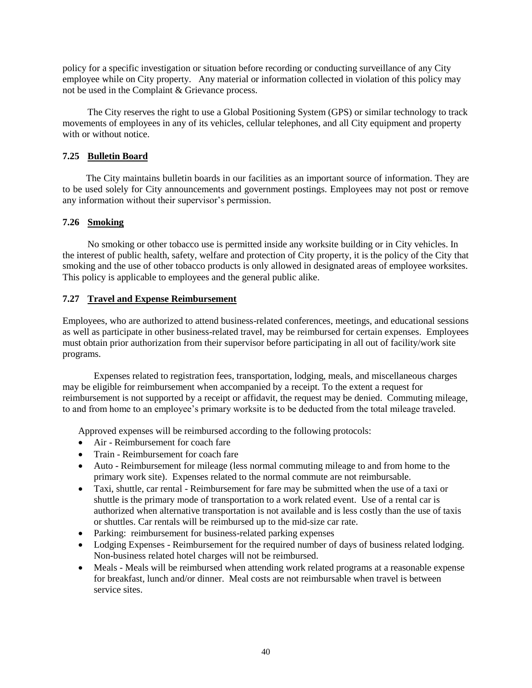policy for a specific investigation or situation before recording or conducting surveillance of any City employee while on City property. Any material or information collected in violation of this policy may not be used in the Complaint & Grievance process.

The City reserves the right to use a Global Positioning System (GPS) or similar technology to track movements of employees in any of its vehicles, cellular telephones, and all City equipment and property with or without notice.

### <span id="page-39-0"></span>**7.25 Bulletin Board**

The City maintains bulletin boards in our facilities as an important source of information. They are to be used solely for City announcements and government postings. Employees may not post or remove any information without their supervisor's permission.

# <span id="page-39-1"></span>**7.26 Smoking**

No smoking or other tobacco use is permitted inside any worksite building or in City vehicles. In the interest of public health, safety, welfare and protection of City property, it is the policy of the City that smoking and the use of other tobacco products is only allowed in designated areas of employee worksites. This policy is applicable to employees and the general public alike.

# <span id="page-39-2"></span>**7.27 Travel and Expense Reimbursement**

Employees, who are authorized to attend business-related conferences, meetings, and educational sessions as well as participate in other business-related travel, may be reimbursed for certain expenses. Employees must obtain prior authorization from their supervisor before participating in all out of facility/work site programs.

Expenses related to registration fees, transportation, lodging, meals, and miscellaneous charges may be eligible for reimbursement when accompanied by a receipt. To the extent a request for reimbursement is not supported by a receipt or affidavit, the request may be denied. Commuting mileage, to and from home to an employee's primary worksite is to be deducted from the total mileage traveled.

Approved expenses will be reimbursed according to the following protocols:

- Air Reimbursement for coach fare
- Train Reimbursement for coach fare
- Auto Reimbursement for mileage (less normal commuting mileage to and from home to the primary work site). Expenses related to the normal commute are not reimbursable.
- Taxi, shuttle, car rental Reimbursement for fare may be submitted when the use of a taxi or shuttle is the primary mode of transportation to a work related event. Use of a rental car is authorized when alternative transportation is not available and is less costly than the use of taxis or shuttles. Car rentals will be reimbursed up to the mid-size car rate.
- Parking: reimbursement for business-related parking expenses
- Lodging Expenses Reimbursement for the required number of days of business related lodging. Non-business related hotel charges will not be reimbursed.
- Meals Meals will be reimbursed when attending work related programs at a reasonable expense for breakfast, lunch and/or dinner. Meal costs are not reimbursable when travel is between service sites.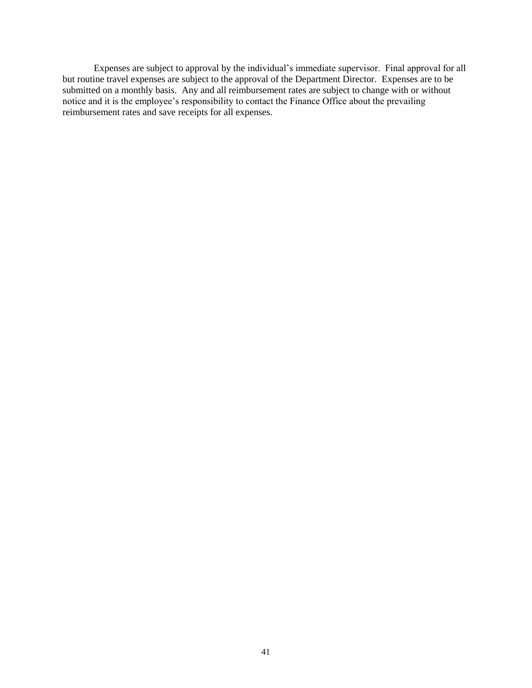Expenses are subject to approval by the individual's immediate supervisor. Final approval for all but routine travel expenses are subject to the approval of the Department Director. Expenses are to be submitted on a monthly basis. Any and all reimbursement rates are subject to change with or without notice and it is the employee's responsibility to contact the Finance Office about the prevailing reimbursement rates and save receipts for all expenses.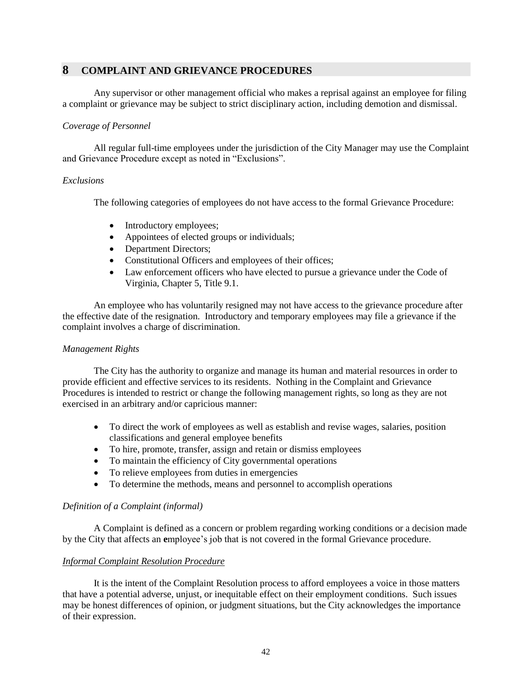# <span id="page-41-0"></span>**8 COMPLAINT AND GRIEVANCE PROCEDURES**

Any supervisor or other management official who makes a reprisal against an employee for filing a complaint or grievance may be subject to strict disciplinary action, including demotion and dismissal.

### <span id="page-41-1"></span>*Coverage of Personnel*

All regular full-time employees under the jurisdiction of the City Manager may use the Complaint and Grievance Procedure except as noted in "Exclusions".

#### <span id="page-41-2"></span>*Exclusions*

The following categories of employees do not have access to the formal Grievance Procedure:

- Introductory employees;
- Appointees of elected groups or individuals;
- Department Directors;
- Constitutional Officers and employees of their offices;
- Law enforcement officers who have elected to pursue a grievance under the Code of Virginia, Chapter 5, Title 9.1.

An employee who has voluntarily resigned may not have access to the grievance procedure after the effective date of the resignation. Introductory and temporary employees may file a grievance if the complaint involves a charge of discrimination.

### <span id="page-41-3"></span>*Management Rights*

The City has the authority to organize and manage its human and material resources in order to provide efficient and effective services to its residents. Nothing in the Complaint and Grievance Procedures is intended to restrict or change the following management rights, so long as they are not exercised in an arbitrary and/or capricious manner:

- To direct the work of employees as well as establish and revise wages, salaries, position classifications and general employee benefits
- To hire, promote, transfer, assign and retain or dismiss employees
- To maintain the efficiency of City governmental operations
- To relieve employees from duties in emergencies
- To determine the methods, means and personnel to accomplish operations

### <span id="page-41-4"></span>*Definition of a Complaint (informal)*

A Complaint is defined as a concern or problem regarding working conditions or a decision made by the City that affects an **e**mployee's job that is not covered in the formal Grievance procedure.

### <span id="page-41-5"></span>*Informal Complaint Resolution Procedure*

It is the intent of the Complaint Resolution process to afford employees a voice in those matters that have a potential adverse, unjust, or inequitable effect on their employment conditions. Such issues may be honest differences of opinion, or judgment situations, but the City acknowledges the importance of their expression.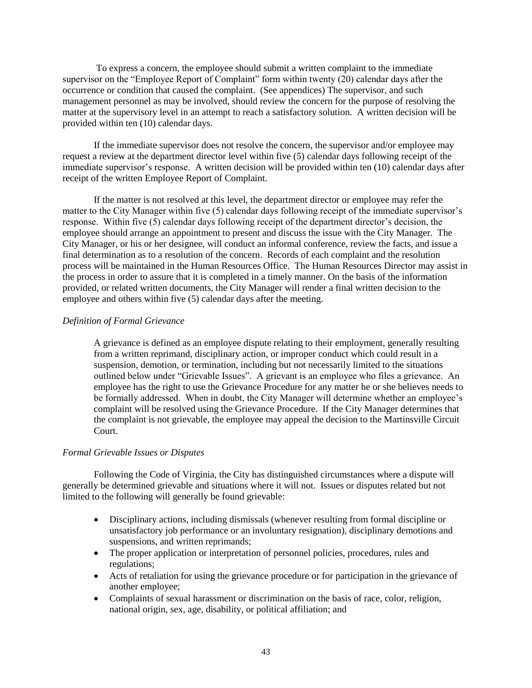To express a concern, the employee should submit a written complaint to the immediate supervisor on the "Employee Report of Complaint" form within twenty (20) calendar days after the occurrence or condition that caused the complaint. (See appendices) The supervisor, and such management personnel as may be involved, should review the concern for the purpose of resolving the matter at the supervisory level in an attempt to reach a satisfactory solution. A written decision will be provided within ten (10) calendar days.

If the immediate supervisor does not resolve the concern, the supervisor and/or employee may request a review at the department director level within five (5) calendar days following receipt of the immediate supervisor's response. A written decision will be provided within ten (10) calendar days after receipt of the written Employee Report of Complaint.

If the matter is not resolved at this level, the department director or employee may refer the matter to the City Manager within five (5) calendar days following receipt of the immediate supervisor's response. Within five (5) calendar days following receipt of the department director's decision, the employee should arrange an appointment to present and discuss the issue with the City Manager. The City Manager, or his or her designee, will conduct an informal conference, review the facts, and issue a final determination as to a resolution of the concern. Records of each complaint and the resolution process will be maintained in the Human Resources Office. The Human Resources Director may assist in the process in order to assure that it is completed in a timely manner. On the basis of the information provided, or related written documents, the City Manager will render a final written decision to the employee and others within five (5) calendar days after the meeting.

#### <span id="page-42-0"></span>*Definition of Formal Grievance*

A grievance is defined as an employee dispute relating to their employment, generally resulting from a written reprimand, disciplinary action, or improper conduct which could result in a suspension, demotion, or termination, including but not necessarily limited to the situations outlined below under "Grievable Issues". A grievant is an employee who files a grievance. An employee has the right to use the Grievance Procedure for any matter he or she believes needs to be formally addressed. When in doubt, the City Manager will determine whether an employee's complaint will be resolved using the Grievance Procedure. If the City Manager determines that the complaint is not grievable, the employee may appeal the decision to the Martinsville Circuit Court.

#### <span id="page-42-1"></span>*Formal Grievable Issues or Disputes*

Following the Code of Virginia, the City has distinguished circumstances where a dispute will generally be determined grievable and situations where it will not. Issues or disputes related but not limited to the following will generally be found grievable:

- Disciplinary actions, including dismissals (whenever resulting from formal discipline or unsatisfactory job performance or an involuntary resignation), disciplinary demotions and suspensions, and written reprimands;
- The proper application or interpretation of personnel policies, procedures, rules and regulations;
- Acts of retaliation for using the grievance procedure or for participation in the grievance of another employee;
- Complaints of sexual harassment or discrimination on the basis of race, color, religion, national origin, sex, age, disability, or political affiliation; and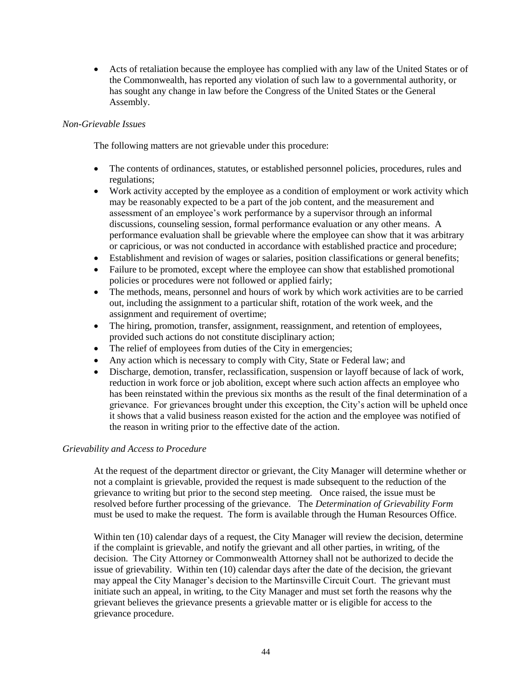• Acts of retaliation because the employee has complied with any law of the United States or of the Commonwealth, has reported any violation of such law to a governmental authority, or has sought any change in law before the Congress of the United States or the General Assembly.

# <span id="page-43-0"></span>*Non-Grievable Issues*

The following matters are not grievable under this procedure:

- The contents of ordinances, statutes, or established personnel policies, procedures, rules and regulations;
- Work activity accepted by the employee as a condition of employment or work activity which may be reasonably expected to be a part of the job content, and the measurement and assessment of an employee's work performance by a supervisor through an informal discussions, counseling session, formal performance evaluation or any other means. A performance evaluation shall be grievable where the employee can show that it was arbitrary or capricious, or was not conducted in accordance with established practice and procedure;
- Establishment and revision of wages or salaries, position classifications or general benefits;
- Failure to be promoted, except where the employee can show that established promotional policies or procedures were not followed or applied fairly;
- The methods, means, personnel and hours of work by which work activities are to be carried out, including the assignment to a particular shift, rotation of the work week, and the assignment and requirement of overtime;
- The hiring, promotion, transfer, assignment, reassignment, and retention of employees, provided such actions do not constitute disciplinary action;
- The relief of employees from duties of the City in emergencies;
- Any action which is necessary to comply with City, State or Federal law; and
- Discharge, demotion, transfer, reclassification, suspension or layoff because of lack of work, reduction in work force or job abolition, except where such action affects an employee who has been reinstated within the previous six months as the result of the final determination of a grievance. For grievances brought under this exception, the City's action will be upheld once it shows that a valid business reason existed for the action and the employee was notified of the reason in writing prior to the effective date of the action.

### <span id="page-43-1"></span>*Grievability and Access to Procedure*

At the request of the department director or grievant, the City Manager will determine whether or not a complaint is grievable, provided the request is made subsequent to the reduction of the grievance to writing but prior to the second step meeting*.* Once raised, the issue must be resolved before further processing of the grievance. The *Determination of Grievability Form* must be used to make the request. The form is available through the Human Resources Office.

Within ten (10) calendar days of a request, the City Manager will review the decision, determine if the complaint is grievable, and notify the grievant and all other parties, in writing, of the decision. The City Attorney or Commonwealth Attorney shall not be authorized to decide the issue of grievability. Within ten (10) calendar days after the date of the decision, the grievant may appeal the City Manager's decision to the Martinsville Circuit Court. The grievant must initiate such an appeal, in writing, to the City Manager and must set forth the reasons why the grievant believes the grievance presents a grievable matter or is eligible for access to the grievance procedure.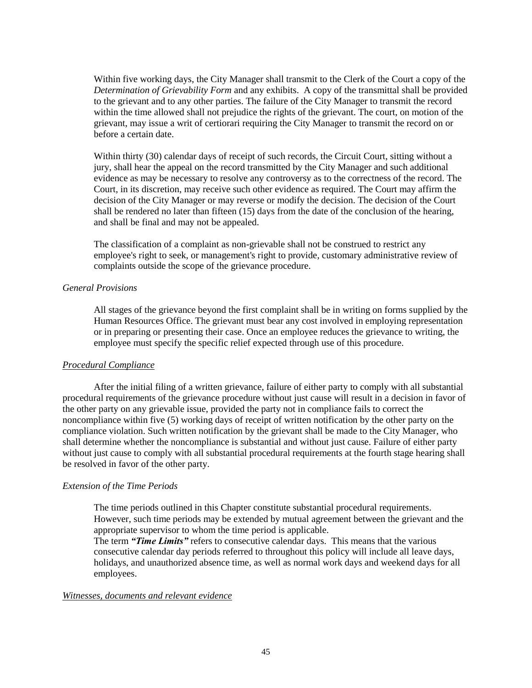Within five working days, the City Manager shall transmit to the Clerk of the Court a copy of the *Determination of Grievability Form* and any exhibits. A copy of the transmittal shall be provided to the grievant and to any other parties. The failure of the City Manager to transmit the record within the time allowed shall not prejudice the rights of the grievant. The court, on motion of the grievant, may issue a writ of certiorari requiring the City Manager to transmit the record on or before a certain date.

Within thirty (30) calendar days of receipt of such records, the Circuit Court, sitting without a jury, shall hear the appeal on the record transmitted by the City Manager and such additional evidence as may be necessary to resolve any controversy as to the correctness of the record. The Court, in its discretion, may receive such other evidence as required. The Court may affirm the decision of the City Manager or may reverse or modify the decision. The decision of the Court shall be rendered no later than fifteen (15) days from the date of the conclusion of the hearing, and shall be final and may not be appealed.

The classification of a complaint as non-grievable shall not be construed to restrict any employee's right to seek, or management's right to provide, customary administrative review of complaints outside the scope of the grievance procedure.

#### <span id="page-44-0"></span>*General Provisions*

All stages of the grievance beyond the first complaint shall be in writing on forms supplied by the Human Resources Office. The grievant must bear any cost involved in employing representation or in preparing or presenting their case. Once an employee reduces the grievance to writing, the employee must specify the specific relief expected through use of this procedure.

#### <span id="page-44-1"></span>*Procedural Compliance*

After the initial filing of a written grievance, failure of either party to comply with all substantial procedural requirements of the grievance procedure without just cause will result in a decision in favor of the other party on any grievable issue, provided the party not in compliance fails to correct the noncompliance within five (5) working days of receipt of written notification by the other party on the compliance violation. Such written notification by the grievant shall be made to the City Manager, who shall determine whether the noncompliance is substantial and without just cause. Failure of either party without just cause to comply with all substantial procedural requirements at the fourth stage hearing shall be resolved in favor of the other party.

#### <span id="page-44-2"></span>*Extension of the Time Periods*

The time periods outlined in this Chapter constitute substantial procedural requirements. However, such time periods may be extended by mutual agreement between the grievant and the appropriate supervisor to whom the time period is applicable.

<span id="page-44-3"></span>The term *"Time Limits"* refers to consecutive calendar days. This means that the various consecutive calendar day periods referred to throughout this policy will include all leave days, holidays, and unauthorized absence time, as well as normal work days and weekend days for all employees.

### <span id="page-44-4"></span>*Witnesses, documents and relevant evidence*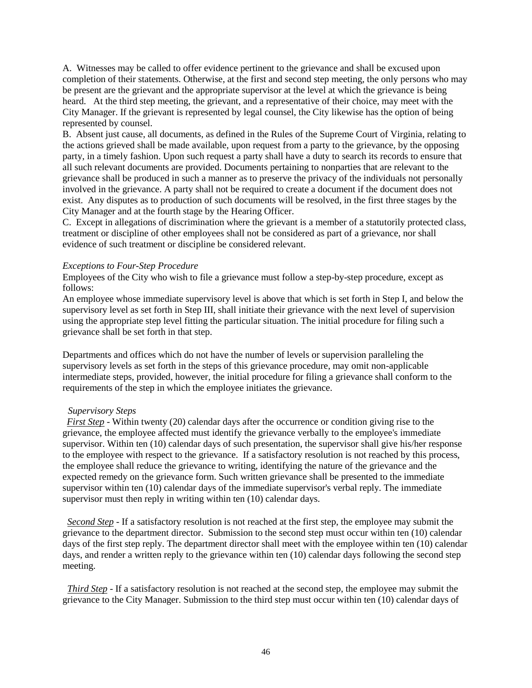A. Witnesses may be called to offer evidence pertinent to the grievance and shall be excused upon completion of their statements. Otherwise, at the first and second step meeting, the only persons who may be present are the grievant and the appropriate supervisor at the level at which the grievance is being heard. At the third step meeting, the grievant, and a representative of their choice, may meet with the City Manager. If the grievant is represented by legal counsel, the City likewise has the option of being represented by counsel.

B. Absent just cause, all documents, as defined in the Rules of the Supreme Court of Virginia, relating to the actions grieved shall be made available, upon request from a party to the grievance, by the opposing party, in a timely fashion. Upon such request a party shall have a duty to search its records to ensure that all such relevant documents are provided. Documents pertaining to nonparties that are relevant to the grievance shall be produced in such a manner as to preserve the privacy of the individuals not personally involved in the grievance. A party shall not be required to create a document if the document does not exist. Any disputes as to production of such documents will be resolved, in the first three stages by the City Manager and at the fourth stage by the Hearing Officer.

C. Except in allegations of discrimination where the grievant is a member of a statutorily protected class, treatment or discipline of other employees shall not be considered as part of a grievance, nor shall evidence of such treatment or discipline be considered relevant.

#### <span id="page-45-0"></span>*Exceptions to Four-Step Procedure*

Employees of the City who wish to file a grievance must follow a step-by-step procedure, except as follows:

An employee whose immediate supervisory level is above that which is set forth in Step I, and below the supervisory level as set forth in Step III, shall initiate their grievance with the next level of supervision using the appropriate step level fitting the particular situation. The initial procedure for filing such a grievance shall be set forth in that step.

Departments and offices which do not have the number of levels or supervision paralleling the supervisory levels as set forth in the steps of this grievance procedure, may omit non-applicable intermediate steps, provided, however, the initial procedure for filing a grievance shall conform to the requirements of the step in which the employee initiates the grievance.

### <span id="page-45-1"></span> *Supervisory Steps*

*First Step* - Within twenty (20) calendar days after the occurrence or condition giving rise to the grievance, the employee affected must identify the grievance verbally to the employee's immediate supervisor. Within ten (10) calendar days of such presentation, the supervisor shall give his/her response to the employee with respect to the grievance. If a satisfactory resolution is not reached by this process, the employee shall reduce the grievance to writing, identifying the nature of the grievance and the expected remedy on the grievance form. Such written grievance shall be presented to the immediate supervisor within ten (10) calendar days of the immediate supervisor's verbal reply. The immediate supervisor must then reply in writing within ten (10) calendar days.

*Second Step* - If a satisfactory resolution is not reached at the first step, the employee may submit the grievance to the department director. Submission to the second step must occur within ten (10) calendar days of the first step reply. The department director shall meet with the employee within ten (10) calendar days, and render a written reply to the grievance within ten (10) calendar days following the second step meeting.

*Third Step* - If a satisfactory resolution is not reached at the second step, the employee may submit the grievance to the City Manager. Submission to the third step must occur within ten (10) calendar days of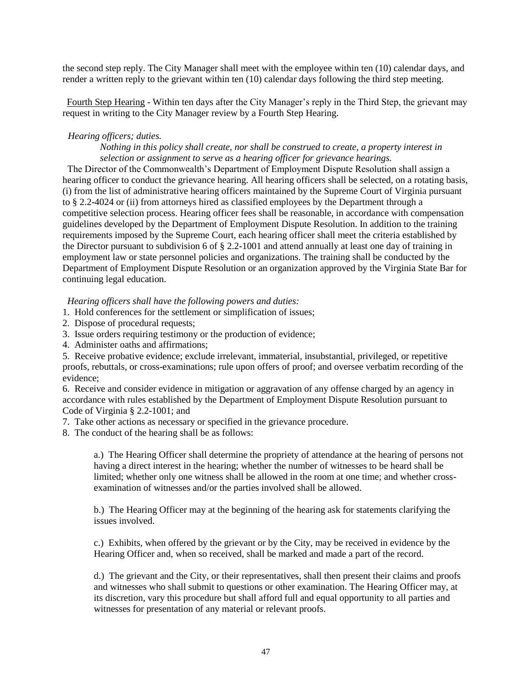the second step reply. The City Manager shall meet with the employee within ten (10) calendar days, and render a written reply to the grievant within ten (10) calendar days following the third step meeting.

Fourth Step Hearing - Within ten days after the City Manager's reply in the Third Step, the grievant may request in writing to the City Manager review by a Fourth Step Hearing.

#### <span id="page-46-0"></span>*Hearing officers; duties.*

#### *Nothing in this policy shall create, nor shall be construed to create, a property interest in selection or assignment to serve as a hearing officer for grievance hearings.*

 The Director of the Commonwealth's Department of Employment Dispute Resolution shall assign a hearing officer to conduct the grievance hearing. All hearing officers shall be selected, on a rotating basis, (i) from the list of administrative hearing officers maintained by the Supreme Court of Virginia pursuant to § 2.2-4024 or (ii) from attorneys hired as classified employees by the Department through a competitive selection process. Hearing officer fees shall be reasonable, in accordance with compensation guidelines developed by the Department of Employment Dispute Resolution. In addition to the training requirements imposed by the Supreme Court, each hearing officer shall meet the criteria established by the Director pursuant to subdivision 6 of § 2.2-1001 and attend annually at least one day of training in employment law or state personnel policies and organizations. The training shall be conducted by the Department of Employment Dispute Resolution or an organization approved by the Virginia State Bar for continuing legal education.

*Hearing officers shall have the following powers and duties:* 

- 1. Hold conferences for the settlement or simplification of issues;
- 2. Dispose of procedural requests;
- 3. Issue orders requiring testimony or the production of evidence;
- 4. Administer oaths and affirmations;

5. Receive probative evidence; exclude irrelevant, immaterial, insubstantial, privileged, or repetitive proofs, rebuttals, or cross-examinations; rule upon offers of proof; and oversee verbatim recording of the evidence;

6. Receive and consider evidence in mitigation or aggravation of any offense charged by an agency in accordance with rules established by the Department of Employment Dispute Resolution pursuant to Code of Virginia § 2.2-1001; and

- 7. Take other actions as necessary or specified in the grievance procedure.
- 8. The conduct of the hearing shall be as follows:

a.) The Hearing Officer shall determine the propriety of attendance at the hearing of persons not having a direct interest in the hearing; whether the number of witnesses to be heard shall be limited; whether only one witness shall be allowed in the room at one time; and whether crossexamination of witnesses and/or the parties involved shall be allowed.

b.) The Hearing Officer may at the beginning of the hearing ask for statements clarifying the issues involved.

c.) Exhibits, when offered by the grievant or by the City, may be received in evidence by the Hearing Officer and, when so received, shall be marked and made a part of the record.

d.) The grievant and the City, or their representatives, shall then present their claims and proofs and witnesses who shall submit to questions or other examination. The Hearing Officer may, at its discretion, vary this procedure but shall afford full and equal opportunity to all parties and witnesses for presentation of any material or relevant proofs.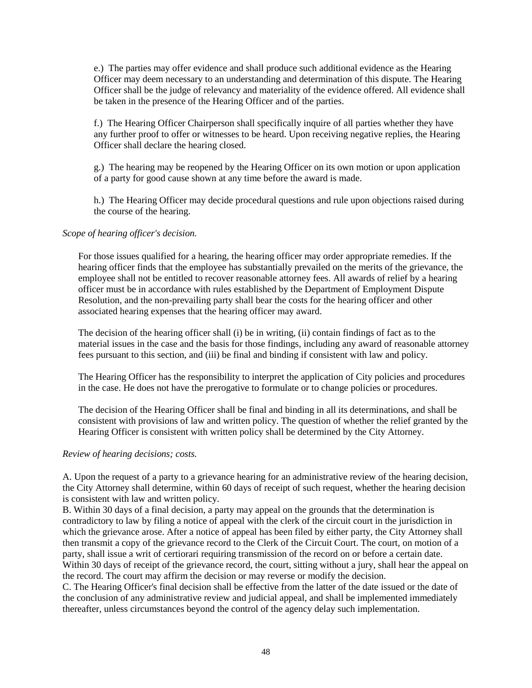e.) The parties may offer evidence and shall produce such additional evidence as the Hearing Officer may deem necessary to an understanding and determination of this dispute. The Hearing Officer shall be the judge of relevancy and materiality of the evidence offered. All evidence shall be taken in the presence of the Hearing Officer and of the parties.

f.) The Hearing Officer Chairperson shall specifically inquire of all parties whether they have any further proof to offer or witnesses to be heard. Upon receiving negative replies, the Hearing Officer shall declare the hearing closed.

g.) The hearing may be reopened by the Hearing Officer on its own motion or upon application of a party for good cause shown at any time before the award is made.

h.) The Hearing Officer may decide procedural questions and rule upon objections raised during the course of the hearing.

#### <span id="page-47-0"></span>*Scope of hearing officer's decision.*

For those issues qualified for a hearing, the hearing officer may order appropriate remedies. If the hearing officer finds that the employee has substantially prevailed on the merits of the grievance, the employee shall not be entitled to recover reasonable attorney fees. All awards of relief by a hearing officer must be in accordance with rules established by the Department of Employment Dispute Resolution, and the non-prevailing party shall bear the costs for the hearing officer and other associated hearing expenses that the hearing officer may award.

The decision of the hearing officer shall (i) be in writing, (ii) contain findings of fact as to the material issues in the case and the basis for those findings, including any award of reasonable attorney fees pursuant to this section, and (iii) be final and binding if consistent with law and policy.

The Hearing Officer has the responsibility to interpret the application of City policies and procedures in the case. He does not have the prerogative to formulate or to change policies or procedures.

The decision of the Hearing Officer shall be final and binding in all its determinations, and shall be consistent with provisions of law and written policy. The question of whether the relief granted by the Hearing Officer is consistent with written policy shall be determined by the City Attorney.

#### <span id="page-47-1"></span>*Review of hearing decisions; costs.*

A. Upon the request of a party to a grievance hearing for an administrative review of the hearing decision, the City Attorney shall determine, within 60 days of receipt of such request, whether the hearing decision is consistent with law and written policy.

B. Within 30 days of a final decision, a party may appeal on the grounds that the determination is contradictory to law by filing a notice of appeal with the clerk of the circuit court in the jurisdiction in which the grievance arose. After a notice of appeal has been filed by either party, the City Attorney shall then transmit a copy of the grievance record to the Clerk of the Circuit Court. The court, on motion of a party, shall issue a writ of certiorari requiring transmission of the record on or before a certain date. Within 30 days of receipt of the grievance record, the court, sitting without a jury, shall hear the appeal on the record. The court may affirm the decision or may reverse or modify the decision.

C. The Hearing Officer's final decision shall be effective from the latter of the date issued or the date of the conclusion of any administrative review and judicial appeal, and shall be implemented immediately thereafter, unless circumstances beyond the control of the agency delay such implementation.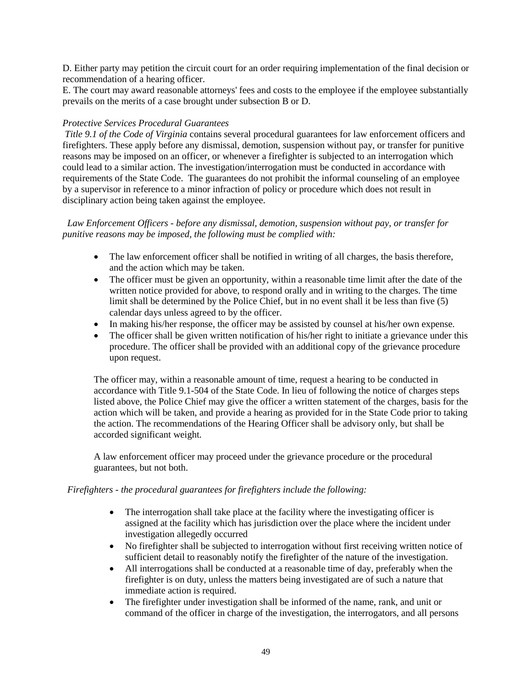D. Either party may petition the circuit court for an order requiring implementation of the final decision or recommendation of a hearing officer.

E. The court may award reasonable attorneys' fees and costs to the employee if the employee substantially prevails on the merits of a case brought under subsection B or D.

### <span id="page-48-0"></span>*Protective Services Procedural Guarantees*

*Title 9.1 of the Code of Virginia* contains several procedural guarantees for law enforcement officers and firefighters. These apply before any dismissal, demotion, suspension without pay, or transfer for punitive reasons may be imposed on an officer, or whenever a firefighter is subjected to an interrogation which could lead to a similar action. The investigation/interrogation must be conducted in accordance with requirements of the State Code. The guarantees do not prohibit the informal counseling of an employee by a supervisor in reference to a minor infraction of policy or procedure which does not result in disciplinary action being taken against the employee.

 *Law Enforcement Officers - before any dismissal, demotion, suspension without pay, or transfer for punitive reasons may be imposed, the following must be complied with:*

- The law enforcement officer shall be notified in writing of all charges, the basis therefore, and the action which may be taken.
- The officer must be given an opportunity, within a reasonable time limit after the date of the written notice provided for above, to respond orally and in writing to the charges. The time limit shall be determined by the Police Chief, but in no event shall it be less than five (5) calendar days unless agreed to by the officer.
- In making his/her response, the officer may be assisted by counsel at his/her own expense.
- The officer shall be given written notification of his/her right to initiate a grievance under this procedure. The officer shall be provided with an additional copy of the grievance procedure upon request.

The officer may, within a reasonable amount of time, request a hearing to be conducted in accordance with Title 9.1-504 of the State Code. In lieu of following the notice of charges steps listed above, the Police Chief may give the officer a written statement of the charges, basis for the action which will be taken, and provide a hearing as provided for in the State Code prior to taking the action. The recommendations of the Hearing Officer shall be advisory only, but shall be accorded significant weight.

A law enforcement officer may proceed under the grievance procedure or the procedural guarantees, but not both.

#### *Firefighters - the procedural guarantees for firefighters include the following:*

- The interrogation shall take place at the facility where the investigating officer is assigned at the facility which has jurisdiction over the place where the incident under investigation allegedly occurred
- No firefighter shall be subjected to interrogation without first receiving written notice of sufficient detail to reasonably notify the firefighter of the nature of the investigation.
- All interrogations shall be conducted at a reasonable time of day, preferably when the firefighter is on duty, unless the matters being investigated are of such a nature that immediate action is required.
- The firefighter under investigation shall be informed of the name, rank, and unit or command of the officer in charge of the investigation, the interrogators, and all persons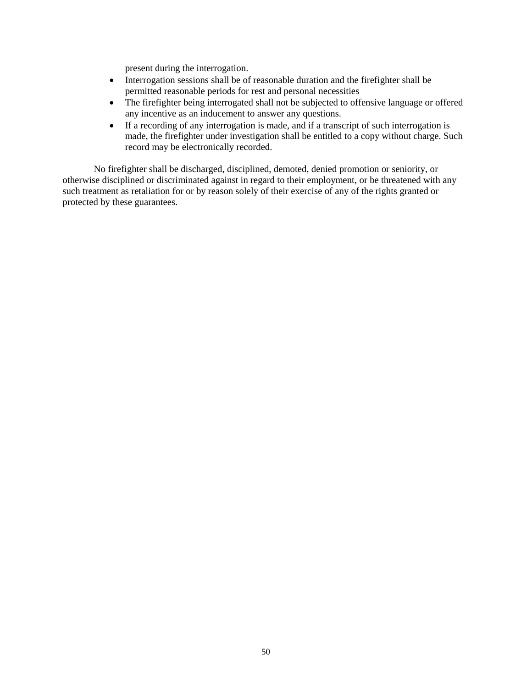present during the interrogation.

- Interrogation sessions shall be of reasonable duration and the firefighter shall be permitted reasonable periods for rest and personal necessities
- The firefighter being interrogated shall not be subjected to offensive language or offered any incentive as an inducement to answer any questions.
- If a recording of any interrogation is made, and if a transcript of such interrogation is made, the firefighter under investigation shall be entitled to a copy without charge. Such record may be electronically recorded.

No firefighter shall be discharged, disciplined, demoted, denied promotion or seniority, or otherwise disciplined or discriminated against in regard to their employment, or be threatened with any such treatment as retaliation for or by reason solely of their exercise of any of the rights granted or protected by these guarantees.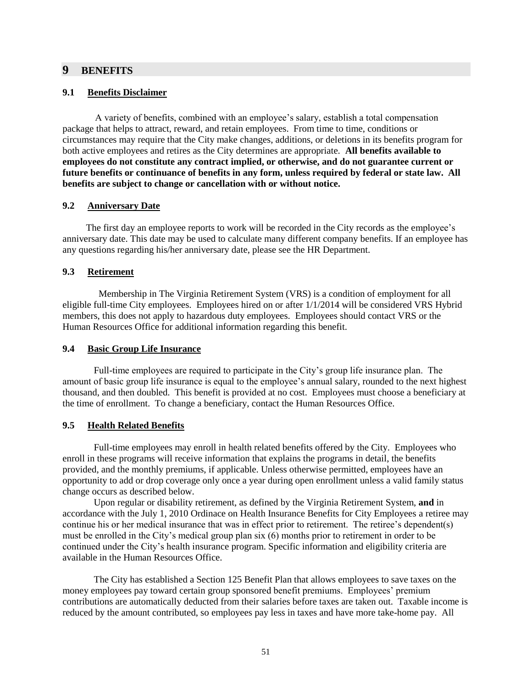### <span id="page-50-1"></span><span id="page-50-0"></span>**9 BENEFITS**

#### **9.1 Benefits Disclaimer**

A variety of benefits, combined with an employee's salary, establish a total compensation package that helps to attract, reward, and retain employees. From time to time, conditions or circumstances may require that the City make changes, additions, or deletions in its benefits program for both active employees and retires as the City determines are appropriate. **All benefits available to employees do not constitute any contract implied, or otherwise, and do not guarantee current or future benefits or continuance of benefits in any form, unless required by federal or state law. All benefits are subject to change or cancellation with or without notice.**

#### <span id="page-50-2"></span>**9.2 Anniversary Date**

The first day an employee reports to work will be recorded in the City records as the employee's anniversary date. This date may be used to calculate many different company benefits. If an employee has any questions regarding his/her anniversary date, please see the HR Department.

### <span id="page-50-3"></span>**9.3 Retirement**

 Membership in The Virginia Retirement System (VRS) is a condition of employment for all eligible full-time City employees. Employees hired on or after 1/1/2014 will be considered VRS Hybrid members, this does not apply to hazardous duty employees. Employees should contact VRS or the Human Resources Office for additional information regarding this benefit.

# <span id="page-50-4"></span>**9.4 Basic Group Life Insurance**

Full-time employees are required to participate in the City's group life insurance plan. The amount of basic group life insurance is equal to the employee's annual salary, rounded to the next highest thousand, and then doubled. This benefit is provided at no cost. Employees must choose a beneficiary at the time of enrollment. To change a beneficiary, contact the Human Resources Office.

### <span id="page-50-5"></span>**9.5 Health Related Benefits**

Full-time employees may enroll in health related benefits offered by the City. Employees who enroll in these programs will receive information that explains the programs in detail, the benefits provided, and the monthly premiums, if applicable. Unless otherwise permitted, employees have an opportunity to add or drop coverage only once a year during open enrollment unless a valid family status change occurs as described below.

Upon regular or disability retirement, as defined by the Virginia Retirement System, **and** in accordance with the July 1, 2010 Ordinace on Health Insurance Benefits for City Employees a retiree may continue his or her medical insurance that was in effect prior to retirement. The retiree's dependent(s) must be enrolled in the City's medical group plan six (6) months prior to retirement in order to be continued under the City's health insurance program. Specific information and eligibility criteria are available in the Human Resources Office.

The City has established a Section 125 Benefit Plan that allows employees to save taxes on the money employees pay toward certain group sponsored benefit premiums. Employees' premium contributions are automatically deducted from their salaries before taxes are taken out. Taxable income is reduced by the amount contributed, so employees pay less in taxes and have more take-home pay. All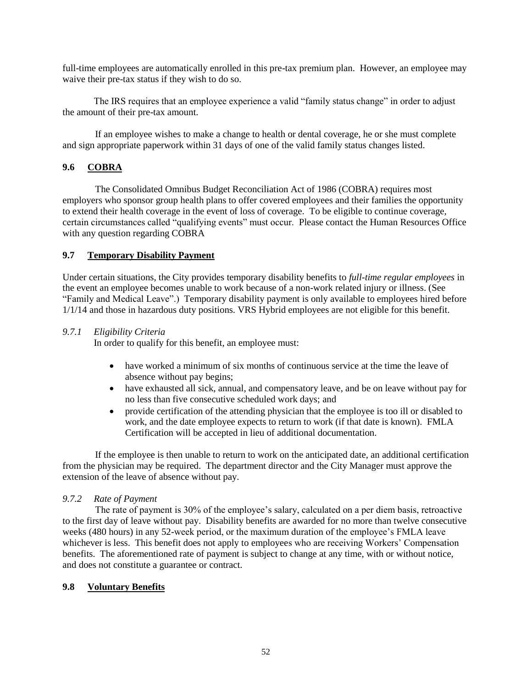full-time employees are automatically enrolled in this pre-tax premium plan. However, an employee may waive their pre-tax status if they wish to do so.

The IRS requires that an employee experience a valid "family status change" in order to adjust the amount of their pre-tax amount.

If an employee wishes to make a change to health or dental coverage, he or she must complete and sign appropriate paperwork within 31 days of one of the valid family status changes listed.

## <span id="page-51-0"></span>**9.6 COBRA**

The Consolidated Omnibus Budget Reconciliation Act of 1986 (COBRA) requires most employers who sponsor group health plans to offer covered employees and their families the opportunity to extend their health coverage in the event of loss of coverage. To be eligible to continue coverage, certain circumstances called "qualifying events" must occur. Please contact the Human Resources Office with any question regarding COBRA

#### <span id="page-51-1"></span>**9.7 Temporary Disability Payment**

Under certain situations, the City provides temporary disability benefits to *full-time regular employees* in the event an employee becomes unable to work because of a non-work related injury or illness. (See "Family and Medical Leave".) Temporary disability payment is only available to employees hired before 1/1/14 and those in hazardous duty positions. VRS Hybrid employees are not eligible for this benefit.

#### <span id="page-51-2"></span>*9.7.1 Eligibility Criteria*

In order to qualify for this benefit, an employee must:

- have worked a minimum of six months of continuous service at the time the leave of absence without pay begins;
- have exhausted all sick, annual, and compensatory leave, and be on leave without pay for no less than five consecutive scheduled work days; and
- provide certification of the attending physician that the employee is too ill or disabled to work, and the date employee expects to return to work (if that date is known). FMLA Certification will be accepted in lieu of additional documentation.

If the employee is then unable to return to work on the anticipated date, an additional certification from the physician may be required. The department director and the City Manager must approve the extension of the leave of absence without pay.

### <span id="page-51-3"></span>*9.7.2 Rate of Payment*

The rate of payment is 30% of the employee's salary, calculated on a per diem basis, retroactive to the first day of leave without pay. Disability benefits are awarded for no more than twelve consecutive weeks (480 hours) in any 52-week period, or the maximum duration of the employee's FMLA leave whichever is less. This benefit does not apply to employees who are receiving Workers' Compensation benefits. The aforementioned rate of payment is subject to change at any time, with or without notice, and does not constitute a guarantee or contract.

#### <span id="page-51-4"></span>**9.8 Voluntary Benefits**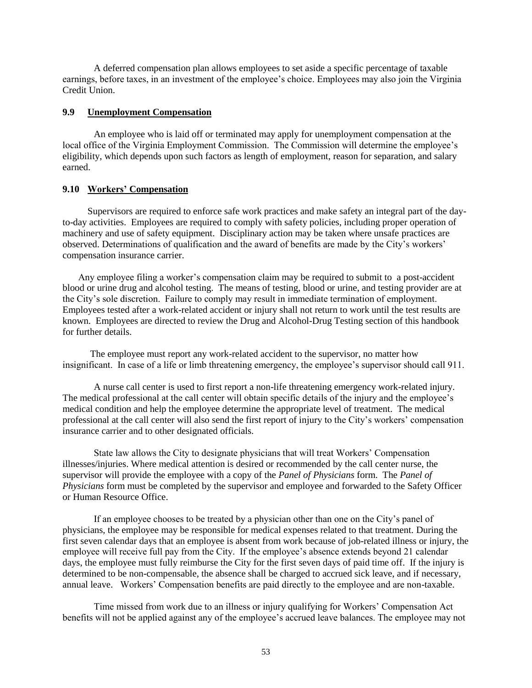A deferred compensation plan allows employees to set aside a specific percentage of taxable earnings, before taxes, in an investment of the employee's choice. Employees may also join the Virginia Credit Union.

#### <span id="page-52-0"></span>**9.9 Unemployment Compensation**

An employee who is laid off or terminated may apply for unemployment compensation at the local office of the Virginia Employment Commission. The Commission will determine the employee's eligibility, which depends upon such factors as length of employment, reason for separation, and salary earned.

#### <span id="page-52-1"></span>**9.10 Workers' Compensation**

Supervisors are required to enforce safe work practices and make safety an integral part of the dayto-day activities. Employees are required to comply with safety policies, including proper operation of machinery and use of safety equipment. Disciplinary action may be taken where unsafe practices are observed. Determinations of qualification and the award of benefits are made by the City's workers' compensation insurance carrier.

Any employee filing a worker's compensation claim may be required to submit to a post-accident blood or urine drug and alcohol testing. The means of testing, blood or urine, and testing provider are at the City's sole discretion. Failure to comply may result in immediate termination of employment. Employees tested after a work-related accident or injury shall not return to work until the test results are known. Employees are directed to review the Drug and Alcohol-Drug Testing section of this handbook for further details.

 The employee must report any work-related accident to the supervisor, no matter how insignificant. In case of a life or limb threatening emergency, the employee's supervisor should call 911.

A nurse call center is used to first report a non-life threatening emergency work-related injury. The medical professional at the call center will obtain specific details of the injury and the employee's medical condition and help the employee determine the appropriate level of treatment. The medical professional at the call center will also send the first report of injury to the City's workers' compensation insurance carrier and to other designated officials.

State law allows the City to designate physicians that will treat Workers' Compensation illnesses/injuries. Where medical attention is desired or recommended by the call center nurse, the supervisor will provide the employee with a copy of the *Panel of Physicians* form. The *Panel of Physicians* form must be completed by the supervisor and employee and forwarded to the Safety Officer or Human Resource Office.

If an employee chooses to be treated by a physician other than one on the City's panel of physicians, the employee may be responsible for medical expenses related to that treatment. During the first seven calendar days that an employee is absent from work because of job-related illness or injury, the employee will receive full pay from the City. If the employee's absence extends beyond 21 calendar days, the employee must fully reimburse the City for the first seven days of paid time off. If the injury is determined to be non-compensable, the absence shall be charged to accrued sick leave, and if necessary, annual leave. Workers' Compensation benefits are paid directly to the employee and are non-taxable.

Time missed from work due to an illness or injury qualifying for Workers' Compensation Act benefits will not be applied against any of the employee's accrued leave balances. The employee may not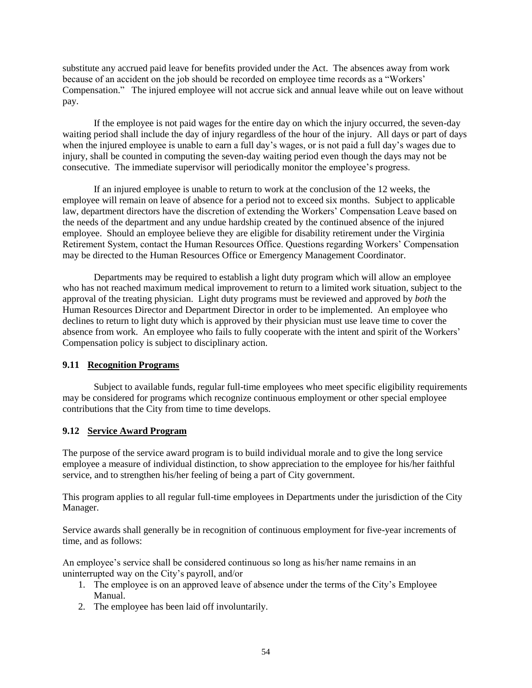substitute any accrued paid leave for benefits provided under the Act. The absences away from work because of an accident on the job should be recorded on employee time records as a "Workers' Compensation." The injured employee will not accrue sick and annual leave while out on leave without pay.

If the employee is not paid wages for the entire day on which the injury occurred, the seven-day waiting period shall include the day of injury regardless of the hour of the injury. All days or part of days when the injured employee is unable to earn a full day's wages, or is not paid a full day's wages due to injury, shall be counted in computing the seven-day waiting period even though the days may not be consecutive. The immediate supervisor will periodically monitor the employee's progress.

If an injured employee is unable to return to work at the conclusion of the 12 weeks, the employee will remain on leave of absence for a period not to exceed six months. Subject to applicable law, department directors have the discretion of extending the Workers' Compensation Leave based on the needs of the department and any undue hardship created by the continued absence of the injured employee. Should an employee believe they are eligible for disability retirement under the Virginia Retirement System, contact the Human Resources Office. Questions regarding Workers' Compensation may be directed to the Human Resources Office or Emergency Management Coordinator.

Departments may be required to establish a light duty program which will allow an employee who has not reached maximum medical improvement to return to a limited work situation, subject to the approval of the treating physician. Light duty programs must be reviewed and approved by *both* the Human Resources Director and Department Director in order to be implemented. An employee who declines to return to light duty which is approved by their physician must use leave time to cover the absence from work. An employee who fails to fully cooperate with the intent and spirit of the Workers' Compensation policy is subject to disciplinary action.

### <span id="page-53-0"></span>**9.11 Recognition Programs**

Subject to available funds, regular full-time employees who meet specific eligibility requirements may be considered for programs which recognize continuous employment or other special employee contributions that the City from time to time develops.

### <span id="page-53-1"></span>**9.12 Service Award Program**

The purpose of the service award program is to build individual morale and to give the long service employee a measure of individual distinction, to show appreciation to the employee for his/her faithful service, and to strengthen his/her feeling of being a part of City government.

This program applies to all regular full-time employees in Departments under the jurisdiction of the City Manager.

Service awards shall generally be in recognition of continuous employment for five-year increments of time, and as follows:

An employee's service shall be considered continuous so long as his/her name remains in an uninterrupted way on the City's payroll, and/or

- 1. The employee is on an approved leave of absence under the terms of the City's Employee Manual.
- 2. The employee has been laid off involuntarily.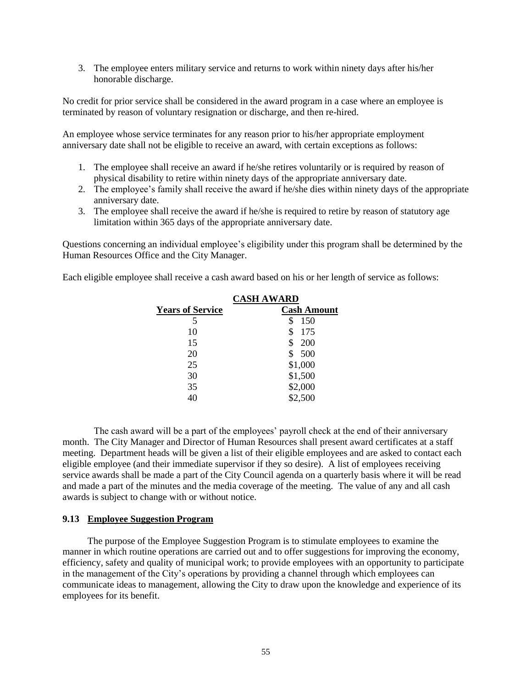3. The employee enters military service and returns to work within ninety days after his/her honorable discharge.

No credit for prior service shall be considered in the award program in a case where an employee is terminated by reason of voluntary resignation or discharge, and then re-hired.

An employee whose service terminates for any reason prior to his/her appropriate employment anniversary date shall not be eligible to receive an award, with certain exceptions as follows:

- 1. The employee shall receive an award if he/she retires voluntarily or is required by reason of physical disability to retire within ninety days of the appropriate anniversary date.
- 2. The employee's family shall receive the award if he/she dies within ninety days of the appropriate anniversary date.
- 3. The employee shall receive the award if he/she is required to retire by reason of statutory age limitation within 365 days of the appropriate anniversary date.

Questions concerning an individual employee's eligibility under this program shall be determined by the Human Resources Office and the City Manager.

Each eligible employee shall receive a cash award based on his or her length of service as follows:

|                         | <b>CASH AWARD</b>  |
|-------------------------|--------------------|
| <b>Years of Service</b> | <b>Cash Amount</b> |
| 5                       | \$<br>150          |
| 10                      | \$<br>175          |
| 15                      | \$<br>200          |
| 20                      | \$<br>500          |
| 25                      | \$1,000            |
| 30                      | \$1,500            |
| 35                      | \$2,000            |
| 40                      | \$2,500            |

The cash award will be a part of the employees' payroll check at the end of their anniversary month. The City Manager and Director of Human Resources shall present award certificates at a staff meeting. Department heads will be given a list of their eligible employees and are asked to contact each eligible employee (and their immediate supervisor if they so desire). A list of employees receiving service awards shall be made a part of the City Council agenda on a quarterly basis where it will be read and made a part of the minutes and the media coverage of the meeting. The value of any and all cash awards is subject to change with or without notice.

#### <span id="page-54-0"></span>**9.13 Employee Suggestion Program**

The purpose of the Employee Suggestion Program is to stimulate employees to examine the manner in which routine operations are carried out and to offer suggestions for improving the economy, efficiency, safety and quality of municipal work; to provide employees with an opportunity to participate in the management of the City's operations by providing a channel through which employees can communicate ideas to management, allowing the City to draw upon the knowledge and experience of its employees for its benefit.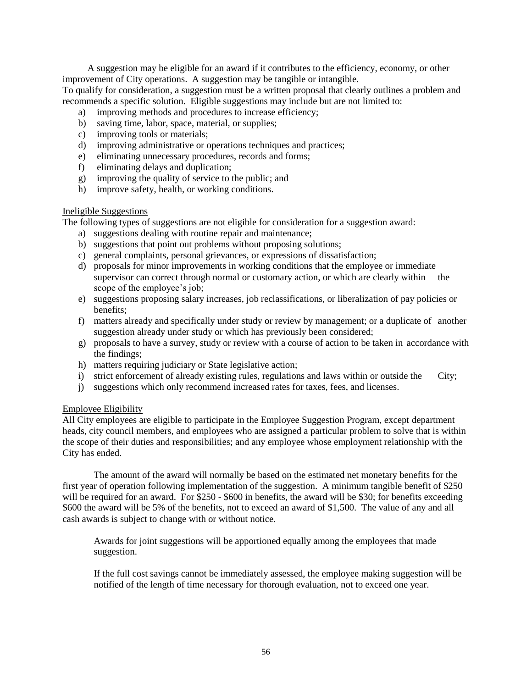A suggestion may be eligible for an award if it contributes to the efficiency, economy, or other improvement of City operations. A suggestion may be tangible or intangible. To qualify for consideration, a suggestion must be a written proposal that clearly outlines a problem and recommends a specific solution. Eligible suggestions may include but are not limited to:

- a) improving methods and procedures to increase efficiency;
- b) saving time, labor, space, material, or supplies;
- c) improving tools or materials;
- d) improving administrative or operations techniques and practices;
- e) eliminating unnecessary procedures, records and forms;
- f) eliminating delays and duplication;
- g) improving the quality of service to the public; and
- h) improve safety, health, or working conditions.

#### Ineligible Suggestions

The following types of suggestions are not eligible for consideration for a suggestion award:

- a) suggestions dealing with routine repair and maintenance;
- b) suggestions that point out problems without proposing solutions;
- c) general complaints, personal grievances, or expressions of dissatisfaction;
- d) proposals for minor improvements in working conditions that the employee or immediate supervisor can correct through normal or customary action, or which are clearly within the scope of the employee's job;
- e) suggestions proposing salary increases, job reclassifications, or liberalization of pay policies or benefits;
- f) matters already and specifically under study or review by management; or a duplicate of another suggestion already under study or which has previously been considered;
- g) proposals to have a survey, study or review with a course of action to be taken in accordance with the findings;
- h) matters requiring judiciary or State legislative action;
- i) strict enforcement of already existing rules, regulations and laws within or outside the City;
- j) suggestions which only recommend increased rates for taxes, fees, and licenses.

### Employee Eligibility

All City employees are eligible to participate in the Employee Suggestion Program, except department heads, city council members, and employees who are assigned a particular problem to solve that is within the scope of their duties and responsibilities; and any employee whose employment relationship with the City has ended.

The amount of the award will normally be based on the estimated net monetary benefits for the first year of operation following implementation of the suggestion. A minimum tangible benefit of \$250 will be required for an award. For \$250 - \$600 in benefits, the award will be \$30; for benefits exceeding \$600 the award will be 5% of the benefits, not to exceed an award of \$1,500. The value of any and all cash awards is subject to change with or without notice.

Awards for joint suggestions will be apportioned equally among the employees that made suggestion.

If the full cost savings cannot be immediately assessed, the employee making suggestion will be notified of the length of time necessary for thorough evaluation, not to exceed one year.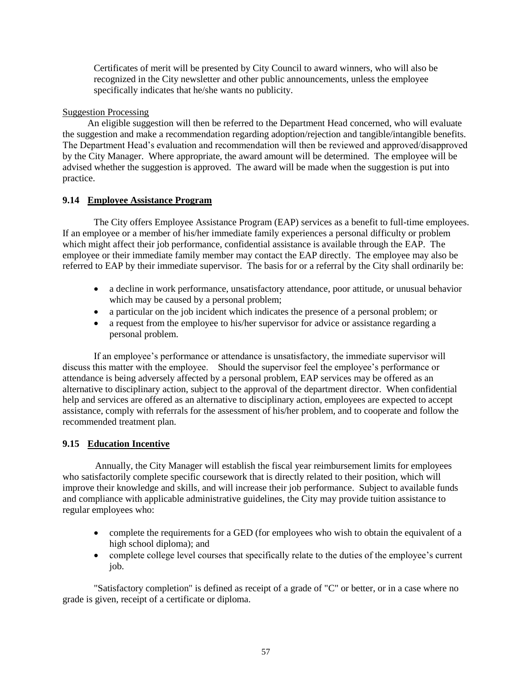Certificates of merit will be presented by City Council to award winners, who will also be recognized in the City newsletter and other public announcements, unless the employee specifically indicates that he/she wants no publicity.

## Suggestion Processing

An eligible suggestion will then be referred to the Department Head concerned, who will evaluate the suggestion and make a recommendation regarding adoption/rejection and tangible/intangible benefits. The Department Head's evaluation and recommendation will then be reviewed and approved/disapproved by the City Manager. Where appropriate, the award amount will be determined. The employee will be advised whether the suggestion is approved. The award will be made when the suggestion is put into practice.

# <span id="page-56-0"></span>**9.14 Employee Assistance Program**

The City offers Employee Assistance Program (EAP) services as a benefit to full-time employees. If an employee or a member of his/her immediate family experiences a personal difficulty or problem which might affect their job performance, confidential assistance is available through the EAP. The employee or their immediate family member may contact the EAP directly. The employee may also be referred to EAP by their immediate supervisor. The basis for or a referral by the City shall ordinarily be:

- a decline in work performance, unsatisfactory attendance, poor attitude, or unusual behavior which may be caused by a personal problem;
- a particular on the job incident which indicates the presence of a personal problem; or
- a request from the employee to his/her supervisor for advice or assistance regarding a personal problem.

If an employee's performance or attendance is unsatisfactory, the immediate supervisor will discuss this matter with the employee. Should the supervisor feel the employee's performance or attendance is being adversely affected by a personal problem, EAP services may be offered as an alternative to disciplinary action, subject to the approval of the department director. When confidential help and services are offered as an alternative to disciplinary action, employees are expected to accept assistance, comply with referrals for the assessment of his/her problem, and to cooperate and follow the recommended treatment plan.

# <span id="page-56-1"></span>**9.15 Education Incentive**

Annually, the City Manager will establish the fiscal year reimbursement limits for employees who satisfactorily complete specific coursework that is directly related to their position, which will improve their knowledge and skills, and will increase their job performance. Subject to available funds and compliance with applicable administrative guidelines, the City may provide tuition assistance to regular employees who:

- complete the requirements for a GED (for employees who wish to obtain the equivalent of a high school diploma); and
- complete college level courses that specifically relate to the duties of the employee's current job.

"Satisfactory completion" is defined as receipt of a grade of "C" or better, or in a case where no grade is given, receipt of a certificate or diploma.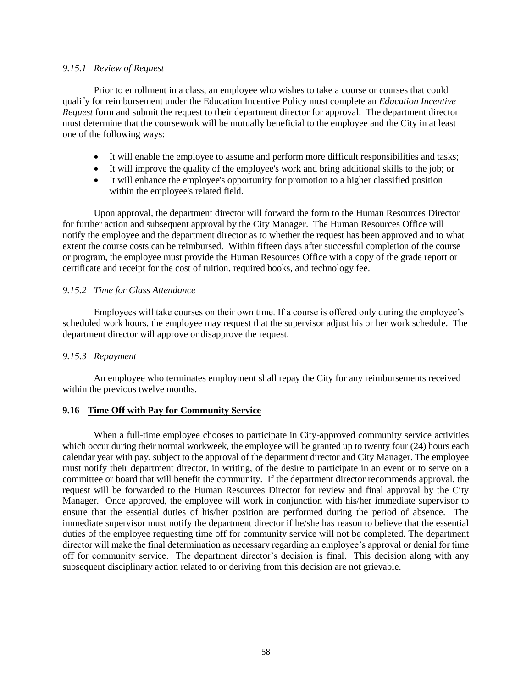#### <span id="page-57-0"></span>*9.15.1 Review of Request*

Prior to enrollment in a class, an employee who wishes to take a course or courses that could qualify for reimbursement under the Education Incentive Policy must complete an *Education Incentive Request* form and submit the request to their department director for approval. The department director must determine that the coursework will be mutually beneficial to the employee and the City in at least one of the following ways:

- It will enable the employee to assume and perform more difficult responsibilities and tasks;
- It will improve the quality of the employee's work and bring additional skills to the job; or
- It will enhance the employee's opportunity for promotion to a higher classified position within the employee's related field.

Upon approval, the department director will forward the form to the Human Resources Director for further action and subsequent approval by the City Manager. The Human Resources Office will notify the employee and the department director as to whether the request has been approved and to what extent the course costs can be reimbursed. Within fifteen days after successful completion of the course or program, the employee must provide the Human Resources Office with a copy of the grade report or certificate and receipt for the cost of tuition, required books, and technology fee.

#### <span id="page-57-1"></span>*9.15.2 Time for Class Attendance*

Employees will take courses on their own time. If a course is offered only during the employee's scheduled work hours, the employee may request that the supervisor adjust his or her work schedule. The department director will approve or disapprove the request.

#### <span id="page-57-2"></span>*9.15.3 Repayment*

An employee who terminates employment shall repay the City for any reimbursements received within the previous twelve months.

### <span id="page-57-3"></span>**9.16 Time Off with Pay for Community Service**

When a full-time employee chooses to participate in City-approved community service activities which occur during their normal workweek, the employee will be granted up to twenty four (24) hours each calendar year with pay, subject to the approval of the department director and City Manager. The employee must notify their department director, in writing, of the desire to participate in an event or to serve on a committee or board that will benefit the community. If the department director recommends approval, the request will be forwarded to the Human Resources Director for review and final approval by the City Manager. Once approved, the employee will work in conjunction with his/her immediate supervisor to ensure that the essential duties of his/her position are performed during the period of absence. The immediate supervisor must notify the department director if he/she has reason to believe that the essential duties of the employee requesting time off for community service will not be completed. The department director will make the final determination as necessary regarding an employee's approval or denial for time off for community service. The department director's decision is final. This decision along with any subsequent disciplinary action related to or deriving from this decision are not grievable.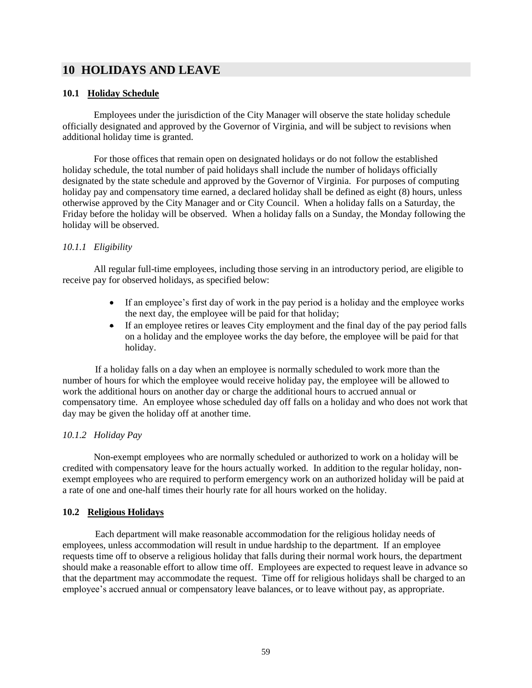# <span id="page-58-0"></span>**10 HOLIDAYS AND LEAVE**

### <span id="page-58-1"></span>**10.1 Holiday Schedule**

Employees under the jurisdiction of the City Manager will observe the state holiday schedule officially designated and approved by the Governor of Virginia, and will be subject to revisions when additional holiday time is granted.

For those offices that remain open on designated holidays or do not follow the established holiday schedule, the total number of paid holidays shall include the number of holidays officially designated by the state schedule and approved by the Governor of Virginia. For purposes of computing holiday pay and compensatory time earned, a declared holiday shall be defined as eight (8) hours, unless otherwise approved by the City Manager and or City Council. When a holiday falls on a Saturday, the Friday before the holiday will be observed. When a holiday falls on a Sunday, the Monday following the holiday will be observed.

### <span id="page-58-2"></span>*10.1.1 Eligibility*

All regular full-time employees, including those serving in an introductory period, are eligible to receive pay for observed holidays, as specified below:

- If an employee's first day of work in the pay period is a holiday and the employee works the next day, the employee will be paid for that holiday;
- If an employee retires or leaves City employment and the final day of the pay period falls on a holiday and the employee works the day before, the employee will be paid for that holiday.

If a holiday falls on a day when an employee is normally scheduled to work more than the number of hours for which the employee would receive holiday pay, the employee will be allowed to work the additional hours on another day or charge the additional hours to accrued annual or compensatory time. An employee whose scheduled day off falls on a holiday and who does not work that day may be given the holiday off at another time.

### <span id="page-58-3"></span>*10.1.2 Holiday Pay*

Non-exempt employees who are normally scheduled or authorized to work on a holiday will be credited with compensatory leave for the hours actually worked. In addition to the regular holiday, nonexempt employees who are required to perform emergency work on an authorized holiday will be paid at a rate of one and one-half times their hourly rate for all hours worked on the holiday.

#### <span id="page-58-4"></span>**10.2 Religious Holidays**

Each department will make reasonable accommodation for the religious holiday needs of employees, unless accommodation will result in undue hardship to the department. If an employee requests time off to observe a religious holiday that falls during their normal work hours, the department should make a reasonable effort to allow time off. Employees are expected to request leave in advance so that the department may accommodate the request. Time off for religious holidays shall be charged to an employee's accrued annual or compensatory leave balances, or to leave without pay, as appropriate.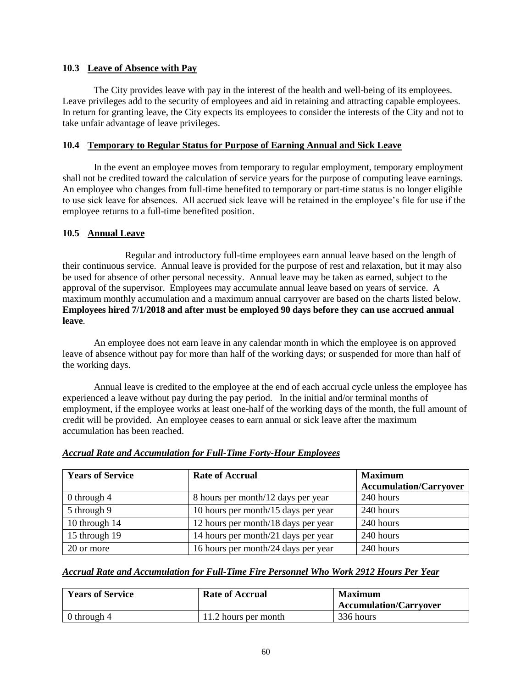### <span id="page-59-0"></span>**10.3 Leave of Absence with Pay**

The City provides leave with pay in the interest of the health and well-being of its employees. Leave privileges add to the security of employees and aid in retaining and attracting capable employees. In return for granting leave, the City expects its employees to consider the interests of the City and not to take unfair advantage of leave privileges.

# <span id="page-59-1"></span>**10.4 Temporary to Regular Status for Purpose of Earning Annual and Sick Leave**

In the event an employee moves from temporary to regular employment, temporary employment shall not be credited toward the calculation of service years for the purpose of computing leave earnings. An employee who changes from full-time benefited to temporary or part-time status is no longer eligible to use sick leave for absences. All accrued sick leave will be retained in the employee's file for use if the employee returns to a full-time benefited position.

# <span id="page-59-2"></span>**10.5 Annual Leave**

Regular and introductory full-time employees earn annual leave based on the length of their continuous service. Annual leave is provided for the purpose of rest and relaxation, but it may also be used for absence of other personal necessity. Annual leave may be taken as earned, subject to the approval of the supervisor. Employees may accumulate annual leave based on years of service. A maximum monthly accumulation and a maximum annual carryover are based on the charts listed below. **Employees hired 7/1/2018 and after must be employed 90 days before they can use accrued annual leave**.

An employee does not earn leave in any calendar month in which the employee is on approved leave of absence without pay for more than half of the working days; or suspended for more than half of the working days.

Annual leave is credited to the employee at the end of each accrual cycle unless the employee has experienced a leave without pay during the pay period. In the initial and/or terminal months of employment, if the employee works at least one-half of the working days of the month, the full amount of credit will be provided. An employee ceases to earn annual or sick leave after the maximum accumulation has been reached.

| <b>Years of Service</b> | <b>Rate of Accrual</b>              | <b>Maximum</b><br><b>Accumulation/Carryover</b> |
|-------------------------|-------------------------------------|-------------------------------------------------|
| 0 through $4$           | 8 hours per month/12 days per year  | 240 hours                                       |
| 5 through 9             | 10 hours per month/15 days per year | 240 hours                                       |
| 10 through 14           | 12 hours per month/18 days per year | 240 hours                                       |
| 15 through 19           | 14 hours per month/21 days per year | 240 hours                                       |
| 20 or more              | 16 hours per month/24 days per year | 240 hours                                       |

# *Accrual Rate and Accumulation for Full-Time Forty-Hour Employees*

### *Accrual Rate and Accumulation for Full-Time Fire Personnel Who Work 2912 Hours Per Year*

| <b>Years of Service</b> | <b>Rate of Accrual</b> | <b>Maximum</b><br><b>Accumulation/Carryover</b> |
|-------------------------|------------------------|-------------------------------------------------|
| 0 through 4             | 11.2 hours per month   | 336 hours                                       |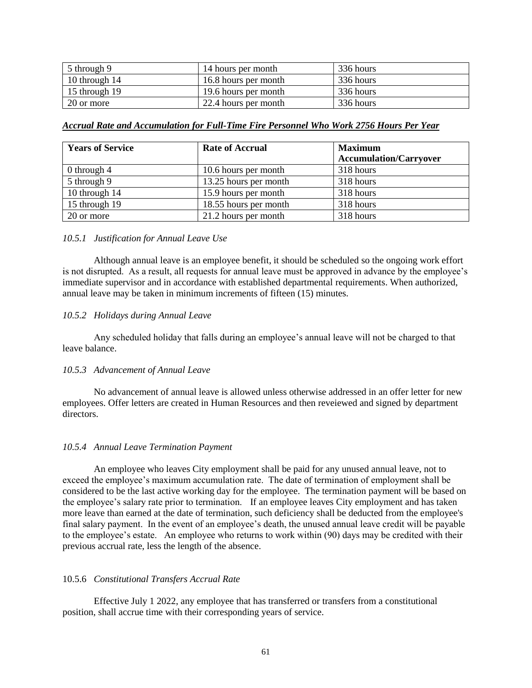| $\frac{1}{2}$ 5 through 9 | 14 hours per month   | 336 hours |
|---------------------------|----------------------|-----------|
| $\vert$ 10 through 14     | 16.8 hours per month | 336 hours |
| $15$ through 19           | 19.6 hours per month | 336 hours |
| 20 or more                | 22.4 hours per month | 336 hours |

*Accrual Rate and Accumulation for Full-Time Fire Personnel Who Work 2756 Hours Per Year*

| <b>Years of Service</b> | <b>Rate of Accrual</b> | <b>Maximum</b>                |
|-------------------------|------------------------|-------------------------------|
|                         |                        | <b>Accumulation/Carryover</b> |
| $0$ through $4$         | 10.6 hours per month   | 318 hours                     |
| 5 through 9             | 13.25 hours per month  | 318 hours                     |
| 10 through 14           | 15.9 hours per month   | 318 hours                     |
| 15 through 19           | 18.55 hours per month  | 318 hours                     |
| 20 or more              | 21.2 hours per month   | 318 hours                     |

#### <span id="page-60-0"></span>*10.5.1 Justification for Annual Leave Use*

Although annual leave is an employee benefit, it should be scheduled so the ongoing work effort is not disrupted. As a result, all requests for annual leave must be approved in advance by the employee's immediate supervisor and in accordance with established departmental requirements. When authorized, annual leave may be taken in minimum increments of fifteen (15) minutes.

#### <span id="page-60-1"></span>*10.5.2 Holidays during Annual Leave*

Any scheduled holiday that falls during an employee's annual leave will not be charged to that leave balance.

#### <span id="page-60-2"></span>*10.5.3 Advancement of Annual Leave*

No advancement of annual leave is allowed unless otherwise addressed in an offer letter for new employees. Offer letters are created in Human Resources and then reveiewed and signed by department directors.

### <span id="page-60-3"></span>*10.5.4 Annual Leave Termination Payment*

An employee who leaves City employment shall be paid for any unused annual leave, not to exceed the employee's maximum accumulation rate. The date of termination of employment shall be considered to be the last active working day for the employee. The termination payment will be based on the employee's salary rate prior to termination. If an employee leaves City employment and has taken more leave than earned at the date of termination, such deficiency shall be deducted from the employee's final salary payment. In the event of an employee's death, the unused annual leave credit will be payable to the employee's estate. An employee who returns to work within (90) days may be credited with their previous accrual rate, less the length of the absence.

#### 10.5.6 *Constitutional Transfers Accrual Rate*

Effective July 1 2022, any employee that has transferred or transfers from a constitutional position, shall accrue time with their corresponding years of service.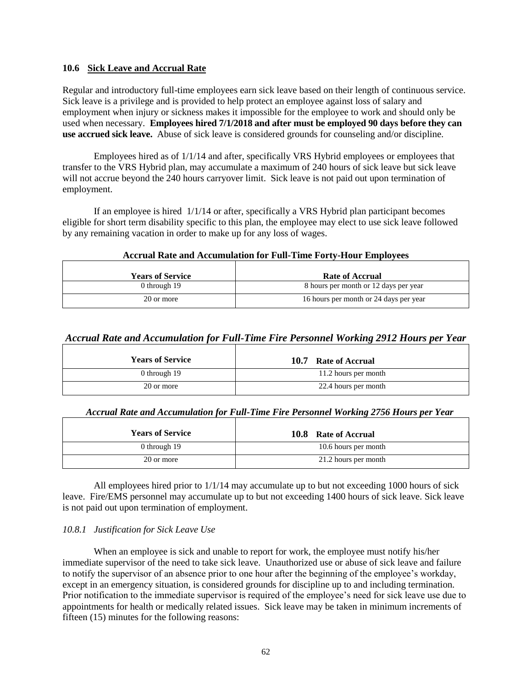#### <span id="page-61-0"></span>**10.6 Sick Leave and Accrual Rate**

Regular and introductory full-time employees earn sick leave based on their length of continuous service. Sick leave is a privilege and is provided to help protect an employee against loss of salary and employment when injury or sickness makes it impossible for the employee to work and should only be used when necessary. **Employees hired 7/1/2018 and after must be employed 90 days before they can use accrued sick leave.** Abuse of sick leave is considered grounds for counseling and/or discipline.

Employees hired as of 1/1/14 and after, specifically VRS Hybrid employees or employees that transfer to the VRS Hybrid plan, may accumulate a maximum of 240 hours of sick leave but sick leave will not accrue beyond the 240 hours carryover limit. Sick leave is not paid out upon termination of employment.

If an employee is hired 1/1/14 or after, specifically a VRS Hybrid plan participant becomes eligible for short term disability specific to this plan, the employee may elect to use sick leave followed by any remaining vacation in order to make up for any loss of wages.

#### <span id="page-61-1"></span>**Accrual Rate and Accumulation for Full-Time Forty-Hour Employees**

| <b>Years of Service</b> | <b>Rate of Accrual</b>                 |
|-------------------------|----------------------------------------|
| 0 through 19            | 8 hours per month or 12 days per year  |
| 20 or more              | 16 hours per month or 24 days per year |

# *Accrual Rate and Accumulation for Full-Time Fire Personnel Working 2912 Hours per Year*

| <b>Years of Service</b> | 10.7<br><b>Rate of Accrual</b> |
|-------------------------|--------------------------------|
| 0 through 19            | 11.2 hours per month           |
| 20 or more              | 22.4 hours per month           |

<span id="page-61-2"></span>

| Accrual Rate and Accumulation for Full-Time Fire Personnel Working 2756 Hours per Year |  |  |  |  |
|----------------------------------------------------------------------------------------|--|--|--|--|
|                                                                                        |  |  |  |  |

| <b>Years of Service</b> | 10.8<br><b>Rate of Accrual</b> |
|-------------------------|--------------------------------|
| 0 through 19            | 10.6 hours per month           |
| 20 or more              | 21.2 hours per month           |

All employees hired prior to 1/1/14 may accumulate up to but not exceeding 1000 hours of sick leave. Fire/EMS personnel may accumulate up to but not exceeding 1400 hours of sick leave. Sick leave is not paid out upon termination of employment.

### <span id="page-61-3"></span>*10.8.1 Justification for Sick Leave Use*

When an employee is sick and unable to report for work, the employee must notify his/her immediate supervisor of the need to take sick leave. Unauthorized use or abuse of sick leave and failure to notify the supervisor of an absence prior to one hour after the beginning of the employee's workday, except in an emergency situation, is considered grounds for discipline up to and including termination. Prior notification to the immediate supervisor is required of the employee's need for sick leave use due to appointments for health or medically related issues. Sick leave may be taken in minimum increments of fifteen (15) minutes for the following reasons: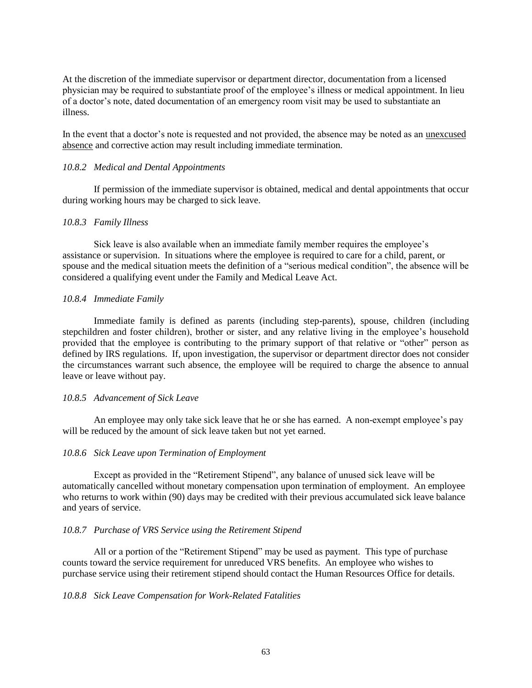At the discretion of the immediate supervisor or department director, documentation from a licensed physician may be required to substantiate proof of the employee's illness or medical appointment. In lieu of a doctor's note, dated documentation of an emergency room visit may be used to substantiate an illness.

In the event that a doctor's note is requested and not provided, the absence may be noted as an unexcused absence and corrective action may result including immediate termination.

#### <span id="page-62-0"></span>*10.8.2 Medical and Dental Appointments*

If permission of the immediate supervisor is obtained, medical and dental appointments that occur during working hours may be charged to sick leave.

#### <span id="page-62-1"></span>*10.8.3 Family Illness*

Sick leave is also available when an immediate family member requires the employee's assistance or supervision. In situations where the employee is required to care for a child, parent, or spouse and the medical situation meets the definition of a "serious medical condition", the absence will be considered a qualifying event under the Family and Medical Leave Act.

#### <span id="page-62-2"></span>*10.8.4 Immediate Family*

Immediate family is defined as parents (including step-parents), spouse, children (including stepchildren and foster children), brother or sister, and any relative living in the employee's household provided that the employee is contributing to the primary support of that relative or "other" person as defined by IRS regulations. If, upon investigation, the supervisor or department director does not consider the circumstances warrant such absence, the employee will be required to charge the absence to annual leave or leave without pay.

#### <span id="page-62-3"></span>*10.8.5 Advancement of Sick Leave*

An employee may only take sick leave that he or she has earned. A non-exempt employee's pay will be reduced by the amount of sick leave taken but not yet earned.

#### <span id="page-62-4"></span>*10.8.6 Sick Leave upon Termination of Employment*

Except as provided in the "Retirement Stipend", any balance of unused sick leave will be automatically cancelled without monetary compensation upon termination of employment. An employee who returns to work within (90) days may be credited with their previous accumulated sick leave balance and years of service.

#### <span id="page-62-5"></span>*10.8.7 Purchase of VRS Service using the Retirement Stipend*

All or a portion of the "Retirement Stipend" may be used as payment. This type of purchase counts toward the service requirement for unreduced VRS benefits. An employee who wishes to purchase service using their retirement stipend should contact the Human Resources Office for details.

#### <span id="page-62-6"></span>*10.8.8 Sick Leave Compensation for Work-Related Fatalities*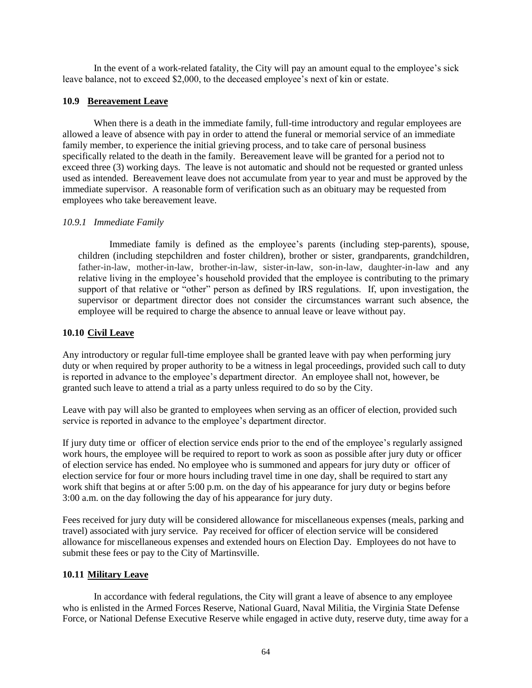In the event of a work-related fatality, the City will pay an amount equal to the employee's sick leave balance, not to exceed \$2,000, to the deceased employee's next of kin or estate.

#### <span id="page-63-0"></span>**10.9 Bereavement Leave**

When there is a death in the immediate family, full-time introductory and regular employees are allowed a leave of absence with pay in order to attend the funeral or memorial service of an immediate family member, to experience the initial grieving process, and to take care of personal business specifically related to the death in the family. Bereavement leave will be granted for a period not to exceed three (3) working days. The leave is not automatic and should not be requested or granted unless used as intended. Bereavement leave does not accumulate from year to year and must be approved by the immediate supervisor. A reasonable form of verification such as an obituary may be requested from employees who take bereavement leave.

#### <span id="page-63-1"></span>*10.9.1 Immediate Family*

Immediate family is defined as the employee's parents (including step-parents), spouse, children (including stepchildren and foster children), brother or sister, grandparents, grandchildren*,*  father-in-law, mother-in-law, brother-in-law, sister-in-law, son-in-law, daughter-in-law and any relative living in the employee's household provided that the employee is contributing to the primary support of that relative or "other" person as defined by IRS regulations. If, upon investigation, the supervisor or department director does not consider the circumstances warrant such absence, the employee will be required to charge the absence to annual leave or leave without pay.

#### <span id="page-63-2"></span>**10.10 Civil Leave**

Any introductory or regular full-time employee shall be granted leave with pay when performing jury duty or when required by proper authority to be a witness in legal proceedings, provided such call to duty is reported in advance to the employee's department director. An employee shall not, however, be granted such leave to attend a trial as a party unless required to do so by the City.

Leave with pay will also be granted to employees when serving as an officer of election, provided such service is reported in advance to the employee's department director.

If jury duty time or officer of election service ends prior to the end of the employee's regularly assigned work hours, the employee will be required to report to work as soon as possible after jury duty or officer of election service has ended. No employee who is summoned and appears for jury duty or officer of election service for four or more hours including travel time in one day, shall be required to start any work shift that begins at or after 5:00 p.m. on the day of his appearance for jury duty or begins before 3:00 a.m. on the day following the day of his appearance for jury duty.

Fees received for jury duty will be considered allowance for miscellaneous expenses (meals, parking and travel) associated with jury service. Pay received for officer of election service will be considered allowance for miscellaneous expenses and extended hours on Election Day. Employees do not have to submit these fees or pay to the City of Martinsville.

#### <span id="page-63-3"></span>**10.11 Military Leave**

In accordance with federal regulations, the City will grant a leave of absence to any employee who is enlisted in the Armed Forces Reserve, National Guard, Naval Militia, the Virginia State Defense Force, or National Defense Executive Reserve while engaged in active duty, reserve duty, time away for a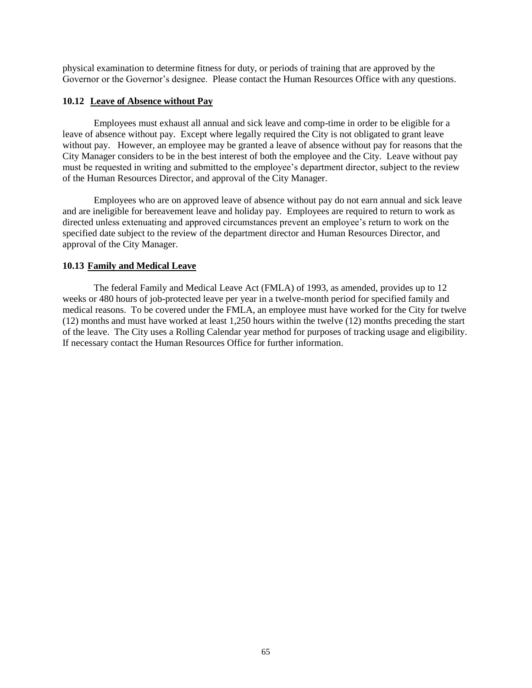physical examination to determine fitness for duty, or periods of training that are approved by the Governor or the Governor's designee. Please contact the Human Resources Office with any questions.

#### <span id="page-64-0"></span>**10.12 Leave of Absence without Pay**

Employees must exhaust all annual and sick leave and comp-time in order to be eligible for a leave of absence without pay. Except where legally required the City is not obligated to grant leave without pay. However, an employee may be granted a leave of absence without pay for reasons that the City Manager considers to be in the best interest of both the employee and the City. Leave without pay must be requested in writing and submitted to the employee's department director, subject to the review of the Human Resources Director, and approval of the City Manager.

Employees who are on approved leave of absence without pay do not earn annual and sick leave and are ineligible for bereavement leave and holiday pay. Employees are required to return to work as directed unless extenuating and approved circumstances prevent an employee's return to work on the specified date subject to the review of the department director and Human Resources Director, and approval of the City Manager.

#### <span id="page-64-1"></span>**10.13 Family and Medical Leave**

The federal Family and Medical Leave Act (FMLA) of 1993, as amended, provides up to 12 weeks or 480 hours of job-protected leave per year in a twelve-month period for specified family and medical reasons. To be covered under the FMLA, an employee must have worked for the City for twelve (12) months and must have worked at least 1,250 hours within the twelve (12) months preceding the start of the leave. The City uses a Rolling Calendar year method for purposes of tracking usage and eligibility. If necessary contact the Human Resources Office for further information.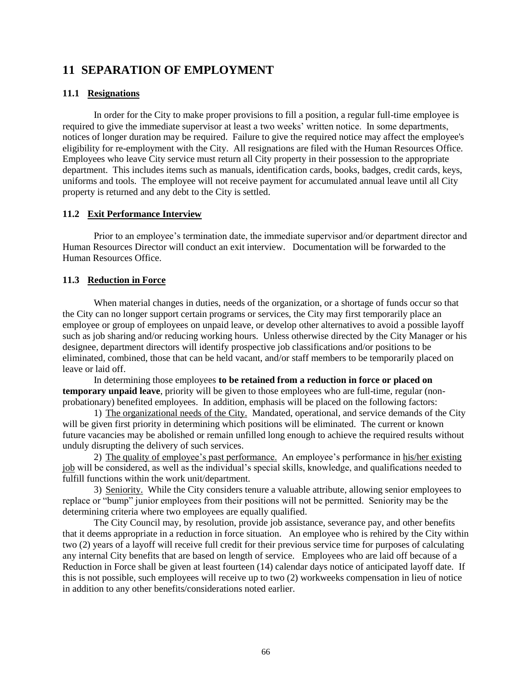# <span id="page-65-0"></span>**11 SEPARATION OF EMPLOYMENT**

### <span id="page-65-1"></span>**11.1 Resignations**

In order for the City to make proper provisions to fill a position, a regular full-time employee is required to give the immediate supervisor at least a two weeks' written notice. In some departments, notices of longer duration may be required. Failure to give the required notice may affect the employee's eligibility for re-employment with the City. All resignations are filed with the Human Resources Office. Employees who leave City service must return all City property in their possession to the appropriate department. This includes items such as manuals, identification cards, books, badges, credit cards, keys, uniforms and tools. The employee will not receive payment for accumulated annual leave until all City property is returned and any debt to the City is settled.

### <span id="page-65-2"></span>**11.2 Exit Performance Interview**

Prior to an employee's termination date, the immediate supervisor and/or department director and Human Resources Director will conduct an exit interview. Documentation will be forwarded to the Human Resources Office.

### <span id="page-65-3"></span>**11.3 Reduction in Force**

When material changes in duties, needs of the organization, or a shortage of funds occur so that the City can no longer support certain programs or services, the City may first temporarily place an employee or group of employees on unpaid leave, or develop other alternatives to avoid a possible layoff such as job sharing and/or reducing working hours. Unless otherwise directed by the City Manager or his designee, department directors will identify prospective job classifications and/or positions to be eliminated, combined, those that can be held vacant, and/or staff members to be temporarily placed on leave or laid off.

In determining those employees **to be retained from a reduction in force or placed on temporary unpaid leave**, priority will be given to those employees who are full-time, regular (nonprobationary) benefited employees. In addition, emphasis will be placed on the following factors:

1) The organizational needs of the City. Mandated, operational, and service demands of the City will be given first priority in determining which positions will be eliminated. The current or known future vacancies may be abolished or remain unfilled long enough to achieve the required results without unduly disrupting the delivery of such services.

2) The quality of employee's past performance. An employee's performance in his/her existing job will be considered, as well as the individual's special skills, knowledge, and qualifications needed to fulfill functions within the work unit/department.

3) Seniority. While the City considers tenure a valuable attribute, allowing senior employees to replace or "bump" junior employees from their positions will not be permitted. Seniority may be the determining criteria where two employees are equally qualified.

The City Council may, by resolution, provide job assistance, severance pay, and other benefits that it deems appropriate in a reduction in force situation. An employee who is rehired by the City within two (2) years of a layoff will receive full credit for their previous service time for purposes of calculating any internal City benefits that are based on length of service. Employees who are laid off because of a Reduction in Force shall be given at least fourteen (14) calendar days notice of anticipated layoff date. If this is not possible, such employees will receive up to two (2) workweeks compensation in lieu of notice in addition to any other benefits/considerations noted earlier.